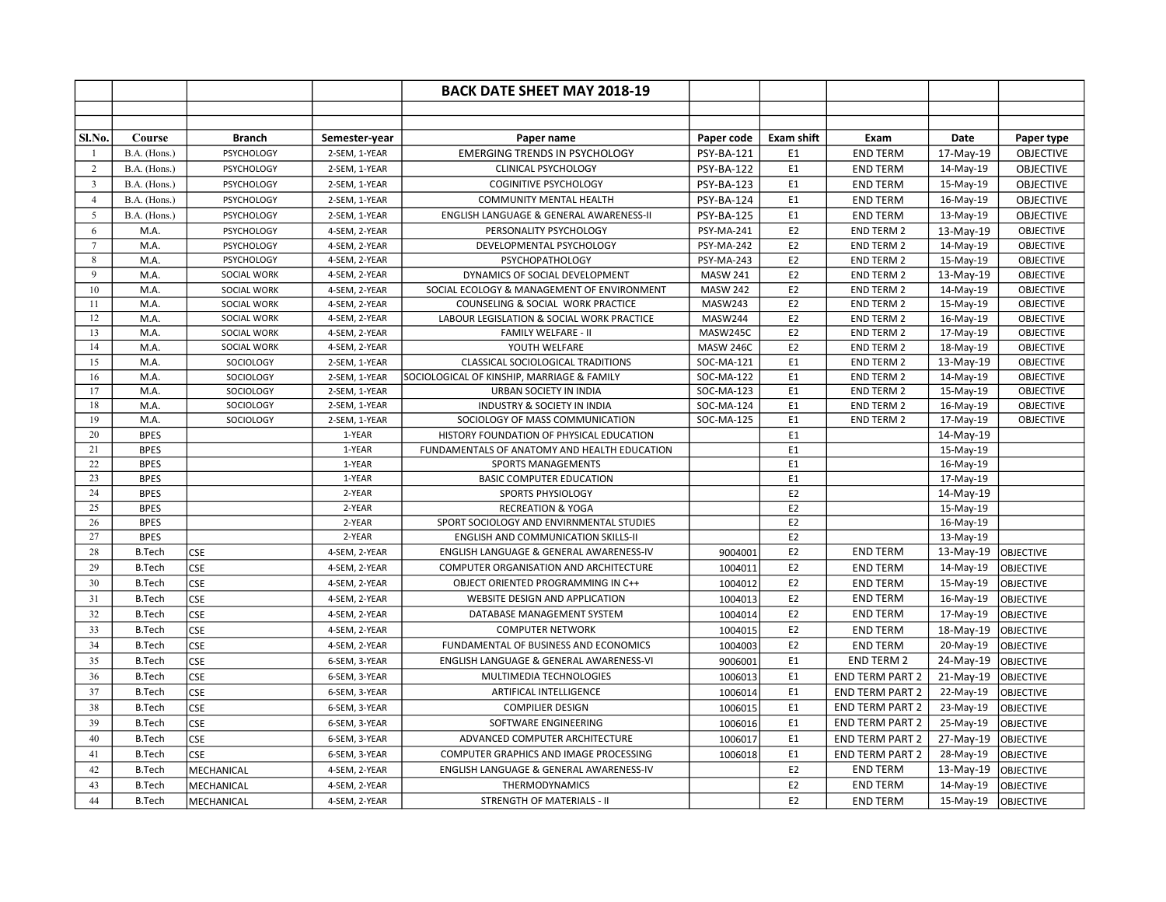| Sl.No.<br>Course<br><b>Branch</b><br>Paper code<br><b>Exam shift</b><br>Exam<br>Date<br>Semester-year<br>Paper name<br>Paper type<br><b>EMERGING TRENDS IN PSYCHOLOGY</b><br>B.A. (Hons.)<br><b>PSYCHOLOGY</b><br><b>PSY-BA-121</b><br><b>END TERM</b><br>17-May-19<br><b>OBJECTIVE</b><br>2-SEM, 1-YEAR<br>E <sub>1</sub><br>-1<br>2<br>B.A. (Hons.)<br>PSYCHOLOGY<br>2-SEM, 1-YEAR<br><b>CLINICAL PSYCHOLOGY</b><br>E <sub>1</sub><br><b>PSY-BA-122</b><br><b>END TERM</b><br>14-May-19<br><b>OBJECTIVE</b><br>E <sub>1</sub><br><b>END TERM</b><br>$\mathbf{3}$<br>B.A. (Hons.)<br>2-SEM, 1-YEAR<br><b>COGINITIVE PSYCHOLOGY</b><br><b>PSY-BA-123</b><br>15-May-19<br><b>OBJECTIVE</b><br><b>PSYCHOLOGY</b><br>E1<br><b>PSY-BA-124</b><br><b>END TERM</b><br><b>OBJECTIVE</b><br>$\overline{4}$<br>B.A. (Hons.)<br>PSYCHOLOGY<br>2-SEM, 1-YEAR<br><b>COMMUNITY MENTAL HEALTH</b><br>16-May-19<br>E1<br><b>PSY-BA-125</b><br><b>END TERM</b><br><b>OBJECTIVE</b><br>5<br>B.A. (Hons.)<br><b>PSYCHOLOGY</b><br>2-SEM, 1-YEAR<br>ENGLISH LANGUAGE & GENERAL AWARENESS-II<br>13-May-19<br>PSYCHOLOGY<br>4-SEM, 2-YEAR<br><b>PSY-MA-241</b><br>E <sub>2</sub><br><b>END TERM 2</b><br><b>OBJECTIVE</b><br>6<br>M.A.<br>PERSONALITY PSYCHOLOGY<br>13-May-19<br>E <sub>2</sub><br>$\tau$<br>M.A.<br><b>PSYCHOLOGY</b><br>4-SEM, 2-YEAR<br>DEVELOPMENTAL PSYCHOLOGY<br><b>PSY-MA-242</b><br><b>END TERM 2</b><br><b>OBJECTIVE</b><br>14-May-19<br>PSY-MA-243<br>E <sub>2</sub><br>$\,8\,$<br>M.A.<br>4-SEM, 2-YEAR<br>PSYCHOPATHOLOGY<br>END TERM 2<br>15-May-19<br><b>OBJECTIVE</b><br>PSYCHOLOGY<br>9<br>E2<br>M.A.<br>SOCIAL WORK<br>4-SEM, 2-YEAR<br>DYNAMICS OF SOCIAL DEVELOPMENT<br><b>MASW 241</b><br><b>END TERM 2</b><br>13-May-19<br><b>OBJECTIVE</b><br>E <sub>2</sub><br>10<br>M.A.<br><b>SOCIAL WORK</b><br>4-SEM, 2-YEAR<br><b>MASW 242</b><br><b>END TERM 2</b><br><b>OBJECTIVE</b><br>SOCIAL ECOLOGY & MANAGEMENT OF ENVIRONMENT<br>14-May-19<br>E2<br>11<br>M.A.<br>COUNSELING & SOCIAL WORK PRACTICE<br>MASW243<br><b>END TERM 2</b><br><b>OBJECTIVE</b><br><b>SOCIAL WORK</b><br>4-SEM, 2-YEAR<br>15-May-19<br>MASW244<br>E <sub>2</sub><br>12<br>M.A.<br>SOCIAL WORK<br>4-SEM, 2-YEAR<br>LABOUR LEGISLATION & SOCIAL WORK PRACTICE<br>END TERM 2<br>16-May-19<br>OBJECTIVE<br>13<br>M.A.<br>FAMILY WELFARE - II<br>MASW245C<br>E <sub>2</sub><br>END TERM 2<br><b>OBJECTIVE</b><br><b>SOCIAL WORK</b><br>4-SEM, 2-YEAR<br>17-May-19<br>E <sub>2</sub><br><b>OBJECTIVE</b><br>14<br>M.A.<br>SOCIAL WORK<br>4-SEM, 2-YEAR<br>YOUTH WELFARE<br><b>MASW 246C</b><br>END TERM 2<br>18-May-19<br>15<br>M.A.<br>CLASSICAL SOCIOLOGICAL TRADITIONS<br>SOC-MA-121<br>E <sub>1</sub><br><b>END TERM 2</b><br><b>OBJECTIVE</b><br>SOCIOLOGY<br>2-SEM, 1-YEAR<br>13-May-19<br>M.A.<br>SOCIOLOGICAL OF KINSHIP, MARRIAGE & FAMILY<br>SOC-MA-122<br>E <sub>1</sub><br><b>END TERM 2</b><br><b>OBJECTIVE</b><br>16<br>SOCIOLOGY<br>2-SEM, 1-YEAR<br>14-May-19<br>17<br>M.A.<br>URBAN SOCIETY IN INDIA<br>SOC-MA-123<br>E <sub>1</sub><br><b>END TERM 2</b><br><b>OBJECTIVE</b><br>SOCIOLOGY<br>2-SEM, 1-YEAR<br>15-May-19<br>18<br>SOCIOLOGY<br>2-SEM, 1-YEAR<br>SOC-MA-124<br>E <sub>1</sub><br><b>OBJECTIVE</b><br>M.A.<br>INDUSTRY & SOCIETY IN INDIA<br>END TERM 2<br>16-May-19<br>19<br>SOCIOLOGY<br>2-SEM, 1-YEAR<br>SOCIOLOGY OF MASS COMMUNICATION<br>SOC-MA-125<br>E <sub>1</sub><br>END TERM 2<br><b>OBJECTIVE</b><br>M.A.<br>17-May-19<br>20<br><b>BPES</b><br>E1<br>1-YEAR<br>HISTORY FOUNDATION OF PHYSICAL EDUCATION<br>14-May-19<br>21<br><b>BPES</b><br>1-YEAR<br>E <sub>1</sub><br>FUNDAMENTALS OF ANATOMY AND HEALTH EDUCATION<br>15-May-19<br>22<br><b>BPES</b><br>1-YEAR<br>E <sub>1</sub><br>SPORTS MANAGEMENTS<br>16-May-19<br>23<br>1-YEAR<br><b>BPES</b><br><b>BASIC COMPUTER EDUCATION</b><br>E <sub>1</sub><br>17-May-19<br>24<br><b>BPES</b><br>E <sub>2</sub><br>2-YEAR<br>SPORTS PHYSIOLOGY<br>14-May-19<br>25<br><b>BPES</b><br>2-YEAR<br>E <sub>2</sub><br><b>RECREATION &amp; YOGA</b><br>15-May-19 |  |  | <b>BACK DATE SHEET MAY 2018-19</b> |  |  |  |
|--------------------------------------------------------------------------------------------------------------------------------------------------------------------------------------------------------------------------------------------------------------------------------------------------------------------------------------------------------------------------------------------------------------------------------------------------------------------------------------------------------------------------------------------------------------------------------------------------------------------------------------------------------------------------------------------------------------------------------------------------------------------------------------------------------------------------------------------------------------------------------------------------------------------------------------------------------------------------------------------------------------------------------------------------------------------------------------------------------------------------------------------------------------------------------------------------------------------------------------------------------------------------------------------------------------------------------------------------------------------------------------------------------------------------------------------------------------------------------------------------------------------------------------------------------------------------------------------------------------------------------------------------------------------------------------------------------------------------------------------------------------------------------------------------------------------------------------------------------------------------------------------------------------------------------------------------------------------------------------------------------------------------------------------------------------------------------------------------------------------------------------------------------------------------------------------------------------------------------------------------------------------------------------------------------------------------------------------------------------------------------------------------------------------------------------------------------------------------------------------------------------------------------------------------------------------------------------------------------------------------------------------------------------------------------------------------------------------------------------------------------------------------------------------------------------------------------------------------------------------------------------------------------------------------------------------------------------------------------------------------------------------------------------------------------------------------------------------------------------------------------------------------------------------------------------------------------------------------------------------------------------------------------------------------------------------------------------------------------------------------------------------------------------------------------------------------------------------------------------------------------------------------------------------------------------------------------------------------------------------------------------------------------------------------------------------------------------------------------------------------------------------------------------------------------------------------------------------------------------------------------------------------------------------------------------------------------------------------------------------------------------------------------------|--|--|------------------------------------|--|--|--|
|                                                                                                                                                                                                                                                                                                                                                                                                                                                                                                                                                                                                                                                                                                                                                                                                                                                                                                                                                                                                                                                                                                                                                                                                                                                                                                                                                                                                                                                                                                                                                                                                                                                                                                                                                                                                                                                                                                                                                                                                                                                                                                                                                                                                                                                                                                                                                                                                                                                                                                                                                                                                                                                                                                                                                                                                                                                                                                                                                                                                                                                                                                                                                                                                                                                                                                                                                                                                                                                                                                                                                                                                                                                                                                                                                                                                                                                                                                                                                                                                                                      |  |  |                                    |  |  |  |
|                                                                                                                                                                                                                                                                                                                                                                                                                                                                                                                                                                                                                                                                                                                                                                                                                                                                                                                                                                                                                                                                                                                                                                                                                                                                                                                                                                                                                                                                                                                                                                                                                                                                                                                                                                                                                                                                                                                                                                                                                                                                                                                                                                                                                                                                                                                                                                                                                                                                                                                                                                                                                                                                                                                                                                                                                                                                                                                                                                                                                                                                                                                                                                                                                                                                                                                                                                                                                                                                                                                                                                                                                                                                                                                                                                                                                                                                                                                                                                                                                                      |  |  |                                    |  |  |  |
|                                                                                                                                                                                                                                                                                                                                                                                                                                                                                                                                                                                                                                                                                                                                                                                                                                                                                                                                                                                                                                                                                                                                                                                                                                                                                                                                                                                                                                                                                                                                                                                                                                                                                                                                                                                                                                                                                                                                                                                                                                                                                                                                                                                                                                                                                                                                                                                                                                                                                                                                                                                                                                                                                                                                                                                                                                                                                                                                                                                                                                                                                                                                                                                                                                                                                                                                                                                                                                                                                                                                                                                                                                                                                                                                                                                                                                                                                                                                                                                                                                      |  |  |                                    |  |  |  |
|                                                                                                                                                                                                                                                                                                                                                                                                                                                                                                                                                                                                                                                                                                                                                                                                                                                                                                                                                                                                                                                                                                                                                                                                                                                                                                                                                                                                                                                                                                                                                                                                                                                                                                                                                                                                                                                                                                                                                                                                                                                                                                                                                                                                                                                                                                                                                                                                                                                                                                                                                                                                                                                                                                                                                                                                                                                                                                                                                                                                                                                                                                                                                                                                                                                                                                                                                                                                                                                                                                                                                                                                                                                                                                                                                                                                                                                                                                                                                                                                                                      |  |  |                                    |  |  |  |
|                                                                                                                                                                                                                                                                                                                                                                                                                                                                                                                                                                                                                                                                                                                                                                                                                                                                                                                                                                                                                                                                                                                                                                                                                                                                                                                                                                                                                                                                                                                                                                                                                                                                                                                                                                                                                                                                                                                                                                                                                                                                                                                                                                                                                                                                                                                                                                                                                                                                                                                                                                                                                                                                                                                                                                                                                                                                                                                                                                                                                                                                                                                                                                                                                                                                                                                                                                                                                                                                                                                                                                                                                                                                                                                                                                                                                                                                                                                                                                                                                                      |  |  |                                    |  |  |  |
|                                                                                                                                                                                                                                                                                                                                                                                                                                                                                                                                                                                                                                                                                                                                                                                                                                                                                                                                                                                                                                                                                                                                                                                                                                                                                                                                                                                                                                                                                                                                                                                                                                                                                                                                                                                                                                                                                                                                                                                                                                                                                                                                                                                                                                                                                                                                                                                                                                                                                                                                                                                                                                                                                                                                                                                                                                                                                                                                                                                                                                                                                                                                                                                                                                                                                                                                                                                                                                                                                                                                                                                                                                                                                                                                                                                                                                                                                                                                                                                                                                      |  |  |                                    |  |  |  |
|                                                                                                                                                                                                                                                                                                                                                                                                                                                                                                                                                                                                                                                                                                                                                                                                                                                                                                                                                                                                                                                                                                                                                                                                                                                                                                                                                                                                                                                                                                                                                                                                                                                                                                                                                                                                                                                                                                                                                                                                                                                                                                                                                                                                                                                                                                                                                                                                                                                                                                                                                                                                                                                                                                                                                                                                                                                                                                                                                                                                                                                                                                                                                                                                                                                                                                                                                                                                                                                                                                                                                                                                                                                                                                                                                                                                                                                                                                                                                                                                                                      |  |  |                                    |  |  |  |
|                                                                                                                                                                                                                                                                                                                                                                                                                                                                                                                                                                                                                                                                                                                                                                                                                                                                                                                                                                                                                                                                                                                                                                                                                                                                                                                                                                                                                                                                                                                                                                                                                                                                                                                                                                                                                                                                                                                                                                                                                                                                                                                                                                                                                                                                                                                                                                                                                                                                                                                                                                                                                                                                                                                                                                                                                                                                                                                                                                                                                                                                                                                                                                                                                                                                                                                                                                                                                                                                                                                                                                                                                                                                                                                                                                                                                                                                                                                                                                                                                                      |  |  |                                    |  |  |  |
|                                                                                                                                                                                                                                                                                                                                                                                                                                                                                                                                                                                                                                                                                                                                                                                                                                                                                                                                                                                                                                                                                                                                                                                                                                                                                                                                                                                                                                                                                                                                                                                                                                                                                                                                                                                                                                                                                                                                                                                                                                                                                                                                                                                                                                                                                                                                                                                                                                                                                                                                                                                                                                                                                                                                                                                                                                                                                                                                                                                                                                                                                                                                                                                                                                                                                                                                                                                                                                                                                                                                                                                                                                                                                                                                                                                                                                                                                                                                                                                                                                      |  |  |                                    |  |  |  |
|                                                                                                                                                                                                                                                                                                                                                                                                                                                                                                                                                                                                                                                                                                                                                                                                                                                                                                                                                                                                                                                                                                                                                                                                                                                                                                                                                                                                                                                                                                                                                                                                                                                                                                                                                                                                                                                                                                                                                                                                                                                                                                                                                                                                                                                                                                                                                                                                                                                                                                                                                                                                                                                                                                                                                                                                                                                                                                                                                                                                                                                                                                                                                                                                                                                                                                                                                                                                                                                                                                                                                                                                                                                                                                                                                                                                                                                                                                                                                                                                                                      |  |  |                                    |  |  |  |
|                                                                                                                                                                                                                                                                                                                                                                                                                                                                                                                                                                                                                                                                                                                                                                                                                                                                                                                                                                                                                                                                                                                                                                                                                                                                                                                                                                                                                                                                                                                                                                                                                                                                                                                                                                                                                                                                                                                                                                                                                                                                                                                                                                                                                                                                                                                                                                                                                                                                                                                                                                                                                                                                                                                                                                                                                                                                                                                                                                                                                                                                                                                                                                                                                                                                                                                                                                                                                                                                                                                                                                                                                                                                                                                                                                                                                                                                                                                                                                                                                                      |  |  |                                    |  |  |  |
|                                                                                                                                                                                                                                                                                                                                                                                                                                                                                                                                                                                                                                                                                                                                                                                                                                                                                                                                                                                                                                                                                                                                                                                                                                                                                                                                                                                                                                                                                                                                                                                                                                                                                                                                                                                                                                                                                                                                                                                                                                                                                                                                                                                                                                                                                                                                                                                                                                                                                                                                                                                                                                                                                                                                                                                                                                                                                                                                                                                                                                                                                                                                                                                                                                                                                                                                                                                                                                                                                                                                                                                                                                                                                                                                                                                                                                                                                                                                                                                                                                      |  |  |                                    |  |  |  |
|                                                                                                                                                                                                                                                                                                                                                                                                                                                                                                                                                                                                                                                                                                                                                                                                                                                                                                                                                                                                                                                                                                                                                                                                                                                                                                                                                                                                                                                                                                                                                                                                                                                                                                                                                                                                                                                                                                                                                                                                                                                                                                                                                                                                                                                                                                                                                                                                                                                                                                                                                                                                                                                                                                                                                                                                                                                                                                                                                                                                                                                                                                                                                                                                                                                                                                                                                                                                                                                                                                                                                                                                                                                                                                                                                                                                                                                                                                                                                                                                                                      |  |  |                                    |  |  |  |
|                                                                                                                                                                                                                                                                                                                                                                                                                                                                                                                                                                                                                                                                                                                                                                                                                                                                                                                                                                                                                                                                                                                                                                                                                                                                                                                                                                                                                                                                                                                                                                                                                                                                                                                                                                                                                                                                                                                                                                                                                                                                                                                                                                                                                                                                                                                                                                                                                                                                                                                                                                                                                                                                                                                                                                                                                                                                                                                                                                                                                                                                                                                                                                                                                                                                                                                                                                                                                                                                                                                                                                                                                                                                                                                                                                                                                                                                                                                                                                                                                                      |  |  |                                    |  |  |  |
|                                                                                                                                                                                                                                                                                                                                                                                                                                                                                                                                                                                                                                                                                                                                                                                                                                                                                                                                                                                                                                                                                                                                                                                                                                                                                                                                                                                                                                                                                                                                                                                                                                                                                                                                                                                                                                                                                                                                                                                                                                                                                                                                                                                                                                                                                                                                                                                                                                                                                                                                                                                                                                                                                                                                                                                                                                                                                                                                                                                                                                                                                                                                                                                                                                                                                                                                                                                                                                                                                                                                                                                                                                                                                                                                                                                                                                                                                                                                                                                                                                      |  |  |                                    |  |  |  |
|                                                                                                                                                                                                                                                                                                                                                                                                                                                                                                                                                                                                                                                                                                                                                                                                                                                                                                                                                                                                                                                                                                                                                                                                                                                                                                                                                                                                                                                                                                                                                                                                                                                                                                                                                                                                                                                                                                                                                                                                                                                                                                                                                                                                                                                                                                                                                                                                                                                                                                                                                                                                                                                                                                                                                                                                                                                                                                                                                                                                                                                                                                                                                                                                                                                                                                                                                                                                                                                                                                                                                                                                                                                                                                                                                                                                                                                                                                                                                                                                                                      |  |  |                                    |  |  |  |
|                                                                                                                                                                                                                                                                                                                                                                                                                                                                                                                                                                                                                                                                                                                                                                                                                                                                                                                                                                                                                                                                                                                                                                                                                                                                                                                                                                                                                                                                                                                                                                                                                                                                                                                                                                                                                                                                                                                                                                                                                                                                                                                                                                                                                                                                                                                                                                                                                                                                                                                                                                                                                                                                                                                                                                                                                                                                                                                                                                                                                                                                                                                                                                                                                                                                                                                                                                                                                                                                                                                                                                                                                                                                                                                                                                                                                                                                                                                                                                                                                                      |  |  |                                    |  |  |  |
|                                                                                                                                                                                                                                                                                                                                                                                                                                                                                                                                                                                                                                                                                                                                                                                                                                                                                                                                                                                                                                                                                                                                                                                                                                                                                                                                                                                                                                                                                                                                                                                                                                                                                                                                                                                                                                                                                                                                                                                                                                                                                                                                                                                                                                                                                                                                                                                                                                                                                                                                                                                                                                                                                                                                                                                                                                                                                                                                                                                                                                                                                                                                                                                                                                                                                                                                                                                                                                                                                                                                                                                                                                                                                                                                                                                                                                                                                                                                                                                                                                      |  |  |                                    |  |  |  |
|                                                                                                                                                                                                                                                                                                                                                                                                                                                                                                                                                                                                                                                                                                                                                                                                                                                                                                                                                                                                                                                                                                                                                                                                                                                                                                                                                                                                                                                                                                                                                                                                                                                                                                                                                                                                                                                                                                                                                                                                                                                                                                                                                                                                                                                                                                                                                                                                                                                                                                                                                                                                                                                                                                                                                                                                                                                                                                                                                                                                                                                                                                                                                                                                                                                                                                                                                                                                                                                                                                                                                                                                                                                                                                                                                                                                                                                                                                                                                                                                                                      |  |  |                                    |  |  |  |
|                                                                                                                                                                                                                                                                                                                                                                                                                                                                                                                                                                                                                                                                                                                                                                                                                                                                                                                                                                                                                                                                                                                                                                                                                                                                                                                                                                                                                                                                                                                                                                                                                                                                                                                                                                                                                                                                                                                                                                                                                                                                                                                                                                                                                                                                                                                                                                                                                                                                                                                                                                                                                                                                                                                                                                                                                                                                                                                                                                                                                                                                                                                                                                                                                                                                                                                                                                                                                                                                                                                                                                                                                                                                                                                                                                                                                                                                                                                                                                                                                                      |  |  |                                    |  |  |  |
|                                                                                                                                                                                                                                                                                                                                                                                                                                                                                                                                                                                                                                                                                                                                                                                                                                                                                                                                                                                                                                                                                                                                                                                                                                                                                                                                                                                                                                                                                                                                                                                                                                                                                                                                                                                                                                                                                                                                                                                                                                                                                                                                                                                                                                                                                                                                                                                                                                                                                                                                                                                                                                                                                                                                                                                                                                                                                                                                                                                                                                                                                                                                                                                                                                                                                                                                                                                                                                                                                                                                                                                                                                                                                                                                                                                                                                                                                                                                                                                                                                      |  |  |                                    |  |  |  |
|                                                                                                                                                                                                                                                                                                                                                                                                                                                                                                                                                                                                                                                                                                                                                                                                                                                                                                                                                                                                                                                                                                                                                                                                                                                                                                                                                                                                                                                                                                                                                                                                                                                                                                                                                                                                                                                                                                                                                                                                                                                                                                                                                                                                                                                                                                                                                                                                                                                                                                                                                                                                                                                                                                                                                                                                                                                                                                                                                                                                                                                                                                                                                                                                                                                                                                                                                                                                                                                                                                                                                                                                                                                                                                                                                                                                                                                                                                                                                                                                                                      |  |  |                                    |  |  |  |
|                                                                                                                                                                                                                                                                                                                                                                                                                                                                                                                                                                                                                                                                                                                                                                                                                                                                                                                                                                                                                                                                                                                                                                                                                                                                                                                                                                                                                                                                                                                                                                                                                                                                                                                                                                                                                                                                                                                                                                                                                                                                                                                                                                                                                                                                                                                                                                                                                                                                                                                                                                                                                                                                                                                                                                                                                                                                                                                                                                                                                                                                                                                                                                                                                                                                                                                                                                                                                                                                                                                                                                                                                                                                                                                                                                                                                                                                                                                                                                                                                                      |  |  |                                    |  |  |  |
|                                                                                                                                                                                                                                                                                                                                                                                                                                                                                                                                                                                                                                                                                                                                                                                                                                                                                                                                                                                                                                                                                                                                                                                                                                                                                                                                                                                                                                                                                                                                                                                                                                                                                                                                                                                                                                                                                                                                                                                                                                                                                                                                                                                                                                                                                                                                                                                                                                                                                                                                                                                                                                                                                                                                                                                                                                                                                                                                                                                                                                                                                                                                                                                                                                                                                                                                                                                                                                                                                                                                                                                                                                                                                                                                                                                                                                                                                                                                                                                                                                      |  |  |                                    |  |  |  |
|                                                                                                                                                                                                                                                                                                                                                                                                                                                                                                                                                                                                                                                                                                                                                                                                                                                                                                                                                                                                                                                                                                                                                                                                                                                                                                                                                                                                                                                                                                                                                                                                                                                                                                                                                                                                                                                                                                                                                                                                                                                                                                                                                                                                                                                                                                                                                                                                                                                                                                                                                                                                                                                                                                                                                                                                                                                                                                                                                                                                                                                                                                                                                                                                                                                                                                                                                                                                                                                                                                                                                                                                                                                                                                                                                                                                                                                                                                                                                                                                                                      |  |  |                                    |  |  |  |
|                                                                                                                                                                                                                                                                                                                                                                                                                                                                                                                                                                                                                                                                                                                                                                                                                                                                                                                                                                                                                                                                                                                                                                                                                                                                                                                                                                                                                                                                                                                                                                                                                                                                                                                                                                                                                                                                                                                                                                                                                                                                                                                                                                                                                                                                                                                                                                                                                                                                                                                                                                                                                                                                                                                                                                                                                                                                                                                                                                                                                                                                                                                                                                                                                                                                                                                                                                                                                                                                                                                                                                                                                                                                                                                                                                                                                                                                                                                                                                                                                                      |  |  |                                    |  |  |  |
|                                                                                                                                                                                                                                                                                                                                                                                                                                                                                                                                                                                                                                                                                                                                                                                                                                                                                                                                                                                                                                                                                                                                                                                                                                                                                                                                                                                                                                                                                                                                                                                                                                                                                                                                                                                                                                                                                                                                                                                                                                                                                                                                                                                                                                                                                                                                                                                                                                                                                                                                                                                                                                                                                                                                                                                                                                                                                                                                                                                                                                                                                                                                                                                                                                                                                                                                                                                                                                                                                                                                                                                                                                                                                                                                                                                                                                                                                                                                                                                                                                      |  |  |                                    |  |  |  |
|                                                                                                                                                                                                                                                                                                                                                                                                                                                                                                                                                                                                                                                                                                                                                                                                                                                                                                                                                                                                                                                                                                                                                                                                                                                                                                                                                                                                                                                                                                                                                                                                                                                                                                                                                                                                                                                                                                                                                                                                                                                                                                                                                                                                                                                                                                                                                                                                                                                                                                                                                                                                                                                                                                                                                                                                                                                                                                                                                                                                                                                                                                                                                                                                                                                                                                                                                                                                                                                                                                                                                                                                                                                                                                                                                                                                                                                                                                                                                                                                                                      |  |  |                                    |  |  |  |
| 26<br><b>BPES</b><br>2-YEAR<br>E <sub>2</sub><br>SPORT SOCIOLOGY AND ENVIRNMENTAL STUDIES<br>16-May-19                                                                                                                                                                                                                                                                                                                                                                                                                                                                                                                                                                                                                                                                                                                                                                                                                                                                                                                                                                                                                                                                                                                                                                                                                                                                                                                                                                                                                                                                                                                                                                                                                                                                                                                                                                                                                                                                                                                                                                                                                                                                                                                                                                                                                                                                                                                                                                                                                                                                                                                                                                                                                                                                                                                                                                                                                                                                                                                                                                                                                                                                                                                                                                                                                                                                                                                                                                                                                                                                                                                                                                                                                                                                                                                                                                                                                                                                                                                               |  |  |                                    |  |  |  |
| 27<br>2-YEAR<br>E <sub>2</sub><br><b>BPES</b><br><b>ENGLISH AND COMMUNICATION SKILLS-II</b><br>13-May-19                                                                                                                                                                                                                                                                                                                                                                                                                                                                                                                                                                                                                                                                                                                                                                                                                                                                                                                                                                                                                                                                                                                                                                                                                                                                                                                                                                                                                                                                                                                                                                                                                                                                                                                                                                                                                                                                                                                                                                                                                                                                                                                                                                                                                                                                                                                                                                                                                                                                                                                                                                                                                                                                                                                                                                                                                                                                                                                                                                                                                                                                                                                                                                                                                                                                                                                                                                                                                                                                                                                                                                                                                                                                                                                                                                                                                                                                                                                             |  |  |                                    |  |  |  |
| 28<br>4-SEM, 2-YEAR<br>9004001<br>E <sub>2</sub><br><b>END TERM</b><br><b>B.Tech</b><br><b>CSE</b><br>ENGLISH LANGUAGE & GENERAL AWARENESS-IV<br>13-May-19<br><b>OBJECTIVE</b>                                                                                                                                                                                                                                                                                                                                                                                                                                                                                                                                                                                                                                                                                                                                                                                                                                                                                                                                                                                                                                                                                                                                                                                                                                                                                                                                                                                                                                                                                                                                                                                                                                                                                                                                                                                                                                                                                                                                                                                                                                                                                                                                                                                                                                                                                                                                                                                                                                                                                                                                                                                                                                                                                                                                                                                                                                                                                                                                                                                                                                                                                                                                                                                                                                                                                                                                                                                                                                                                                                                                                                                                                                                                                                                                                                                                                                                       |  |  |                                    |  |  |  |
| 29<br>E <sub>2</sub><br><b>B.Tech</b><br><b>CSE</b><br>COMPUTER ORGANISATION AND ARCHITECTURE<br>1004011<br><b>END TERM</b><br>14-May-19<br>OBJECTIVE<br>4-SEM, 2-YEAR                                                                                                                                                                                                                                                                                                                                                                                                                                                                                                                                                                                                                                                                                                                                                                                                                                                                                                                                                                                                                                                                                                                                                                                                                                                                                                                                                                                                                                                                                                                                                                                                                                                                                                                                                                                                                                                                                                                                                                                                                                                                                                                                                                                                                                                                                                                                                                                                                                                                                                                                                                                                                                                                                                                                                                                                                                                                                                                                                                                                                                                                                                                                                                                                                                                                                                                                                                                                                                                                                                                                                                                                                                                                                                                                                                                                                                                               |  |  |                                    |  |  |  |
| E2<br>30<br>1004012<br><b>B.Tech</b><br><b>CSE</b><br>4-SEM, 2-YEAR<br>OBJECT ORIENTED PROGRAMMING IN C++<br><b>END TERM</b><br>15-May-19<br>OBJECTIVE                                                                                                                                                                                                                                                                                                                                                                                                                                                                                                                                                                                                                                                                                                                                                                                                                                                                                                                                                                                                                                                                                                                                                                                                                                                                                                                                                                                                                                                                                                                                                                                                                                                                                                                                                                                                                                                                                                                                                                                                                                                                                                                                                                                                                                                                                                                                                                                                                                                                                                                                                                                                                                                                                                                                                                                                                                                                                                                                                                                                                                                                                                                                                                                                                                                                                                                                                                                                                                                                                                                                                                                                                                                                                                                                                                                                                                                                               |  |  |                                    |  |  |  |
| 31<br>E2<br><b>CSE</b><br>4-SEM, 2-YEAR<br>WEBSITE DESIGN AND APPLICATION<br><b>END TERM</b><br>16-May-19<br><b>B.Tech</b><br>1004013<br><b>OBJECTIVE</b>                                                                                                                                                                                                                                                                                                                                                                                                                                                                                                                                                                                                                                                                                                                                                                                                                                                                                                                                                                                                                                                                                                                                                                                                                                                                                                                                                                                                                                                                                                                                                                                                                                                                                                                                                                                                                                                                                                                                                                                                                                                                                                                                                                                                                                                                                                                                                                                                                                                                                                                                                                                                                                                                                                                                                                                                                                                                                                                                                                                                                                                                                                                                                                                                                                                                                                                                                                                                                                                                                                                                                                                                                                                                                                                                                                                                                                                                            |  |  |                                    |  |  |  |
| 32<br><b>CSE</b><br>4-SEM, 2-YEAR<br>E <sub>2</sub><br><b>END TERM</b><br><b>B.Tech</b><br>DATABASE MANAGEMENT SYSTEM<br>1004014<br>17-May-19<br><b>OBJECTIVE</b>                                                                                                                                                                                                                                                                                                                                                                                                                                                                                                                                                                                                                                                                                                                                                                                                                                                                                                                                                                                                                                                                                                                                                                                                                                                                                                                                                                                                                                                                                                                                                                                                                                                                                                                                                                                                                                                                                                                                                                                                                                                                                                                                                                                                                                                                                                                                                                                                                                                                                                                                                                                                                                                                                                                                                                                                                                                                                                                                                                                                                                                                                                                                                                                                                                                                                                                                                                                                                                                                                                                                                                                                                                                                                                                                                                                                                                                                    |  |  |                                    |  |  |  |
| 33<br>E2<br>4-SEM, 2-YEAR<br>1004015<br><b>OBJECTIVE</b><br><b>B.Tech</b><br><b>CSE</b><br><b>COMPUTER NETWORK</b><br><b>END TERM</b><br>18-May-19                                                                                                                                                                                                                                                                                                                                                                                                                                                                                                                                                                                                                                                                                                                                                                                                                                                                                                                                                                                                                                                                                                                                                                                                                                                                                                                                                                                                                                                                                                                                                                                                                                                                                                                                                                                                                                                                                                                                                                                                                                                                                                                                                                                                                                                                                                                                                                                                                                                                                                                                                                                                                                                                                                                                                                                                                                                                                                                                                                                                                                                                                                                                                                                                                                                                                                                                                                                                                                                                                                                                                                                                                                                                                                                                                                                                                                                                                   |  |  |                                    |  |  |  |
| 34<br>1004003<br>E <sub>2</sub><br><b>END TERM</b><br>20-May-19<br><b>B.Tech</b><br><b>CSE</b><br>4-SEM, 2-YEAR<br>FUNDAMENTAL OF BUSINESS AND ECONOMICS<br><b>OBJECTIVE</b>                                                                                                                                                                                                                                                                                                                                                                                                                                                                                                                                                                                                                                                                                                                                                                                                                                                                                                                                                                                                                                                                                                                                                                                                                                                                                                                                                                                                                                                                                                                                                                                                                                                                                                                                                                                                                                                                                                                                                                                                                                                                                                                                                                                                                                                                                                                                                                                                                                                                                                                                                                                                                                                                                                                                                                                                                                                                                                                                                                                                                                                                                                                                                                                                                                                                                                                                                                                                                                                                                                                                                                                                                                                                                                                                                                                                                                                         |  |  |                                    |  |  |  |
| 35<br>9006001<br>E <sub>1</sub><br><b>B.Tech</b><br><b>CSE</b><br>6-SEM, 3-YEAR<br>ENGLISH LANGUAGE & GENERAL AWARENESS-VI<br><b>END TERM 2</b><br>24-May-19<br>OBJECTIVE                                                                                                                                                                                                                                                                                                                                                                                                                                                                                                                                                                                                                                                                                                                                                                                                                                                                                                                                                                                                                                                                                                                                                                                                                                                                                                                                                                                                                                                                                                                                                                                                                                                                                                                                                                                                                                                                                                                                                                                                                                                                                                                                                                                                                                                                                                                                                                                                                                                                                                                                                                                                                                                                                                                                                                                                                                                                                                                                                                                                                                                                                                                                                                                                                                                                                                                                                                                                                                                                                                                                                                                                                                                                                                                                                                                                                                                            |  |  |                                    |  |  |  |
| E1<br>36<br><b>B.Tech</b><br><b>CSE</b><br>1006013<br><b>END TERM PART 2</b><br>21-May-19<br>OBJECTIVE<br>6-SEM, 3-YEAR<br>MULTIMEDIA TECHNOLOGIES                                                                                                                                                                                                                                                                                                                                                                                                                                                                                                                                                                                                                                                                                                                                                                                                                                                                                                                                                                                                                                                                                                                                                                                                                                                                                                                                                                                                                                                                                                                                                                                                                                                                                                                                                                                                                                                                                                                                                                                                                                                                                                                                                                                                                                                                                                                                                                                                                                                                                                                                                                                                                                                                                                                                                                                                                                                                                                                                                                                                                                                                                                                                                                                                                                                                                                                                                                                                                                                                                                                                                                                                                                                                                                                                                                                                                                                                                   |  |  |                                    |  |  |  |
| 37<br><b>CSE</b><br><b>END TERM PART 2</b><br>6-SEM, 3-YEAR<br>1006014<br>E <sub>1</sub><br>22-May-19<br><b>OBJECTIVE</b><br><b>B.Tech</b><br>ARTIFICAL INTELLIGENCE                                                                                                                                                                                                                                                                                                                                                                                                                                                                                                                                                                                                                                                                                                                                                                                                                                                                                                                                                                                                                                                                                                                                                                                                                                                                                                                                                                                                                                                                                                                                                                                                                                                                                                                                                                                                                                                                                                                                                                                                                                                                                                                                                                                                                                                                                                                                                                                                                                                                                                                                                                                                                                                                                                                                                                                                                                                                                                                                                                                                                                                                                                                                                                                                                                                                                                                                                                                                                                                                                                                                                                                                                                                                                                                                                                                                                                                                 |  |  |                                    |  |  |  |
| 38<br>E1<br><b>END TERM PART 2</b><br><b>B.Tech</b><br><b>CSE</b><br>6-SEM, 3-YEAR<br><b>COMPILIER DESIGN</b><br>1006015<br>23-May-19<br>OBJECTIVE                                                                                                                                                                                                                                                                                                                                                                                                                                                                                                                                                                                                                                                                                                                                                                                                                                                                                                                                                                                                                                                                                                                                                                                                                                                                                                                                                                                                                                                                                                                                                                                                                                                                                                                                                                                                                                                                                                                                                                                                                                                                                                                                                                                                                                                                                                                                                                                                                                                                                                                                                                                                                                                                                                                                                                                                                                                                                                                                                                                                                                                                                                                                                                                                                                                                                                                                                                                                                                                                                                                                                                                                                                                                                                                                                                                                                                                                                   |  |  |                                    |  |  |  |
| 39<br>E1<br><b>END TERM PART 2</b><br>6-SEM, 3-YEAR<br>SOFTWARE ENGINEERING<br>1006016<br>25-May-19<br><b>B.Tech</b><br><b>CSE</b><br><b>OBJECTIVE</b>                                                                                                                                                                                                                                                                                                                                                                                                                                                                                                                                                                                                                                                                                                                                                                                                                                                                                                                                                                                                                                                                                                                                                                                                                                                                                                                                                                                                                                                                                                                                                                                                                                                                                                                                                                                                                                                                                                                                                                                                                                                                                                                                                                                                                                                                                                                                                                                                                                                                                                                                                                                                                                                                                                                                                                                                                                                                                                                                                                                                                                                                                                                                                                                                                                                                                                                                                                                                                                                                                                                                                                                                                                                                                                                                                                                                                                                                               |  |  |                                    |  |  |  |
| 40<br><b>B.Tech</b><br>6-SEM, 3-YEAR<br>1006017<br>E <sub>1</sub><br><b>END TERM PART 2</b><br><b>CSE</b><br>ADVANCED COMPUTER ARCHITECTURE<br>27-May-19<br>OBJECTIVE                                                                                                                                                                                                                                                                                                                                                                                                                                                                                                                                                                                                                                                                                                                                                                                                                                                                                                                                                                                                                                                                                                                                                                                                                                                                                                                                                                                                                                                                                                                                                                                                                                                                                                                                                                                                                                                                                                                                                                                                                                                                                                                                                                                                                                                                                                                                                                                                                                                                                                                                                                                                                                                                                                                                                                                                                                                                                                                                                                                                                                                                                                                                                                                                                                                                                                                                                                                                                                                                                                                                                                                                                                                                                                                                                                                                                                                                |  |  |                                    |  |  |  |
| E <sub>1</sub><br>41<br><b>B.Tech</b><br><b>CSE</b><br>COMPUTER GRAPHICS AND IMAGE PROCESSING<br><b>END TERM PART 2</b><br>28-May-19<br>OBJECTIVE<br>6-SEM, 3-YEAR<br>1006018                                                                                                                                                                                                                                                                                                                                                                                                                                                                                                                                                                                                                                                                                                                                                                                                                                                                                                                                                                                                                                                                                                                                                                                                                                                                                                                                                                                                                                                                                                                                                                                                                                                                                                                                                                                                                                                                                                                                                                                                                                                                                                                                                                                                                                                                                                                                                                                                                                                                                                                                                                                                                                                                                                                                                                                                                                                                                                                                                                                                                                                                                                                                                                                                                                                                                                                                                                                                                                                                                                                                                                                                                                                                                                                                                                                                                                                        |  |  |                                    |  |  |  |
| 42<br>MECHANICAL<br>4-SEM, 2-YEAR<br>ENGLISH LANGUAGE & GENERAL AWARENESS-IV<br>E <sub>2</sub><br><b>END TERM</b><br>13-May-19<br><b>B.Tech</b><br>OBJECTIVE                                                                                                                                                                                                                                                                                                                                                                                                                                                                                                                                                                                                                                                                                                                                                                                                                                                                                                                                                                                                                                                                                                                                                                                                                                                                                                                                                                                                                                                                                                                                                                                                                                                                                                                                                                                                                                                                                                                                                                                                                                                                                                                                                                                                                                                                                                                                                                                                                                                                                                                                                                                                                                                                                                                                                                                                                                                                                                                                                                                                                                                                                                                                                                                                                                                                                                                                                                                                                                                                                                                                                                                                                                                                                                                                                                                                                                                                         |  |  |                                    |  |  |  |
| 43<br>E2<br><b>B.Tech</b><br>MECHANICAL<br>4-SEM, 2-YEAR<br><b>THERMODYNAMICS</b><br><b>END TERM</b><br>14-May-19<br><b>OBJECTIVE</b>                                                                                                                                                                                                                                                                                                                                                                                                                                                                                                                                                                                                                                                                                                                                                                                                                                                                                                                                                                                                                                                                                                                                                                                                                                                                                                                                                                                                                                                                                                                                                                                                                                                                                                                                                                                                                                                                                                                                                                                                                                                                                                                                                                                                                                                                                                                                                                                                                                                                                                                                                                                                                                                                                                                                                                                                                                                                                                                                                                                                                                                                                                                                                                                                                                                                                                                                                                                                                                                                                                                                                                                                                                                                                                                                                                                                                                                                                                |  |  |                                    |  |  |  |
| 44<br>E <sub>2</sub><br><b>END TERM</b><br>15-May-19<br>OBJECTIVE<br><b>B.Tech</b><br>4-SEM, 2-YEAR<br>STRENGTH OF MATERIALS - II<br>MECHANICAL                                                                                                                                                                                                                                                                                                                                                                                                                                                                                                                                                                                                                                                                                                                                                                                                                                                                                                                                                                                                                                                                                                                                                                                                                                                                                                                                                                                                                                                                                                                                                                                                                                                                                                                                                                                                                                                                                                                                                                                                                                                                                                                                                                                                                                                                                                                                                                                                                                                                                                                                                                                                                                                                                                                                                                                                                                                                                                                                                                                                                                                                                                                                                                                                                                                                                                                                                                                                                                                                                                                                                                                                                                                                                                                                                                                                                                                                                      |  |  |                                    |  |  |  |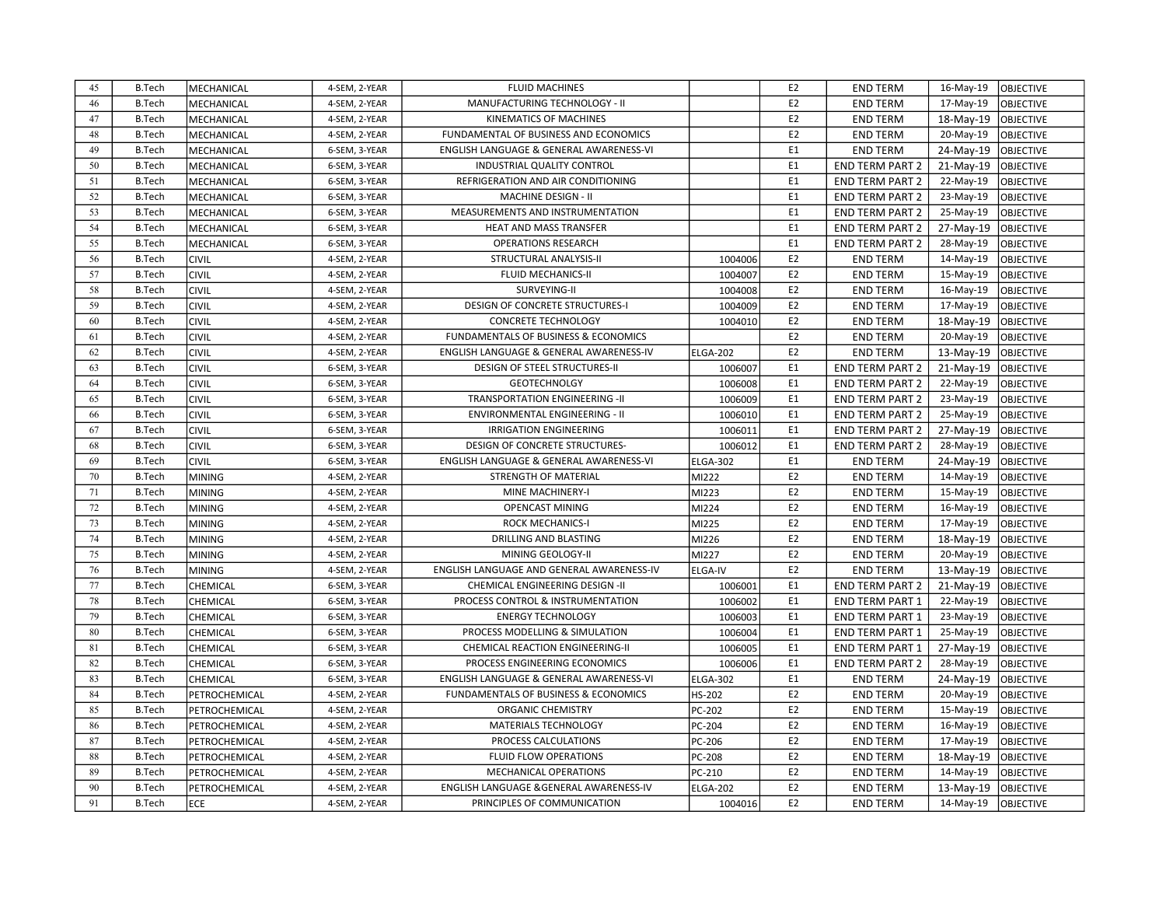| 45 | <b>B.Tech</b> | MECHANICAL    | 4-SEM, 2-YEAR | <b>FLUID MACHINES</b>                     |                 | E <sub>2</sub> | <b>END TERM</b>        | 16-May-19 | <b>OBJECTIVE</b> |
|----|---------------|---------------|---------------|-------------------------------------------|-----------------|----------------|------------------------|-----------|------------------|
| 46 | <b>B.Tech</b> | MECHANICAL    | 4-SEM, 2-YEAR | MANUFACTURING TECHNOLOGY - II             |                 | E <sub>2</sub> | <b>END TERM</b>        | 17-May-19 | <b>OBJECTIVE</b> |
| 47 | <b>B.Tech</b> | MECHANICAL    | 4-SEM, 2-YEAR | KINEMATICS OF MACHINES                    |                 | E <sub>2</sub> | <b>END TERM</b>        | 18-May-19 | <b>OBJECTIVE</b> |
| 48 | <b>B.Tech</b> | MECHANICAL    | 4-SEM, 2-YEAR | FUNDAMENTAL OF BUSINESS AND ECONOMICS     |                 | E <sub>2</sub> | <b>END TERM</b>        | 20-May-19 | <b>OBJECTIVE</b> |
| 49 | <b>B.Tech</b> | MECHANICAL    | 6-SEM, 3-YEAR | ENGLISH LANGUAGE & GENERAL AWARENESS-VI   |                 | E <sub>1</sub> | <b>END TERM</b>        | 24-May-19 | <b>OBJECTIVE</b> |
| 50 | <b>B.Tech</b> | MECHANICAL    | 6-SEM, 3-YEAR | INDUSTRIAL QUALITY CONTROL                |                 | E <sub>1</sub> | <b>END TERM PART 2</b> | 21-May-19 | OBJECTIVE        |
| 51 | <b>B.Tech</b> | MECHANICAL    | 6-SEM, 3-YEAR | REFRIGERATION AND AIR CONDITIONING        |                 | E <sub>1</sub> | <b>END TERM PART 2</b> | 22-May-19 | <b>OBJECTIVE</b> |
| 52 | <b>B.Tech</b> | MECHANICAL    | 6-SEM, 3-YEAR | MACHINE DESIGN - II                       |                 | E <sub>1</sub> | <b>END TERM PART 2</b> | 23-May-19 | <b>OBJECTIVE</b> |
| 53 | <b>B.Tech</b> | MECHANICAL    | 6-SEM, 3-YEAR | MEASUREMENTS AND INSTRUMENTATION          |                 | E1             | <b>END TERM PART 2</b> | 25-May-19 | <b>OBJECTIVE</b> |
| 54 | <b>B.Tech</b> | MECHANICAL    | 6-SEM, 3-YEAR | HEAT AND MASS TRANSFER                    |                 | E <sub>1</sub> | <b>END TERM PART 2</b> | 27-May-19 | <b>OBJECTIVE</b> |
| 55 | <b>B.Tech</b> | MECHANICAL    | 6-SEM, 3-YEAR | <b>OPERATIONS RESEARCH</b>                |                 | E <sub>1</sub> | <b>END TERM PART 2</b> | 28-May-19 | <b>OBJECTIVE</b> |
| 56 | <b>B.Tech</b> | <b>CIVIL</b>  | 4-SEM, 2-YEAR | STRUCTURAL ANALYSIS-II                    | 1004006         | E <sub>2</sub> | <b>END TERM</b>        | 14-May-19 | <b>OBJECTIVE</b> |
| 57 | <b>B.Tech</b> | <b>CIVIL</b>  | 4-SEM, 2-YEAR | FLUID MECHANICS-II                        | 1004007         | E <sub>2</sub> | <b>END TERM</b>        | 15-May-19 | <b>OBJECTIVE</b> |
| 58 | <b>B.Tech</b> | <b>CIVIL</b>  | 4-SEM, 2-YEAR | SURVEYING-II                              | 1004008         | E <sub>2</sub> | <b>END TERM</b>        | 16-May-19 | <b>OBJECTIVE</b> |
| 59 | <b>B.Tech</b> | <b>CIVIL</b>  | 4-SEM, 2-YEAR | DESIGN OF CONCRETE STRUCTURES-I           | 1004009         | E <sub>2</sub> | <b>END TERM</b>        | 17-May-19 | <b>OBJECTIVE</b> |
| 60 | <b>B.Tech</b> | <b>CIVIL</b>  | 4-SEM, 2-YEAR | <b>CONCRETE TECHNOLOGY</b>                | 1004010         | E <sub>2</sub> | <b>END TERM</b>        | 18-May-19 | <b>OBJECTIVE</b> |
| 61 | <b>B.Tech</b> | <b>CIVIL</b>  | 4-SEM, 2-YEAR | FUNDAMENTALS OF BUSINESS & ECONOMICS      |                 | E <sub>2</sub> | <b>END TERM</b>        | 20-May-19 | OBJECTIVE        |
| 62 | <b>B.Tech</b> | <b>CIVIL</b>  | 4-SEM, 2-YEAR | ENGLISH LANGUAGE & GENERAL AWARENESS-IV   | <b>ELGA-202</b> | E2             | <b>END TERM</b>        | 13-May-19 | <b>OBJECTIVE</b> |
| 63 | <b>B.Tech</b> | <b>CIVIL</b>  | 6-SEM, 3-YEAR | DESIGN OF STEEL STRUCTURES-II             | 1006007         | E <sub>1</sub> | <b>END TERM PART 2</b> | 21-May-19 | <b>OBJECTIVE</b> |
| 64 | <b>B.Tech</b> | <b>CIVIL</b>  | 6-SEM, 3-YEAR | <b>GEOTECHNOLGY</b>                       | 1006008         | E <sub>1</sub> | <b>END TERM PART 2</b> | 22-May-19 | <b>OBJECTIVE</b> |
| 65 | <b>B.Tech</b> | <b>CIVIL</b>  | 6-SEM, 3-YEAR | TRANSPORTATION ENGINEERING -II            | 1006009         | E <sub>1</sub> | <b>END TERM PART 2</b> | 23-May-19 | <b>OBJECTIVE</b> |
| 66 | <b>B.Tech</b> | <b>CIVIL</b>  | 6-SEM, 3-YEAR | ENVIRONMENTAL ENGINEERING - II            | 1006010         | E <sub>1</sub> | <b>END TERM PART 2</b> | 25-May-19 | OBJECTIVE        |
| 67 | <b>B.Tech</b> | <b>CIVIL</b>  | 6-SEM, 3-YEAR | <b>IRRIGATION ENGINEERING</b>             | 1006011         | E <sub>1</sub> | <b>END TERM PART 2</b> | 27-May-19 | <b>OBJECTIVE</b> |
| 68 | <b>B.Tech</b> | <b>CIVIL</b>  | 6-SEM, 3-YEAR | DESIGN OF CONCRETE STRUCTURES-            | 1006012         | E1             | <b>END TERM PART 2</b> | 28-May-19 | <b>OBJECTIVE</b> |
| 69 | <b>B.Tech</b> | <b>CIVIL</b>  | 6-SEM, 3-YEAR | ENGLISH LANGUAGE & GENERAL AWARENESS-VI   | ELGA-302        | E1             | <b>END TERM</b>        | 24-May-19 | <b>OBJECTIVE</b> |
| 70 | <b>B.Tech</b> | <b>MINING</b> | 4-SEM, 2-YEAR | STRENGTH OF MATERIAL                      | MI222           | E <sub>2</sub> | <b>END TERM</b>        | 14-May-19 | <b>OBJECTIVE</b> |
| 71 | <b>B.Tech</b> | <b>MINING</b> | 4-SEM, 2-YEAR | MINE MACHINERY-I                          | MI223           | E2             | <b>END TERM</b>        | 15-May-19 | <b>OBJECTIVE</b> |
| 72 | <b>B.Tech</b> | <b>MINING</b> | 4-SEM, 2-YEAR | <b>OPENCAST MINING</b>                    | MI224           | E <sub>2</sub> | <b>END TERM</b>        | 16-May-19 | OBJECTIVE        |
| 73 | <b>B.Tech</b> | <b>MINING</b> | 4-SEM, 2-YEAR | <b>ROCK MECHANICS-I</b>                   | MI225           | E2             | <b>END TERM</b>        | 17-May-19 | <b>OBJECTIVE</b> |
| 74 | <b>B.Tech</b> | <b>MINING</b> | 4-SEM, 2-YEAR | DRILLING AND BLASTING                     | MI226           | E <sub>2</sub> | <b>END TERM</b>        | 18-May-19 | <b>OBJECTIVE</b> |
| 75 | <b>B.Tech</b> | <b>MINING</b> | 4-SEM, 2-YEAR | MINING GEOLOGY-II                         | MI227           | E <sub>2</sub> | <b>END TERM</b>        | 20-May-19 | <b>OBJECTIVE</b> |
| 76 | <b>B.Tech</b> | <b>MINING</b> | 4-SEM, 2-YEAR | ENGLISH LANGUAGE AND GENERAL AWARENESS-IV | <b>ELGA-IV</b>  | E <sub>2</sub> | <b>END TERM</b>        | 13-May-19 | <b>OBJECTIVE</b> |
| 77 | <b>B.Tech</b> | CHEMICAL      | 6-SEM, 3-YEAR | CHEMICAL ENGINEERING DESIGN -II           | 1006001         | E <sub>1</sub> | <b>END TERM PART 2</b> | 21-May-19 | <b>OBJECTIVE</b> |
| 78 | <b>B.Tech</b> | CHEMICAL      | 6-SEM, 3-YEAR | PROCESS CONTROL & INSTRUMENTATION         | 1006002         | E <sub>1</sub> | <b>END TERM PART 1</b> | 22-May-19 | OBJECTIVE        |
| 79 | <b>B.Tech</b> | CHEMICAL      | 6-SEM, 3-YEAR | <b>ENERGY TECHNOLOGY</b>                  | 1006003         | E1             | <b>END TERM PART 1</b> | 23-May-19 | <b>OBJECTIVE</b> |
| 80 | <b>B.Tech</b> | CHEMICAL      | 6-SEM, 3-YEAR | PROCESS MODELLING & SIMULATION            | 1006004         | E <sub>1</sub> | <b>END TERM PART 1</b> | 25-May-19 | <b>OBJECTIVE</b> |
| 81 | <b>B.Tech</b> | CHEMICAL      | 6-SEM, 3-YEAR | CHEMICAL REACTION ENGINEERING-II          | 1006005         | E <sub>1</sub> | <b>END TERM PART 1</b> | 27-May-19 | <b>OBJECTIVE</b> |
| 82 | <b>B.Tech</b> | CHEMICAL      | 6-SEM, 3-YEAR | PROCESS ENGINEERING ECONOMICS             | 1006006         | E1             | <b>END TERM PART 2</b> | 28-May-19 | <b>OBJECTIVE</b> |
| 83 | <b>B.Tech</b> | CHEMICAL      | 6-SEM, 3-YEAR | ENGLISH LANGUAGE & GENERAL AWARENESS-VI   | ELGA-302        | E <sub>1</sub> | <b>END TERM</b>        | 24-May-19 | OBJECTIVE        |
| 84 | <b>B.Tech</b> | PETROCHEMICAL | 4-SEM, 2-YEAR | FUNDAMENTALS OF BUSINESS & ECONOMICS      | HS-202          | E2             | <b>END TERM</b>        | 20-May-19 | OBJECTIVE        |
| 85 | <b>B.Tech</b> | PETROCHEMICAL | 4-SEM, 2-YEAR | ORGANIC CHEMISTRY                         | PC-202          | E2             | <b>END TERM</b>        | 15-May-19 | <b>OBJECTIVE</b> |
| 86 | <b>B.Tech</b> | PETROCHEMICAL | 4-SEM, 2-YEAR | MATERIALS TECHNOLOGY                      | PC-204          | E <sub>2</sub> | <b>END TERM</b>        | 16-May-19 | <b>OBJECTIVE</b> |
| 87 | <b>B.Tech</b> | PETROCHEMICAL | 4-SEM, 2-YEAR | PROCESS CALCULATIONS                      | PC-206          | E <sub>2</sub> | <b>END TERM</b>        | 17-May-19 | <b>OBJECTIVE</b> |
| 88 | <b>B.Tech</b> | PETROCHEMICAL | 4-SEM, 2-YEAR | FLUID FLOW OPERATIONS                     | PC-208          | E2             | <b>END TERM</b>        | 18-May-19 | OBJECTIVE        |
| 89 | <b>B.Tech</b> | PETROCHEMICAL | 4-SEM, 2-YEAR | MECHANICAL OPERATIONS                     | PC-210          | E <sub>2</sub> | <b>END TERM</b>        | 14-May-19 | OBJECTIVE        |
| 90 | <b>B.Tech</b> | PETROCHEMICAL | 4-SEM, 2-YEAR | ENGLISH LANGUAGE & GENERAL AWARENESS-IV   | <b>ELGA-202</b> | E2             | <b>END TERM</b>        | 13-May-19 | <b>OBJECTIVE</b> |
| 91 | <b>B.Tech</b> | ECE           | 4-SEM, 2-YEAR | PRINCIPLES OF COMMUNICATION               | 1004016         | E <sub>2</sub> | <b>END TERM</b>        | 14-May-19 | <b>OBJECTIVE</b> |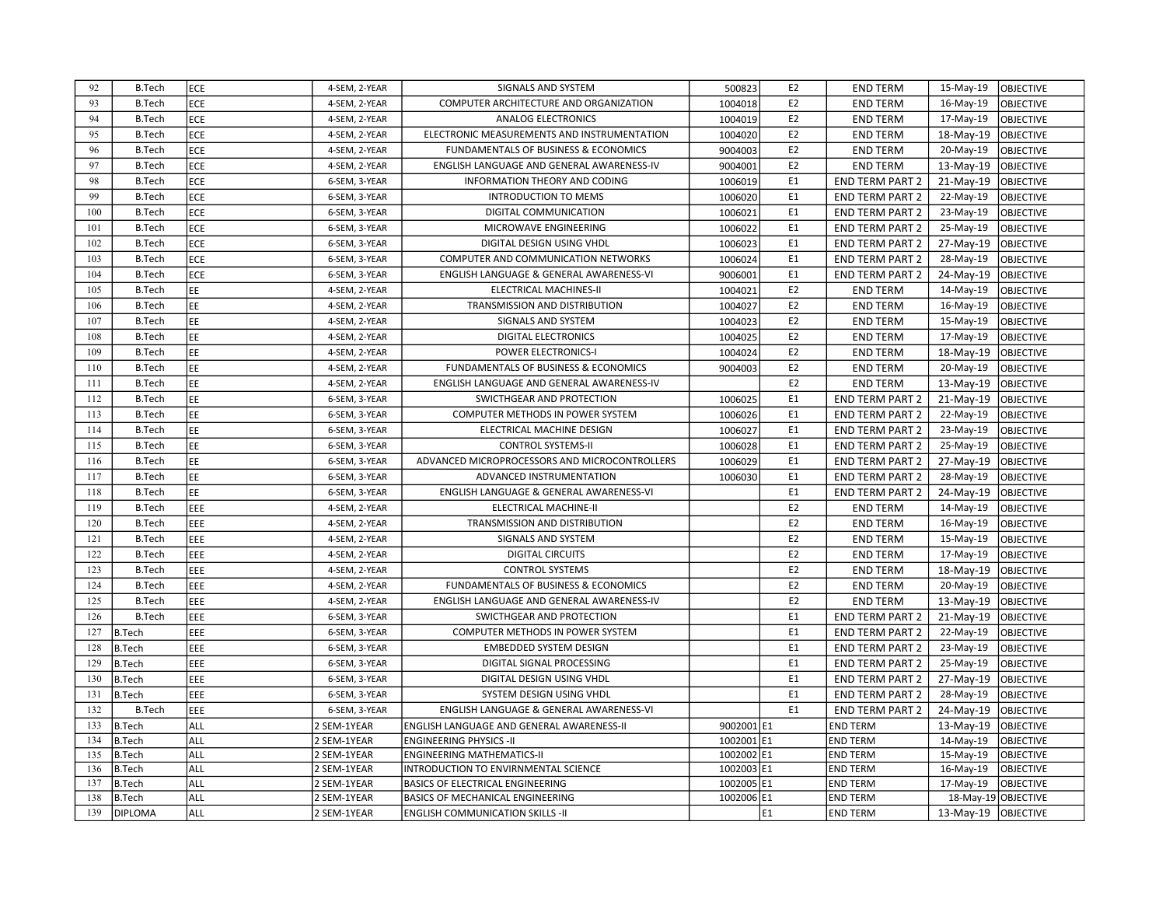| 92  | <b>B.Tech</b>  | ECE        | 4-SEM, 2-YEAR | SIGNALS AND SYSTEM                            | 500823     | E <sub>2</sub> | <b>END TERM</b>        | 15-May-19             | <b>OBJECTIVE</b> |
|-----|----------------|------------|---------------|-----------------------------------------------|------------|----------------|------------------------|-----------------------|------------------|
| 93  | <b>B.Tech</b>  | ECE        | 4-SEM, 2-YEAR | COMPUTER ARCHITECTURE AND ORGANIZATION        | 1004018    | E2             | <b>END TERM</b>        | 16-May-19             | <b>OBJECTIVE</b> |
| 94  | <b>B.Tech</b>  | ECE        | 4-SEM, 2-YEAR | <b>ANALOG ELECTRONICS</b>                     | 1004019    | E <sub>2</sub> | <b>END TERM</b>        | 17-May-19             | OBJECTIVE        |
| 95  | <b>B.Tech</b>  | <b>ECE</b> | 4-SEM, 2-YEAR | ELECTRONIC MEASUREMENTS AND INSTRUMENTATION   | 1004020    | E <sub>2</sub> | <b>END TERM</b>        | 18-May-19             | <b>OBJECTIVE</b> |
| 96  | <b>B.Tech</b>  | <b>ECE</b> | 4-SEM, 2-YEAR | FUNDAMENTALS OF BUSINESS & ECONOMICS          | 9004003    | E <sub>2</sub> | <b>END TERM</b>        | 20-May-19             | OBJECTIVE        |
| 97  | <b>B.Tech</b>  | ECE        | 4-SEM, 2-YEAR | ENGLISH LANGUAGE AND GENERAL AWARENESS-IV     | 9004001    | E <sub>2</sub> | <b>END TERM</b>        | 13-May-19             | OBJECTIVE        |
| 98  | <b>B.Tech</b>  | ECE        | 6-SEM, 3-YEAR | INFORMATION THEORY AND CODING                 | 1006019    | E1             | <b>END TERM PART 2</b> | 21-May-19             | OBJECTIVE        |
| 99  | <b>B.Tech</b>  | ECE        | 6-SEM, 3-YEAR | <b>INTRODUCTION TO MEMS</b>                   | 1006020    | E1             | <b>END TERM PART 2</b> | 22-May-19             | OBJECTIVE        |
| 100 | <b>B.Tech</b>  | ECE        | 6-SEM, 3-YEAR | DIGITAL COMMUNICATION                         | 1006021    | E <sub>1</sub> | <b>END TERM PART 2</b> | 23-May-19             | <b>OBJECTIVE</b> |
| 101 | <b>B.Tech</b>  | ECE        | 6-SEM, 3-YEAR | MICROWAVE ENGINEERING                         | 1006022    | E <sub>1</sub> | <b>END TERM PART 2</b> | 25-May-19             | <b>OBJECTIVE</b> |
| 102 | <b>B.Tech</b>  | ECE        | 6-SEM, 3-YEAR | DIGITAL DESIGN USING VHDL                     | 1006023    | E <sub>1</sub> | <b>END TERM PART 2</b> | 27-May-19             | OBJECTIVE        |
| 103 | <b>B.Tech</b>  | ECE        | 6-SEM, 3-YEAR | COMPUTER AND COMMUNICATION NETWORKS           | 1006024    | E <sub>1</sub> | <b>END TERM PART 2</b> | 28-May-19             | OBJECTIVE        |
| 104 | <b>B.Tech</b>  | ECE        | 6-SEM, 3-YEAR | ENGLISH LANGUAGE & GENERAL AWARENESS-VI       | 9006001    | E1             | <b>END TERM PART 2</b> | 24-May-19             | OBJECTIVE        |
| 105 | <b>B.Tech</b>  | EE         | 4-SEM, 2-YEAR | ELECTRICAL MACHINES-II                        | 1004021    | E <sub>2</sub> | <b>END TERM</b>        | 14-May-19             | OBJECTIVE        |
| 106 | <b>B.Tech</b>  | EE         | 4-SEM, 2-YEAR | TRANSMISSION AND DISTRIBUTION                 | 1004027    | E <sub>2</sub> | <b>END TERM</b>        | 16-May-19             | OBJECTIVE        |
| 107 | <b>B.Tech</b>  | EE         | 4-SEM, 2-YEAR | SIGNALS AND SYSTEM                            | 1004023    | E <sub>2</sub> | <b>END TERM</b>        | 15-May-19             | <b>OBJECTIVE</b> |
| 108 | <b>B.Tech</b>  | EE         | 4-SEM, 2-YEAR | DIGITAL ELECTRONICS                           | 1004025    | E <sub>2</sub> | <b>END TERM</b>        | 17-May-19             | <b>OBJECTIVE</b> |
| 109 | <b>B.Tech</b>  | EE         | 4-SEM, 2-YEAR | <b>POWER ELECTRONICS-I</b>                    | 1004024    | E <sub>2</sub> | <b>END TERM</b>        | 18-May-19             | OBJECTIVE        |
| 110 | <b>B.Tech</b>  | EE         | 4-SEM, 2-YEAR | FUNDAMENTALS OF BUSINESS & ECONOMICS          | 9004003    | E <sub>2</sub> | <b>END TERM</b>        | 20-May-19             | OBJECTIVE        |
| 111 | <b>B.Tech</b>  | EE         | 4-SEM, 2-YEAR | ENGLISH LANGUAGE AND GENERAL AWARENESS-IV     |            | E <sub>2</sub> | <b>END TERM</b>        | 13-May-19             | OBJECTIVE        |
| 112 | <b>B.Tech</b>  | EE         | 6-SEM, 3-YEAR | SWICTHGEAR AND PROTECTION                     | 1006025    | E <sub>1</sub> | <b>END TERM PART 2</b> | 21-May-19             | OBJECTIVE        |
| 113 | <b>B.Tech</b>  | EE         | 6-SEM, 3-YEAR | COMPUTER METHODS IN POWER SYSTEM              | 1006026    | E <sub>1</sub> | <b>END TERM PART 2</b> | 22-May-19             | OBJECTIVE        |
| 114 | <b>B.Tech</b>  | EE         | 6-SEM, 3-YEAR | ELECTRICAL MACHINE DESIGN                     | 1006027    | E1             | END TERM PART 2        | 23-May-19             | <b>OBJECTIVE</b> |
| 115 | <b>B.Tech</b>  | EE         | 6-SEM, 3-YEAR | <b>CONTROL SYSTEMS-II</b>                     | 1006028    | E1             | <b>END TERM PART 2</b> | 25-May-19             | <b>OBJECTIVE</b> |
| 116 | <b>B.Tech</b>  | EE         | 6-SEM, 3-YEAR | ADVANCED MICROPROCESSORS AND MICROCONTROLLERS | 1006029    | E1             | <b>END TERM PART 2</b> | 27-May-19             | OBJECTIVE        |
| 117 | <b>B.Tech</b>  | EE         | 6-SEM, 3-YEAR | ADVANCED INSTRUMENTATION                      | 1006030    | E1             | <b>END TERM PART 2</b> | 28-May-19             | <b>OBJECTIVE</b> |
| 118 | <b>B.Tech</b>  | EE         | 6-SEM, 3-YEAR | ENGLISH LANGUAGE & GENERAL AWARENESS-VI       |            | E <sub>1</sub> | <b>END TERM PART 2</b> | 24-May-19             | OBJECTIVE        |
| 119 | <b>B.Tech</b>  | EEE        | 4-SEM, 2-YEAR | ELECTRICAL MACHINE-II                         |            | E <sub>2</sub> | <b>END TERM</b>        | 14-May-19             | OBJECTIVE        |
| 120 | <b>B.Tech</b>  | EEE        | 4-SEM, 2-YEAR | TRANSMISSION AND DISTRIBUTION                 |            | E <sub>2</sub> | <b>END TERM</b>        | 16-May-19             | OBJECTIVE        |
| 121 | <b>B.Tech</b>  | EEE        | 4-SEM, 2-YEAR | SIGNALS AND SYSTEM                            |            | E <sub>2</sub> | <b>END TERM</b>        | 15-May-19             | <b>OBJECTIVE</b> |
| 122 | <b>B.Tech</b>  | EEE        | 4-SEM, 2-YEAR | <b>DIGITAL CIRCUITS</b>                       |            | E <sub>2</sub> | <b>END TERM</b>        | 17-May-19             | <b>OBJECTIVE</b> |
| 123 | <b>B.Tech</b>  | EEE        | 4-SEM, 2-YEAR | <b>CONTROL SYSTEMS</b>                        |            | E <sub>2</sub> | <b>END TERM</b>        | 18-May-19             | OBJECTIVE        |
| 124 | <b>B.Tech</b>  | EEE        | 4-SEM, 2-YEAR | FUNDAMENTALS OF BUSINESS & ECONOMICS          |            | E <sub>2</sub> | <b>END TERM</b>        | 20-May-19             | OBJECTIVE        |
| 125 | <b>B.Tech</b>  | EEE        | 4-SEM, 2-YEAR | ENGLISH LANGUAGE AND GENERAL AWARENESS-IV     |            | E <sub>2</sub> | <b>END TERM</b>        | 13-May-19             | OBJECTIVE        |
| 126 | <b>B.Tech</b>  | EEE        | 6-SEM, 3-YEAR | SWICTHGEAR AND PROTECTION                     |            | E <sub>1</sub> | <b>END TERM PART 2</b> | 21-May-19             | OBJECTIVE        |
| 127 | <b>B.Tech</b>  | EEE        | 6-SEM, 3-YEAR | COMPUTER METHODS IN POWER SYSTEM              |            | E <sub>1</sub> | <b>END TERM PART 2</b> | 22-May-19             | OBJECTIVE        |
| 128 | <b>B.Tech</b>  | EEE        | 6-SEM, 3-YEAR | <b>EMBEDDED SYSTEM DESIGN</b>                 |            | E <sub>1</sub> | <b>END TERM PART 2</b> | 23-May-19             | <b>OBJECTIVE</b> |
| 129 | <b>B.Tech</b>  | EEE        | 6-SEM, 3-YEAR | DIGITAL SIGNAL PROCESSING                     |            | E <sub>1</sub> | <b>END TERM PART 2</b> | 25-May-19             | <b>OBJECTIVE</b> |
| 130 | <b>B.Tech</b>  | EEE        | 6-SEM, 3-YEAR | DIGITAL DESIGN USING VHDL                     |            | E <sub>1</sub> | <b>END TERM PART 2</b> | 27-May-19             | OBJECTIVE        |
| 131 | <b>B.Tech</b>  | EEE        | 6-SEM, 3-YEAR | SYSTEM DESIGN USING VHDL                      |            | E1             | <b>END TERM PART 2</b> | 28-May-19             | OBJECTIVE        |
| 132 | <b>B.Tech</b>  | EEE        | 6-SEM, 3-YEAR | ENGLISH LANGUAGE & GENERAL AWARENESS-VI       |            | E <sub>1</sub> | <b>END TERM PART 2</b> | 24-May-19             | OBJECTIVE        |
| 133 | <b>B.Tech</b>  | <b>ALL</b> | 2 SEM-1YEAR   | ENGLISH LANGUAGE AND GENERAL AWARENESS-II     | 9002001 E1 |                | <b>END TERM</b>        | 13-May-19             | <b>OBJECTIVE</b> |
| 134 | <b>B.Tech</b>  | ALL        | 2 SEM-1YEAR   | <b>ENGINEERING PHYSICS -II</b>                | 1002001 E1 |                | <b>END TERM</b>        | 14-May-19             | OBJECTIVE        |
| 135 | <b>B.Tech</b>  | ALL        | 2 SEM-1YEAR   | <b>ENGINEERING MATHEMATICS-II</b>             | 1002002 E1 |                | <b>END TERM</b>        | 15-May-19             | OBJECTIVE        |
| 136 | <b>B.Tech</b>  | ALL        | 2 SEM-1YEAR   | INTRODUCTION TO ENVIRNMENTAL SCIENCE          | 1002003 E1 |                | <b>END TERM</b>        | 16-May-19             | <b>OBJECTIVE</b> |
| 137 | <b>B.Tech</b>  | ALL        | 2 SEM-1YEAR   | BASICS OF ELECTRICAL ENGINEERING              | 1002005 E1 |                | <b>END TERM</b>        | 17-May-19             | <b>OBJECTIVE</b> |
| 138 | <b>B.Tech</b>  | ALL        | 2 SEM-1YEAR   | <b>BASICS OF MECHANICAL ENGINEERING</b>       | 1002006 E1 |                | <b>END TERM</b>        | 18-May-19 OBJECTIVE   |                  |
| 139 | <b>DIPLOMA</b> | <b>ALL</b> | 2 SEM-1YEAR   | <b>ENGLISH COMMUNICATION SKILLS -II</b>       |            | E1             | <b>END TERM</b>        | 13-May-19   OBJECTIVE |                  |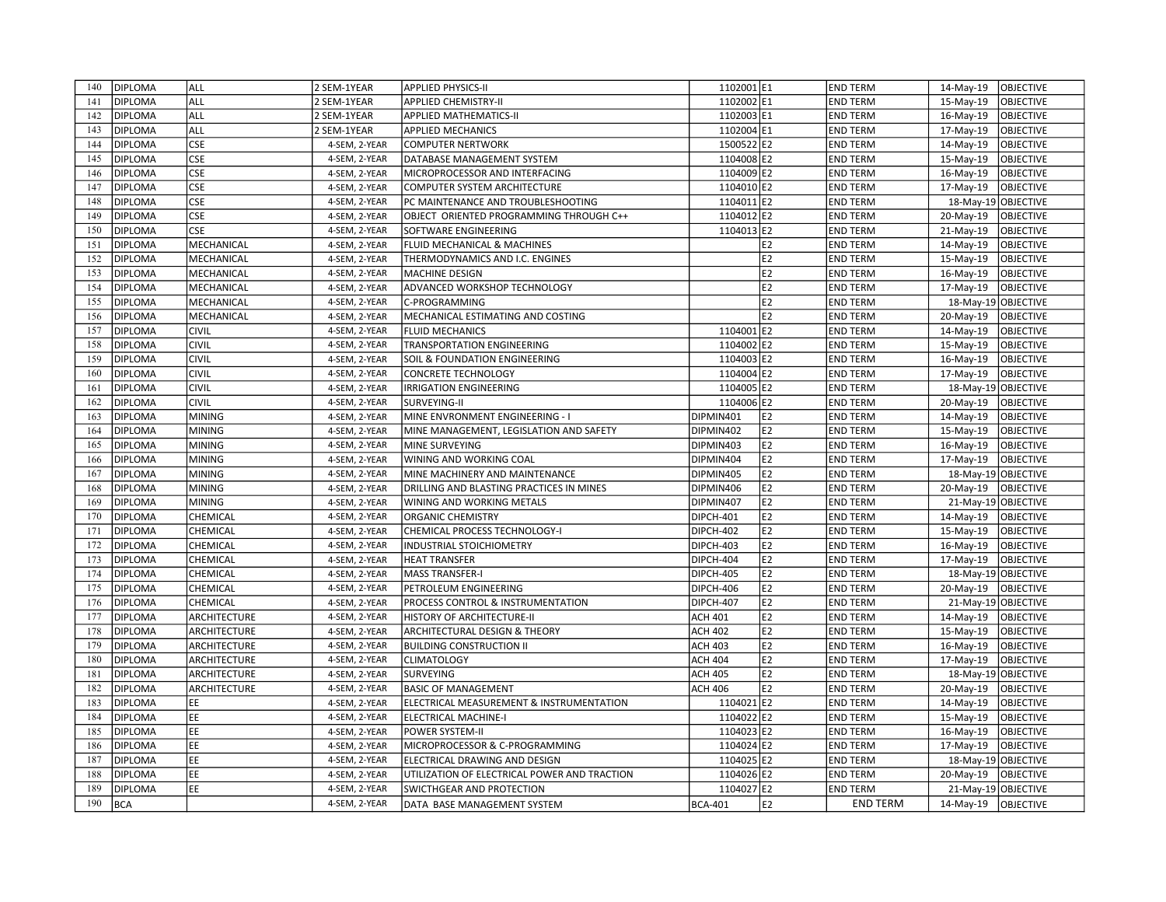| 140 | DIPLOMA                          | ALL                          | 2 SEM-1YEAR   | <b>APPLIED PHYSICS-II</b>                                   | 1102001 E1                             | <b>END TERM</b> | 14-May-19<br><b>OBJECTIVE</b>                                  |
|-----|----------------------------------|------------------------------|---------------|-------------------------------------------------------------|----------------------------------------|-----------------|----------------------------------------------------------------|
| 141 | <b>DIPLOMA</b>                   | ALL                          | 2 SEM-1YEAR   | <b>APPLIED CHEMISTRY-II</b>                                 | 1102002 E1                             | <b>END TERM</b> | 15-May-19<br><b>OBJECTIVE</b>                                  |
| 142 | <b>DIPLOMA</b>                   | ALL                          | 2 SEM-1YEAR   | <b>APPLIED MATHEMATICS-II</b>                               | 1102003 E1                             | <b>END TERM</b> | 16-May-19<br><b>OBJECTIVE</b>                                  |
| 143 | <b>DIPLOMA</b>                   | ALL                          | 2 SEM-1YEAR   | <b>APPLIED MECHANICS</b>                                    | 1102004 E1                             | <b>END TERM</b> | <b>OBJECTIVE</b><br>17-May-19                                  |
| 144 | <b>DIPLOMA</b>                   | <b>CSE</b>                   | 4-SEM, 2-YEAR | <b>COMPUTER NERTWORK</b>                                    | 1500522 E2                             | <b>END TERM</b> | 14-May-19<br><b>OBJECTIVE</b>                                  |
| 145 | <b>DIPLOMA</b>                   | <b>CSE</b>                   | 4-SEM, 2-YEAR | DATABASE MANAGEMENT SYSTEM                                  | 1104008 E2                             | <b>END TERM</b> | <b>OBJECTIVE</b><br>15-May-19                                  |
| 146 | <b>DIPLOMA</b>                   | <b>CSE</b>                   | 4-SEM, 2-YEAR | MICROPROCESSOR AND INTERFACING                              | 1104009 E2                             | <b>END TERM</b> | 16-May-19<br><b>OBJECTIVE</b>                                  |
| 147 | <b>DIPLOMA</b>                   | <b>CSE</b>                   | 4-SEM, 2-YEAR | COMPUTER SYSTEM ARCHITECTURE                                | 1104010 E2                             | <b>END TERM</b> | <b>OBJECTIVE</b><br>17-May-19                                  |
| 148 | <b>DIPLOMA</b>                   | <b>CSE</b>                   | 4-SEM, 2-YEAR | PC MAINTENANCE AND TROUBLESHOOTING                          | 1104011 E2                             | <b>END TERM</b> | 18-May-19 OBJECTIVE                                            |
| 149 | <b>DIPLOMA</b>                   | <b>CSE</b>                   | 4-SEM, 2-YEAR | OBJECT ORIENTED PROGRAMMING THROUGH C++                     | 1104012 E2                             | <b>END TERM</b> | 20-May-19<br><b>OBJECTIVE</b>                                  |
| 150 | <b>DIPLOMA</b>                   | <b>CSE</b>                   | 4-SEM, 2-YEAR | SOFTWARE ENGINEERING                                        | 1104013 E2                             | <b>END TERM</b> | 21-May-19<br><b>OBJECTIVE</b>                                  |
| 151 | <b>DIPLOMA</b>                   | MECHANICAL                   | 4-SEM, 2-YEAR | FLUID MECHANICAL & MACHINES                                 | E2                                     | <b>END TERM</b> | 14-May-19<br><b>OBJECTIVE</b>                                  |
| 152 | <b>DIPLOMA</b>                   | MECHANICAL                   | 4-SEM, 2-YEAR | THERMODYNAMICS AND I.C. ENGINES                             | E2                                     | <b>END TERM</b> | 15-May-19<br><b>OBJECTIVE</b>                                  |
| 153 | <b>DIPLOMA</b>                   | MECHANICAL                   | 4-SEM, 2-YEAR | MACHINE DESIGN                                              | E <sub>2</sub>                         | <b>END TERM</b> | 16-May-19<br><b>OBJECTIVE</b>                                  |
| 154 | <b>DIPLOMA</b>                   | MECHANICAL                   | 4-SEM, 2-YEAR | ADVANCED WORKSHOP TECHNOLOGY                                | E2                                     | <b>END TERM</b> | 17-May-19<br><b>OBJECTIVE</b>                                  |
| 155 | <b>DIPLOMA</b>                   | MECHANICAL                   | 4-SEM, 2-YEAR | C-PROGRAMMING                                               | E2                                     | <b>END TERM</b> | 18-May-19 OBJECTIVE                                            |
| 156 | <b>DIPLOMA</b>                   | MECHANICAL                   | 4-SEM, 2-YEAR | MECHANICAL ESTIMATING AND COSTING                           | E2                                     | <b>END TERM</b> | 20-May-19<br><b>OBJECTIVE</b>                                  |
| 157 | <b>DIPLOMA</b>                   | <b>CIVIL</b>                 | 4-SEM, 2-YEAR | <b>FLUID MECHANICS</b>                                      | 1104001 E2                             | <b>END TERM</b> | 14-May-19<br><b>OBJECTIVE</b>                                  |
| 158 | <b>DIPLOMA</b>                   | <b>CIVIL</b>                 | 4-SEM, 2-YEAR | <b>TRANSPORTATION ENGINEERING</b>                           | 1104002 E2                             | <b>END TERM</b> | <b>OBJECTIVE</b><br>15-May-19                                  |
| 159 | <b>DIPLOMA</b>                   | <b>CIVIL</b>                 | 4-SEM, 2-YEAR | SOIL & FOUNDATION ENGINEERING                               | 1104003 E2                             | <b>END TERM</b> | 16-May-19<br><b>OBJECTIVE</b>                                  |
| 160 | <b>DIPLOMA</b>                   | <b>CIVIL</b>                 | 4-SEM, 2-YEAR | <b>CONCRETE TECHNOLOGY</b>                                  | 1104004 E2                             | <b>END TERM</b> | <b>OBJECTIVE</b><br>17-May-19                                  |
| 161 | <b>DIPLOMA</b>                   | <b>CIVIL</b>                 | 4-SEM, 2-YEAR | <b>IRRIGATION ENGINEERING</b>                               | 1104005 E2                             | <b>END TERM</b> | 18-May-19 OBJECTIVE                                            |
| 162 | <b>DIPLOMA</b>                   | <b>CIVIL</b>                 | 4-SEM, 2-YEAR | SURVEYING-II                                                | 1104006 E2                             | <b>END TERM</b> | 20-May-19<br><b>OBJECTIVE</b>                                  |
| 163 | <b>DIPLOMA</b>                   | <b>MINING</b>                | 4-SEM, 2-YEAR | MINE ENVRONMENT ENGINEERING - I                             | DIPMIN401<br>E2                        | <b>END TERM</b> | 14-May-19<br><b>OBJECTIVE</b>                                  |
| 164 | <b>DIPLOMA</b>                   | <b>MINING</b>                | 4-SEM, 2-YEAR | MINE MANAGEMENT, LEGISLATION AND SAFETY                     | E2<br>DIPMIN402                        | <b>END TERM</b> | 15-May-19<br><b>OBJECTIVE</b>                                  |
| 165 | <b>DIPLOMA</b>                   | <b>MINING</b>                | 4-SEM, 2-YEAR | MINE SURVEYING                                              | E2<br>DIPMIN403                        | <b>END TERM</b> | 16-May-19<br><b>OBJECTIVE</b>                                  |
| 166 | <b>DIPLOMA</b>                   | <b>MINING</b>                | 4-SEM, 2-YEAR | WINING AND WORKING COAL                                     | E <sub>2</sub><br>DIPMIN404            | <b>END TERM</b> | 17-May-19<br><b>OBJECTIVE</b>                                  |
| 167 | <b>DIPLOMA</b>                   | <b>MINING</b>                | 4-SEM, 2-YEAR | MINE MACHINERY AND MAINTENANCE                              | E2<br>DIPMIN405                        | <b>END TERM</b> | 18-May-19 OBJECTIVE                                            |
| 168 | <b>DIPLOMA</b>                   | <b>MINING</b>                | 4-SEM, 2-YEAR | DRILLING AND BLASTING PRACTICES IN MINES                    | E2<br>DIPMIN406                        | <b>END TERM</b> | 20-May-19<br><b>OBJECTIVE</b>                                  |
| 169 | <b>DIPLOMA</b>                   | <b>MINING</b>                | 4-SEM, 2-YEAR | WINING AND WORKING METALS                                   | E2<br>DIPMIN407                        | <b>END TERM</b> | 21-May-19 OBJECTIVE                                            |
| 170 | <b>DIPLOMA</b>                   | CHEMICAL                     | 4-SEM, 2-YEAR | <b>ORGANIC CHEMISTRY</b>                                    | E2<br>DIPCH-401                        | <b>END TERM</b> | 14-May-19<br><b>OBJECTIVE</b>                                  |
| 171 | <b>DIPLOMA</b>                   | CHEMICAL                     | 4-SEM, 2-YEAR | CHEMICAL PROCESS TECHNOLOGY-I                               | DIPCH-402<br>E2                        | <b>END TERM</b> | 15-May-19<br><b>OBJECTIVE</b>                                  |
| 172 | <b>DIPLOMA</b>                   | CHEMICAL                     | 4-SEM, 2-YEAR | INDUSTRIAL STOICHIOMETRY                                    | E <sub>2</sub><br>DIPCH-403            | <b>END TERM</b> | 16-May-19<br><b>OBJECTIVE</b>                                  |
| 173 | <b>DIPLOMA</b>                   | CHEMICAL                     | 4-SEM, 2-YEAR | <b>HEAT TRANSFER</b>                                        | E2<br>DIPCH-404                        | <b>END TERM</b> | <b>OBJECTIVE</b><br>17-May-19                                  |
| 174 | <b>DIPLOMA</b>                   | CHEMICAL                     | 4-SEM, 2-YEAR | <b>MASS TRANSFER-I</b>                                      | E2<br>DIPCH-405                        | <b>END TERM</b> | 18-May-19 OBJECTIVE                                            |
| 175 | <b>DIPLOMA</b>                   | CHEMICAL                     | 4-SEM, 2-YEAR | PETROLEUM ENGINEERING                                       | E2<br><b>DIPCH-406</b>                 | <b>END TERM</b> |                                                                |
| 176 | <b>DIPLOMA</b>                   | CHEMICAL                     | 4-SEM, 2-YEAR | PROCESS CONTROL & INSTRUMENTATION                           | E2<br>DIPCH-407                        | <b>END TERM</b> | 20-May-19<br><b>OBJECTIVE</b><br>21-May-19 OBJECTIVE           |
| 177 |                                  |                              | 4-SEM, 2-YEAR |                                                             | E2                                     | <b>END TERM</b> |                                                                |
| 178 | <b>DIPLOMA</b><br><b>DIPLOMA</b> | ARCHITECTURE<br>ARCHITECTURE | 4-SEM, 2-YEAR | HISTORY OF ARCHITECTURE-II<br>ARCHITECTURAL DESIGN & THEORY | <b>ACH 401</b><br>E2<br><b>ACH 402</b> | <b>END TERM</b> | 14-May-19<br><b>OBJECTIVE</b><br>15-May-19<br><b>OBJECTIVE</b> |
| 179 |                                  |                              | 4-SEM, 2-YEAR |                                                             | E <sub>2</sub>                         |                 |                                                                |
| 180 | <b>DIPLOMA</b>                   | ARCHITECTURE                 |               | <b>BUILDING CONSTRUCTION II</b>                             | <b>ACH 403</b><br>E2                   | <b>END TERM</b> | 16-May-19<br><b>OBJECTIVE</b>                                  |
|     | <b>DIPLOMA</b>                   | ARCHITECTURE                 | 4-SEM, 2-YEAR | <b>CLIMATOLOGY</b>                                          | <b>ACH 404</b>                         | <b>END TERM</b> | 17-May-19<br><b>OBJECTIVE</b>                                  |
| 181 | <b>DIPLOMA</b>                   | ARCHITECTURE                 | 4-SEM, 2-YEAR | <b>SURVEYING</b>                                            | E <sub>2</sub><br><b>ACH 405</b>       | <b>END TERM</b> | 18-May-19 OBJECTIVE                                            |
| 182 | <b>DIPLOMA</b>                   | ARCHITECTURE                 | 4-SEM, 2-YEAR | <b>BASIC OF MANAGEMENT</b>                                  | E2<br>ACH 406                          | <b>END TERM</b> | 20-May-19<br><b>OBJECTIVE</b>                                  |
| 183 | <b>DIPLOMA</b>                   | EE.                          | 4-SEM, 2-YEAR | ELECTRICAL MEASUREMENT & INSTRUMENTATION                    | 1104021 E2                             | <b>END TERM</b> | 14-May-19<br><b>OBJECTIVE</b>                                  |
| 184 | <b>DIPLOMA</b>                   | EE                           | 4-SEM, 2-YEAR | <b>ELECTRICAL MACHINE-I</b>                                 | 1104022 E2                             | <b>END TERM</b> | 15-May-19<br><b>OBJECTIVE</b>                                  |
| 185 | <b>DIPLOMA</b>                   | EE.                          | 4-SEM, 2-YEAR | POWER SYSTEM-II                                             | 1104023 E2                             | <b>END TERM</b> | 16-May-19<br><b>OBJECTIVE</b>                                  |
| 186 | <b>DIPLOMA</b>                   | EE                           | 4-SEM, 2-YEAR | MICROPROCESSOR & C-PROGRAMMING                              | 1104024 E2                             | <b>END TERM</b> | 17-May-19<br><b>OBJECTIVE</b>                                  |
| 187 | <b>DIPLOMA</b>                   | EE                           | 4-SEM, 2-YEAR | ELECTRICAL DRAWING AND DESIGN                               | 1104025 E2                             | <b>END TERM</b> | 18-May-19 OBJECTIVE                                            |
| 188 | <b>DIPLOMA</b>                   | <b>EE</b>                    | 4-SEM, 2-YEAR | UTILIZATION OF ELECTRICAL POWER AND TRACTION                | 1104026 E2                             | <b>END TERM</b> | 20-May-19<br><b>OBJECTIVE</b>                                  |
| 189 | <b>DIPLOMA</b>                   | EE                           | 4-SEM, 2-YEAR | SWICTHGEAR AND PROTECTION                                   | 1104027 E2                             | <b>END TERM</b> | 21-May-19 OBJECTIVE                                            |
| 190 | <b>BCA</b>                       |                              | 4-SEM, 2-YEAR | DATA BASE MANAGEMENT SYSTEM                                 | E2<br>BCA-401                          | <b>END TERM</b> | 14-May-19 OBJECTIVE                                            |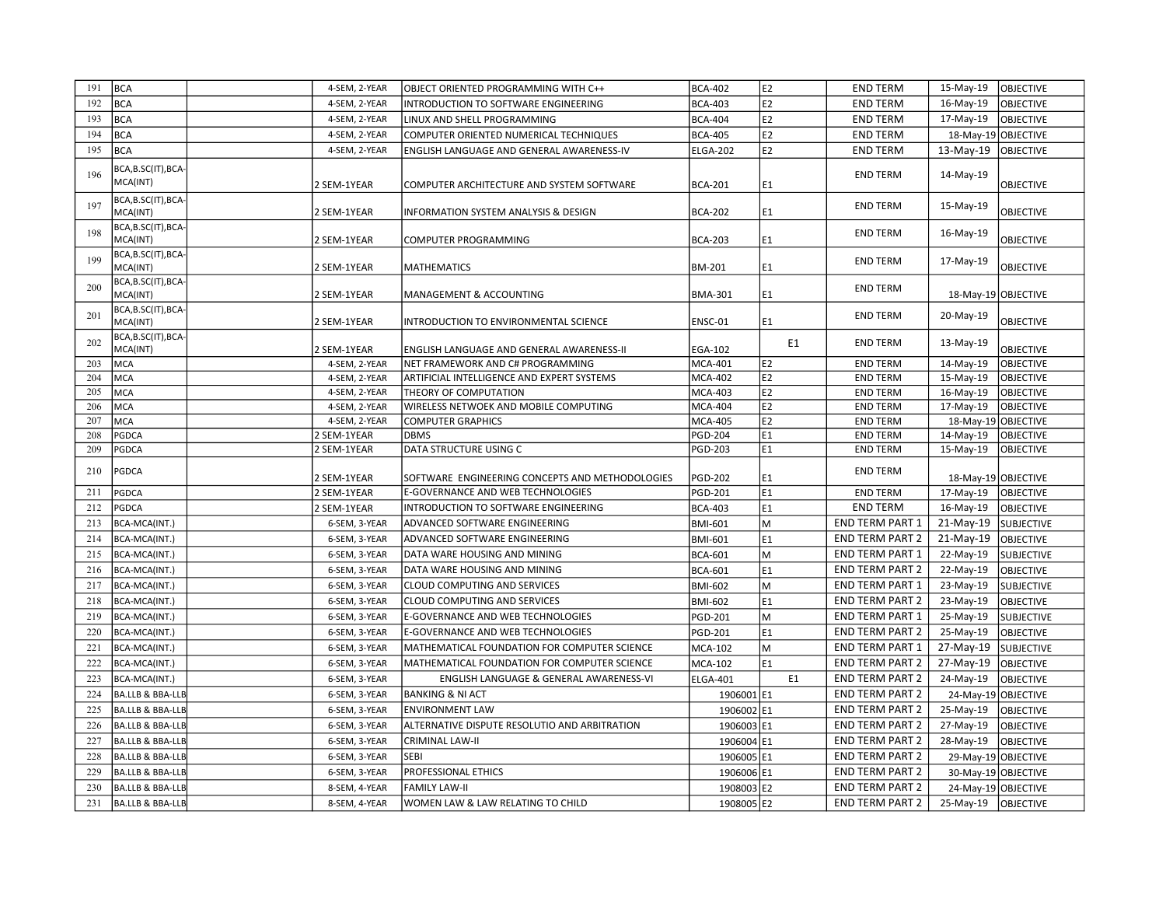| 191 | <b>BCA</b>                      | 4-SEM, 2-YEAR | OBJECT ORIENTED PROGRAMMING WITH C++            | <b>BCA-402</b>  | E <sub>2</sub> | <b>END TERM</b>        | 15-May-19<br>OBJECTIVE         |
|-----|---------------------------------|---------------|-------------------------------------------------|-----------------|----------------|------------------------|--------------------------------|
| 192 | <b>BCA</b>                      | 4-SEM, 2-YEAR | INTRODUCTION TO SOFTWARE ENGINEERING            | <b>BCA-403</b>  | E <sub>2</sub> | <b>END TERM</b>        | 16-May-19<br><b>OBJECTIVE</b>  |
| 193 | BCA                             | 4-SEM, 2-YEAR | LINUX AND SHELL PROGRAMMING                     | <b>BCA-404</b>  | E2             | <b>END TERM</b>        | 17-May-19<br><b>OBJECTIVE</b>  |
| 194 | <b>BCA</b>                      | 4-SEM, 2-YEAR | COMPUTER ORIENTED NUMERICAL TECHNIQUES          | <b>BCA-405</b>  | E2             | <b>END TERM</b>        | 18-May-19 OBJECTIVE            |
| 195 | <b>BCA</b>                      | 4-SEM, 2-YEAR | ENGLISH LANGUAGE AND GENERAL AWARENESS-IV       | <b>ELGA-202</b> | E2             | <b>END TERM</b>        | 13-May-19<br><b>OBJECTIVE</b>  |
| 196 | BCA, B.SC(IT), BCA-<br>MCA(INT) | 2 SEM-1YEAR   | COMPUTER ARCHITECTURE AND SYSTEM SOFTWARE       | <b>BCA-201</b>  | E1             | <b>END TERM</b>        | 14-May-19<br><b>OBJECTIVE</b>  |
|     | BCA, B.SC(IT), BCA-             |               |                                                 |                 |                |                        |                                |
| 197 | MCA(INT)                        | 2 SEM-1YEAR   | INFORMATION SYSTEM ANALYSIS & DESIGN            | <b>BCA-202</b>  | E1             | <b>END TERM</b>        | 15-May-19<br><b>OBJECTIVE</b>  |
| 198 | BCA, B.SC(IT), BCA-<br>MCA(INT) | 2 SEM-1YEAR   | COMPUTER PROGRAMMING                            | <b>BCA-203</b>  | E1             | <b>END TERM</b>        | 16-May-19<br><b>OBJECTIVE</b>  |
| 199 | BCA, B.SC(IT), BCA-             |               |                                                 |                 |                | <b>END TERM</b>        | 17-May-19                      |
|     | MCA(INT)                        | 2 SEM-1YEAR   | <b>MATHEMATICS</b>                              | <b>BM-201</b>   | E1             |                        | <b>OBJECTIVE</b>               |
| 200 | BCA, B.SC(IT), BCA-<br>MCA(INT) | 2 SEM-1YEAR   | MANAGEMENT & ACCOUNTING                         | <b>BMA-301</b>  | E1             | <b>END TERM</b>        | 18-May-19 OBJECTIVE            |
| 201 | BCA,B.SC(IT),BCA-<br>MCA(INT)   | 2 SEM-1YEAR   | INTRODUCTION TO ENVIRONMENTAL SCIENCE           | ENSC-01         | E1             | <b>END TERM</b>        | 20-May-19<br><b>OBJECTIVE</b>  |
| 202 | BCA, B.SC(IT), BCA-<br>MCA(INT) | 2 SEM-1YEAR   | ENGLISH LANGUAGE AND GENERAL AWARENESS-II       | EGA-102         | E <sub>1</sub> | <b>END TERM</b>        | 13-May-19<br><b>OBJECTIVE</b>  |
| 203 | MCA                             | 4-SEM, 2-YEAR | NET FRAMEWORK AND C# PROGRAMMING                | <b>MCA-401</b>  | E <sub>2</sub> | <b>END TERM</b>        | 14-May-19<br><b>OBJECTIVE</b>  |
| 204 | <b>MCA</b>                      | 4-SEM, 2-YEAR | ARTIFICIAL INTELLIGENCE AND EXPERT SYSTEMS      | <b>MCA-402</b>  | E2             | <b>END TERM</b>        | 15-May-19<br><b>OBJECTIVE</b>  |
| 205 | <b>MCA</b>                      | 4-SEM, 2-YEAR | THEORY OF COMPUTATION                           | <b>MCA-403</b>  | E2             | <b>END TERM</b>        | 16-May-19<br>OBJECTIVE         |
| 206 | <b>MCA</b>                      | 4-SEM, 2-YEAR | WIRELESS NETWOEK AND MOBILE COMPUTING           | <b>MCA-404</b>  | E2             | <b>END TERM</b>        | 17-May-19<br>OBJECTIVE         |
| 207 | <b>MCA</b>                      | 4-SEM, 2-YEAR | <b>COMPUTER GRAPHICS</b>                        | <b>MCA-405</b>  | E <sub>2</sub> | <b>END TERM</b>        | 18-May-19 OBJECTIVE            |
| 208 | PGDCA                           | 2 SEM-1YEAR   | <b>DBMS</b>                                     | <b>PGD-204</b>  | E1             | <b>END TERM</b>        | 14-May-19<br>OBJECTIVE         |
| 209 | PGDCA                           | 2 SEM-1YEAR   | DATA STRUCTURE USING C                          | <b>PGD-203</b>  | E1             | <b>END TERM</b>        | 15-May-19<br><b>OBJECTIVE</b>  |
| 210 | PGDCA                           | 2 SEM-1YEAR   | SOFTWARE ENGINEERING CONCEPTS AND METHODOLOGIES | <b>PGD-202</b>  | E1             | <b>END TERM</b>        | 18-May-19 OBJECTIVE            |
| 211 | PGDCA                           | 2 SEM-1YEAR   | E-GOVERNANCE AND WEB TECHNOLOGIES               | PGD-201         | E1             | <b>END TERM</b>        | 17-May-19<br><b>OBJECTIVE</b>  |
| 212 | PGDCA                           | 2 SEM-1YEAR   | INTRODUCTION TO SOFTWARE ENGINEERING            | <b>BCA-403</b>  | E1             | <b>END TERM</b>        | 16-May-19<br><b>OBJECTIVE</b>  |
| 213 | BCA-MCA(INT.)                   | 6-SEM, 3-YEAR | ADVANCED SOFTWARE ENGINEERING                   | BMI-601         | M              | <b>END TERM PART 1</b> | 21-May-19<br><b>SUBJECTIVE</b> |
| 214 | BCA-MCA(INT.)                   | 6-SEM, 3-YEAR | ADVANCED SOFTWARE ENGINEERING                   | BMI-601         | E1             | <b>END TERM PART 2</b> | 21-May-19<br><b>OBJECTIVE</b>  |
| 215 | BCA-MCA(INT.)                   | 6-SEM, 3-YEAR | DATA WARE HOUSING AND MINING                    | <b>BCA-601</b>  | M              | <b>END TERM PART 1</b> | 22-May-19<br><b>SUBJECTIVE</b> |
| 216 | BCA-MCA(INT.)                   | 6-SEM, 3-YEAR | DATA WARE HOUSING AND MINING                    | <b>BCA-601</b>  | E1             | <b>END TERM PART 2</b> | 22-May-19<br><b>OBJECTIVE</b>  |
| 217 | BCA-MCA(INT.)                   | 6-SEM, 3-YEAR | CLOUD COMPUTING AND SERVICES                    | <b>BMI-602</b>  | M              | <b>END TERM PART 1</b> | 23-May-19<br><b>SUBJECTIVE</b> |
| 218 | BCA-MCA(INT.)                   | 6-SEM, 3-YEAR | CLOUD COMPUTING AND SERVICES                    | <b>BMI-602</b>  | E1             | <b>END TERM PART 2</b> | 23-May-19<br>OBJECTIVE         |
| 219 | BCA-MCA(INT.)                   | 6-SEM, 3-YEAR | E-GOVERNANCE AND WEB TECHNOLOGIES               | <b>PGD-201</b>  | M              | <b>END TERM PART 1</b> | 25-May-19<br><b>SUBJECTIVE</b> |
| 220 | BCA-MCA(INT.)                   | 6-SEM, 3-YEAR | E-GOVERNANCE AND WEB TECHNOLOGIES               | <b>PGD-201</b>  | E1             | <b>END TERM PART 2</b> | 25-May-19<br><b>OBJECTIVE</b>  |
| 221 | BCA-MCA(INT.)                   | 6-SEM, 3-YEAR | MATHEMATICAL FOUNDATION FOR COMPUTER SCIENCE    | <b>MCA-102</b>  | M              | END TERM PART 1        | 27-May-19<br><b>SUBJECTIVE</b> |
| 222 | BCA-MCA(INT.)                   | 6-SEM, 3-YEAR | MATHEMATICAL FOUNDATION FOR COMPUTER SCIENCE    | <b>MCA-102</b>  | E1             | <b>END TERM PART 2</b> | 27-May-19<br><b>OBJECTIVE</b>  |
| 223 | BCA-MCA(INT.)                   | 6-SEM, 3-YEAR | ENGLISH LANGUAGE & GENERAL AWARENESS-VI         | <b>ELGA-401</b> | E1             | <b>END TERM PART 2</b> | 24-May-19<br><b>OBJECTIVE</b>  |
| 224 | <b>BA.LLB &amp; BBA-LLB</b>     | 6-SEM, 3-YEAR | <b>BANKING &amp; NI ACT</b>                     | 1906001 E1      |                | <b>END TERM PART 2</b> | 24-May-19 OBJECTIVE            |
| 225 | <b>BA.LLB &amp; BBA-LLB</b>     | 6-SEM, 3-YEAR | <b>ENVIRONMENT LAW</b>                          | 1906002 E1      |                | <b>END TERM PART 2</b> | 25-May-19<br><b>OBJECTIVE</b>  |
| 226 | BA.LLB & BBA-LLB                | 6-SEM, 3-YEAR | ALTERNATIVE DISPUTE RESOLUTIO AND ARBITRATION   | 1906003 E1      |                | <b>END TERM PART 2</b> | 27-May-19<br>OBJECTIVE         |
| 227 | BA.LLB & BBA-LLB                | 6-SEM, 3-YEAR | CRIMINAL LAW-II                                 | 1906004 E1      |                | <b>END TERM PART 2</b> | 28-May-19<br><b>OBJECTIVE</b>  |
| 228 | BA.LLB & BBA-LLB                | 6-SEM, 3-YEAR | <b>SEBI</b>                                     | 1906005 E1      |                | <b>END TERM PART 2</b> | 29-May-19 OBJECTIVE            |
| 229 | <b>BA.LLB &amp; BBA-LLB</b>     | 6-SEM, 3-YEAR | PROFESSIONAL ETHICS                             | 1906006 E1      |                | <b>END TERM PART 2</b> | 30-May-19 OBJECTIVE            |
| 230 |                                 |               |                                                 |                 |                | <b>END TERM PART 2</b> |                                |
|     | BA.LLB & BBA-LLB                | 8-SEM, 4-YEAR | <b>FAMILY LAW-II</b>                            | 1908003 E2      |                |                        | 24-May-19 OBJECTIVE            |
| 231 | BA.LLB & BBA-LLB                | 8-SEM, 4-YEAR | WOMEN LAW & LAW RELATING TO CHILD               | 1908005 E2      |                | <b>END TERM PART 2</b> | 25-May-19 OBJECTIVE            |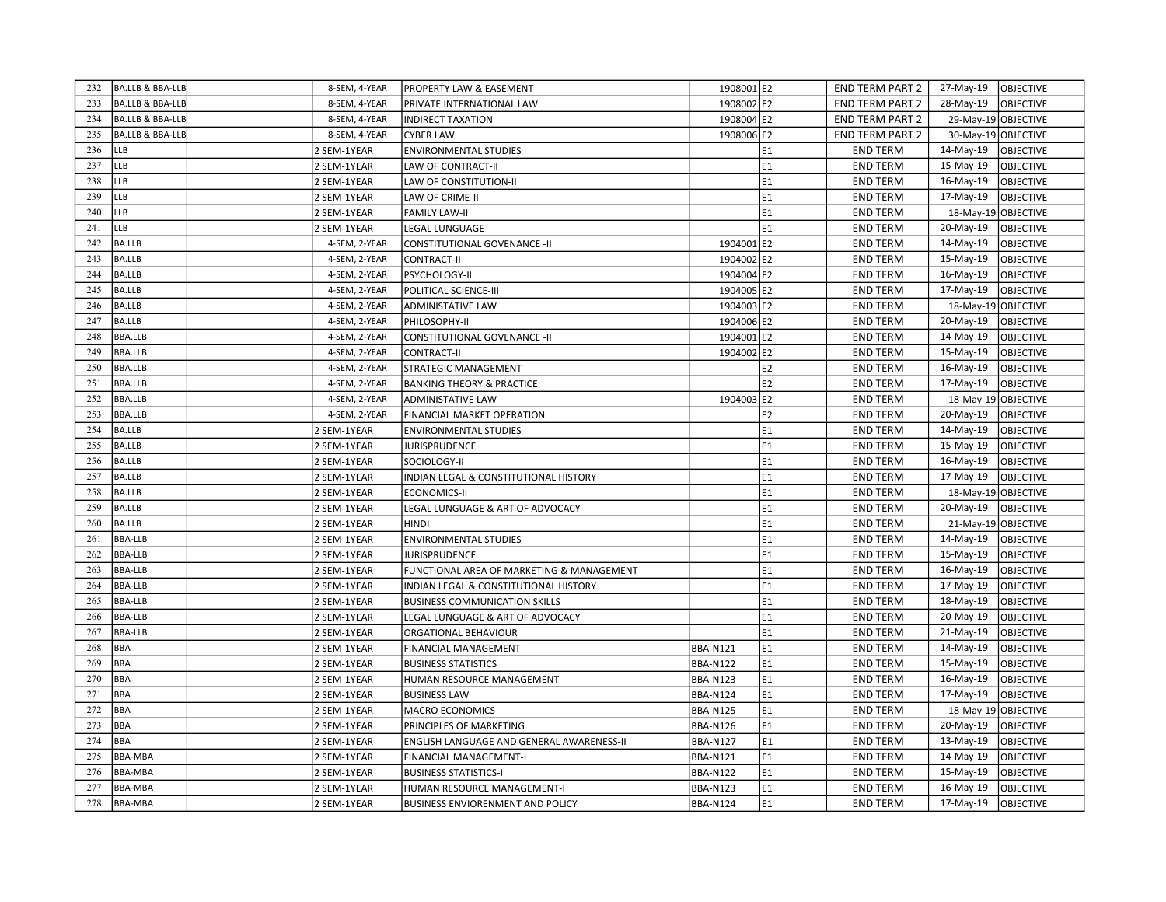| 232 | BA.LLB & BBA-LLB            | 8-SEM, 4-YEAR | <b>PROPERTY LAW &amp; EASEMENT</b>        | 1908001 E2      |                | <b>END TERM PART 2</b> | 27-May-19<br><b>OBJECTIVE</b> |
|-----|-----------------------------|---------------|-------------------------------------------|-----------------|----------------|------------------------|-------------------------------|
| 233 | BA.LLB & BBA-LLB            | 8-SEM, 4-YEAR | PRIVATE INTERNATIONAL LAW                 | 1908002 E2      |                | <b>END TERM PART 2</b> | 28-May-19<br><b>OBJECTIVE</b> |
| 234 | BA.LLB & BBA-LLB            | 8-SEM, 4-YEAR | <b>INDIRECT TAXATION</b>                  | 1908004 E2      |                | <b>END TERM PART 2</b> | 29-May-19 OBJECTIVE           |
| 235 | <b>BA.LLB &amp; BBA-LLB</b> | 8-SEM, 4-YEAR | <b>CYBER LAW</b>                          | 1908006 E2      |                | <b>END TERM PART 2</b> | 30-May-19 OBJECTIVE           |
| 236 | LLB                         | 2 SEM-1YEAR   | <b>ENVIRONMENTAL STUDIES</b>              |                 | E1             | <b>END TERM</b>        | 14-May-19<br><b>OBJECTIVE</b> |
| 237 | LLB                         | 2 SEM-1YEAR   | LAW OF CONTRACT-II                        |                 | E <sub>1</sub> | <b>END TERM</b>        | 15-May-19<br>OBJECTIVE        |
| 238 | LLB                         | 2 SEM-1YEAR   | LAW OF CONSTITUTION-II                    |                 | E1             | <b>END TERM</b>        | 16-May-19<br><b>OBJECTIVE</b> |
| 239 | LLB                         | 2 SEM-1YEAR   | LAW OF CRIME-II                           |                 | E1             | <b>END TERM</b>        | 17-May-19<br><b>OBJECTIVE</b> |
| 240 | <b>LLB</b>                  | 2 SEM-1YEAR   | <b>FAMILY LAW-II</b>                      |                 | E1             | <b>END TERM</b>        | 18-May-19 OBJECTIVE           |
| 241 | <b>LLB</b>                  | 2 SEM-1YEAR   | LEGAL LUNGUAGE                            |                 | E1             | <b>END TERM</b>        | <b>OBJECTIVE</b><br>20-May-19 |
| 242 | BA.LLB                      | 4-SEM, 2-YEAR | CONSTITUTIONAL GOVENANCE -II              | 1904001 E2      |                | <b>END TERM</b>        | 14-May-19<br><b>OBJECTIVE</b> |
| 243 | BA.LLB                      | 4-SEM, 2-YEAR | <b>CONTRACT-II</b>                        | 1904002 E2      |                | <b>END TERM</b>        | 15-May-19<br><b>OBJECTIVE</b> |
| 244 | BA.LLB                      | 4-SEM, 2-YEAR | PSYCHOLOGY-II                             | 1904004 E2      |                | <b>END TERM</b>        | 16-May-19<br><b>OBJECTIVE</b> |
| 245 | BA.LLB                      | 4-SEM, 2-YEAR | POLITICAL SCIENCE-III                     | 1904005 E2      |                | <b>END TERM</b>        | 17-May-19<br><b>OBJECTIVE</b> |
| 246 | BA.LLB                      | 4-SEM, 2-YEAR | ADMINISTATIVE LAW                         | 1904003 E2      |                | <b>END TERM</b>        | 18-May-19 OBJECTIVE           |
| 247 | BA.LLB                      | 4-SEM, 2-YEAR | PHILOSOPHY-II                             | 1904006 E2      |                | <b>END TERM</b>        | 20-May-19<br><b>OBJECTIVE</b> |
| 248 | <b>BBA.LLB</b>              | 4-SEM, 2-YEAR | <b>CONSTITUTIONAL GOVENANCE - II</b>      | 1904001 E2      |                | <b>END TERM</b>        | 14-May-19<br><b>OBJECTIVE</b> |
| 249 | <b>BBA.LLB</b>              | 4-SEM, 2-YEAR | <b>CONTRACT-II</b>                        | 1904002 E2      |                | <b>END TERM</b>        | 15-May-19<br><b>OBJECTIVE</b> |
| 250 | <b>BBA.LLB</b>              | 4-SEM, 2-YEAR | <b>STRATEGIC MANAGEMENT</b>               |                 | E <sub>2</sub> | <b>END TERM</b>        | 16-May-19<br><b>OBJECTIVE</b> |
| 251 | <b>BBA.LLB</b>              | 4-SEM, 2-YEAR | <b>BANKING THEORY &amp; PRACTICE</b>      |                 | E <sub>2</sub> | <b>END TERM</b>        | 17-May-19<br><b>OBJECTIVE</b> |
| 252 | <b>BBA.LLB</b>              | 4-SEM, 2-YEAR | <b>ADMINISTATIVE LAW</b>                  | 1904003 E2      |                | <b>END TERM</b>        | 18-May-19 OBJECTIVE           |
| 253 | <b>BBA.LLB</b>              | 4-SEM, 2-YEAR | FINANCIAL MARKET OPERATION                |                 | E2             | <b>END TERM</b>        | 20-May-19<br><b>OBJECTIVE</b> |
| 254 | BA.LLB                      | 2 SEM-1YEAR   | <b>ENVIRONMENTAL STUDIES</b>              |                 | E1             | <b>END TERM</b>        | 14-May-19<br><b>OBJECTIVE</b> |
| 255 | BA.LLB                      | 2 SEM-1YEAR   | <b>JURISPRUDENCE</b>                      |                 | E1             | <b>END TERM</b>        | 15-May-19<br><b>OBJECTIVE</b> |
| 256 | BA.LLB                      | 2 SEM-1YEAR   | SOCIOLOGY-II                              |                 | E <sub>1</sub> | <b>END TERM</b>        | 16-May-19<br><b>OBJECTIVE</b> |
| 257 | <b>BA.LLB</b>               | 2 SEM-1YEAR   | INDIAN LEGAL & CONSTITUTIONAL HISTORY     |                 | E1             | <b>END TERM</b>        | 17-May-19<br><b>OBJECTIVE</b> |
| 258 | <b>BA.LLB</b>               | 2 SEM-1YEAR   | ECONOMICS-II                              |                 | E1             | <b>END TERM</b>        | 18-May-19 OBJECTIVE           |
| 259 | BA.LLB                      | 2 SEM-1YEAR   | LEGAL LUNGUAGE & ART OF ADVOCACY          |                 | E1             | <b>END TERM</b>        | 20-May-19<br><b>OBJECTIVE</b> |
| 260 | BA.LLB                      | 2 SEM-1YEAR   | <b>HINDI</b>                              |                 | E1             | <b>END TERM</b>        | 21-May-19 OBJECTIVE           |
| 261 | <b>BBA-LLB</b>              | 2 SEM-1YEAR   | <b>ENVIRONMENTAL STUDIES</b>              |                 | E <sub>1</sub> | <b>END TERM</b>        | 14-May-19<br><b>OBJECTIVE</b> |
| 262 | <b>BBA-LLB</b>              | 2 SEM-1YEAR   | <b>JURISPRUDENCE</b>                      |                 | E1             | <b>END TERM</b>        | 15-May-19<br><b>OBJECTIVE</b> |
| 263 | <b>BBA-LLB</b>              | 2 SEM-1YEAR   | FUNCTIONAL AREA OF MARKETING & MANAGEMENT |                 | E1             | <b>END TERM</b>        | 16-May-19<br><b>OBJECTIVE</b> |
| 264 | <b>BBA-LLB</b>              | 2 SEM-1YEAR   | INDIAN LEGAL & CONSTITUTIONAL HISTORY     |                 | E <sub>1</sub> | <b>END TERM</b>        | 17-May-19<br><b>OBJECTIVE</b> |
| 265 | <b>BBA-LLB</b>              | 2 SEM-1YEAR   | <b>BUSINESS COMMUNICATION SKILLS</b>      |                 | E1             | <b>END TERM</b>        | 18-May-19<br><b>OBJECTIVE</b> |
| 266 | <b>BBA-LLB</b>              | 2 SEM-1YEAR   | LEGAL LUNGUAGE & ART OF ADVOCACY          |                 | E1             | <b>END TERM</b>        | <b>OBJECTIVE</b><br>20-May-19 |
| 267 | <b>BBA-LLB</b>              | 2 SEM-1YEAR   | ORGATIONAL BEHAVIOUR                      |                 | E <sub>1</sub> | <b>END TERM</b>        | 21-May-19<br><b>OBJECTIVE</b> |
| 268 | <b>BBA</b>                  | 2 SEM-1YEAR   | FINANCIAL MANAGEMENT                      | <b>BBA-N121</b> | E1             | <b>END TERM</b>        | 14-May-19<br><b>OBJECTIVE</b> |
| 269 | BBA                         | 2 SEM-1YEAR   | <b>BUSINESS STATISTICS</b>                | <b>BBA-N122</b> | E1             | <b>END TERM</b>        | 15-May-19<br><b>OBJECTIVE</b> |
| 270 | BBA                         | 2 SEM-1YEAR   | HUMAN RESOURCE MANAGEMENT                 | <b>BBA-N123</b> | E1             | <b>END TERM</b>        | 16-May-19<br><b>OBJECTIVE</b> |
| 271 | <b>BBA</b>                  | 2 SEM-1YEAR   | <b>BUSINESS LAW</b>                       | <b>BBA-N124</b> | E1             | <b>END TERM</b>        | 17-May-19<br><b>OBJECTIVE</b> |
| 272 | BBA                         | 2 SEM-1YEAR   | MACRO ECONOMICS                           | <b>BBA-N125</b> | E1             | <b>END TERM</b>        | 18-May-19 OBJECTIVE           |
| 273 | <b>BBA</b>                  | 2 SEM-1YEAR   | PRINCIPLES OF MARKETING                   | <b>BBA-N126</b> | E1             | <b>END TERM</b>        | 20-May-19<br><b>OBJECTIVE</b> |
| 274 | BBA                         | 2 SEM-1YEAR   | ENGLISH LANGUAGE AND GENERAL AWARENESS-II | <b>BBA-N127</b> | E1             | <b>END TERM</b>        | 13-May-19<br><b>OBJECTIVE</b> |
| 275 | BBA-MBA                     | 2 SEM-1YEAR   | FINANCIAL MANAGEMENT-I                    | <b>BBA-N121</b> | E1             | <b>END TERM</b>        | 14-May-19<br><b>OBJECTIVE</b> |
| 276 | <b>BBA-MBA</b>              | 2 SEM-1YEAR   | <b>BUSINESS STATISTICS-I</b>              | <b>BBA-N122</b> | E1             | <b>END TERM</b>        | 15-May-19<br><b>OBJECTIVE</b> |
| 277 | BBA-MBA                     | 2 SEM-1YEAR   | HUMAN RESOURCE MANAGEMENT-I               | <b>BBA-N123</b> | E1             | <b>END TERM</b>        | 16-May-19<br><b>OBJECTIVE</b> |
| 278 | <b>BBA-MBA</b>              | 2 SEM-1YEAR   | <b>BUSINESS ENVIORENMENT AND POLICY</b>   | <b>BBA-N124</b> | E1             | <b>END TERM</b>        | 17-May-19<br>OBJECTIVE        |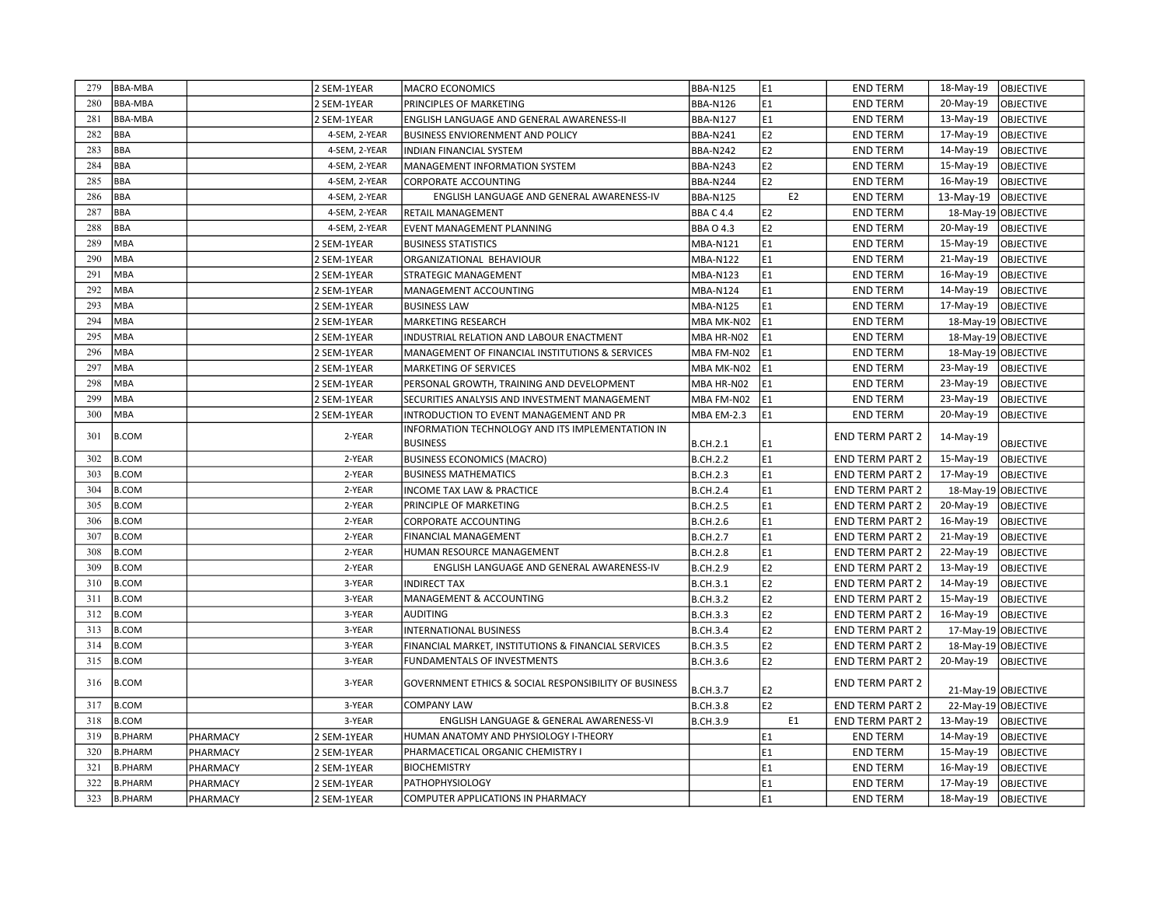| 279 | <b>BBA-MBA</b> |          | 2 SEM-1YEAR   | <b>MACRO ECONOMICS</b>                                           | <b>BBA-N125</b>  | E <sub>1</sub> | <b>END TERM</b>        | 18-May-19           | <b>OBJECTIVE</b> |
|-----|----------------|----------|---------------|------------------------------------------------------------------|------------------|----------------|------------------------|---------------------|------------------|
| 280 | BBA-MBA        |          | 2 SEM-1YEAR   | PRINCIPLES OF MARKETING                                          | <b>BBA-N126</b>  | E1             | <b>END TERM</b>        | 20-May-19           | <b>OBJECTIVE</b> |
| 281 | <b>BBA-MBA</b> |          | 2 SEM-1YEAR   | ENGLISH LANGUAGE AND GENERAL AWARENESS-II                        | <b>BBA-N127</b>  | E1             | <b>END TERM</b>        | 13-May-19           | OBJECTIVE        |
| 282 | <b>BBA</b>     |          | 4-SEM, 2-YEAR | <b>BUSINESS ENVIORENMENT AND POLICY</b>                          | <b>BBA-N241</b>  | E2             | <b>END TERM</b>        | 17-May-19           | OBJECTIVE        |
| 283 | <b>BBA</b>     |          | 4-SEM, 2-YEAR | INDIAN FINANCIAL SYSTEM                                          | <b>BBA-N242</b>  | E2             | <b>END TERM</b>        | 14-May-19           | <b>OBJECTIVE</b> |
| 284 | BBA            |          | 4-SEM, 2-YEAR | MANAGEMENT INFORMATION SYSTEM                                    | <b>BBA-N243</b>  | E2             | <b>END TERM</b>        | 15-May-19           | <b>OBJECTIVE</b> |
| 285 | BBA            |          | 4-SEM, 2-YEAR | <b>CORPORATE ACCOUNTING</b>                                      | <b>BBA-N244</b>  | E <sub>2</sub> | <b>END TERM</b>        | 16-May-19           | <b>OBJECTIVE</b> |
| 286 | <b>BBA</b>     |          | 4-SEM, 2-YEAR | ENGLISH LANGUAGE AND GENERAL AWARENESS-IV                        | <b>BBA-N125</b>  | E <sub>2</sub> | <b>END TERM</b>        | 13-May-19           | <b>OBJECTIVE</b> |
| 287 | <b>BBA</b>     |          | 4-SEM, 2-YEAR | RETAIL MANAGEMENT                                                | BBAC4.4          | E <sub>2</sub> | <b>END TERM</b>        | 18-May-19 OBJECTIVE |                  |
| 288 | BBA            |          | 4-SEM, 2-YEAR | EVENT MANAGEMENT PLANNING                                        | <b>BBA O 4.3</b> | E <sub>2</sub> | <b>END TERM</b>        | 20-May-19           | OBJECTIVE        |
| 289 | MBA            |          | 2 SEM-1YEAR   | <b>BUSINESS STATISTICS</b>                                       | <b>MBA-N121</b>  | E1             | <b>END TERM</b>        | 15-May-19           | <b>OBJECTIVE</b> |
| 290 | MBA            |          | 2 SEM-1YEAR   | ORGANIZATIONAL BEHAVIOUR                                         | <b>MBA-N122</b>  | E1             | <b>END TERM</b>        | 21-May-19           | OBJECTIVE        |
| 291 | <b>MBA</b>     |          | 2 SEM-1YEAR   | STRATEGIC MANAGEMENT                                             | <b>MBA-N123</b>  | E1             | <b>END TERM</b>        | 16-May-19           | <b>OBJECTIVE</b> |
| 292 | <b>MBA</b>     |          | 2 SEM-1YEAR   | MANAGEMENT ACCOUNTING                                            | MBA-N124         | E1             | <b>END TERM</b>        | 14-May-19           | OBJECTIVE        |
| 293 | MBA            |          | 2 SEM-1YEAR   | <b>BUSINESS LAW</b>                                              | <b>MBA-N125</b>  | E1             | <b>END TERM</b>        | 17-May-19           | OBJECTIVE        |
| 294 | <b>MBA</b>     |          | 2 SEM-1YEAR   | MARKETING RESEARCH                                               | MBA MK-N02       | E1             | <b>END TERM</b>        | 18-May-19 OBJECTIVE |                  |
| 295 | MBA            |          | 2 SEM-1YEAR   | INDUSTRIAL RELATION AND LABOUR ENACTMENT                         | MBA HR-N02       | E1             | <b>END TERM</b>        | 18-May-19 OBJECTIVE |                  |
| 296 | <b>MBA</b>     |          | 2 SEM-1YEAR   | MANAGEMENT OF FINANCIAL INSTITUTIONS & SERVICES                  | MBA FM-N02       | E1             | <b>END TERM</b>        | 18-May-19 OBJECTIVE |                  |
| 297 | MBA            |          | 2 SEM-1YEAR   | <b>MARKETING OF SERVICES</b>                                     | MBA MK-N02       | E <sub>1</sub> | <b>END TERM</b>        | 23-May-19           | <b>OBJECTIVE</b> |
| 298 | MBA            |          | 2 SEM-1YEAR   | PERSONAL GROWTH, TRAINING AND DEVELOPMENT                        | MBA HR-N02       | E1             | <b>END TERM</b>        | 23-May-19           | <b>OBJECTIVE</b> |
| 299 | <b>MBA</b>     |          | 2 SEM-1YEAR   | SECURITIES ANALYSIS AND INVESTMENT MANAGEMENT                    | MBA FM-N02       | E <sub>1</sub> | <b>END TERM</b>        | 23-May-19           | <b>OBJECTIVE</b> |
| 300 | MBA            |          | 2 SEM-1YEAR   | INTRODUCTION TO EVENT MANAGEMENT AND PR                          | MBA EM-2.3       | E <sub>1</sub> | <b>END TERM</b>        | 20-May-19           | OBJECTIVE        |
|     |                |          |               | INFORMATION TECHNOLOGY AND ITS IMPLEMENTATION IN                 |                  |                |                        |                     |                  |
| 301 | B.COM          |          | 2-YEAR        | <b>BUSINESS</b>                                                  | <b>B.CH.2.1</b>  | E1             | <b>END TERM PART 2</b> | 14-May-19           | <b>OBJECTIVE</b> |
| 302 | <b>B.COM</b>   |          | 2-YEAR        | <b>BUSINESS ECONOMICS (MACRO)</b>                                | <b>B.CH.2.2</b>  | E1             | <b>END TERM PART 2</b> | 15-May-19           | OBJECTIVE        |
| 303 | <b>B.COM</b>   |          | 2-YEAR        | <b>BUSINESS MATHEMATICS</b>                                      | <b>B.CH.2.3</b>  | E1             | <b>END TERM PART 2</b> | 17-May-19           | OBJECTIVE        |
| 304 | <b>B.COM</b>   |          | 2-YEAR        | <b>INCOME TAX LAW &amp; PRACTICE</b>                             | <b>B.CH.2.4</b>  | E1             | <b>END TERM PART 2</b> | 18-May-19           | <b>OBJECTIVE</b> |
| 305 | <b>B.COM</b>   |          | 2-YEAR        | PRINCIPLE OF MARKETING                                           | <b>B.CH.2.5</b>  | E1             | <b>END TERM PART 2</b> | 20-May-19           | <b>OBJECTIVE</b> |
| 306 | <b>B.COM</b>   |          | 2-YEAR        | <b>CORPORATE ACCOUNTING</b>                                      | <b>B.CH.2.6</b>  | E1             | <b>END TERM PART 2</b> | 16-May-19           | OBJECTIVE        |
| 307 | B.COM          |          | 2-YEAR        | FINANCIAL MANAGEMENT                                             | <b>B.CH.2.7</b>  | E1             | <b>END TERM PART 2</b> | 21-May-19           | <b>OBJECTIVE</b> |
| 308 | <b>B.COM</b>   |          | 2-YEAR        | HUMAN RESOURCE MANAGEMENT                                        | <b>B.CH.2.8</b>  | E1             | <b>END TERM PART 2</b> | 22-May-19           | <b>OBJECTIVE</b> |
| 309 | <b>B.COM</b>   |          | 2-YEAR        | ENGLISH LANGUAGE AND GENERAL AWARENESS-IV                        | <b>B.CH.2.9</b>  | E2             | <b>END TERM PART 2</b> | 13-May-19           | <b>OBJECTIVE</b> |
| 310 | <b>B.COM</b>   |          | 3-YEAR        | <b>INDIRECT TAX</b>                                              | <b>B.CH.3.1</b>  | E2             | <b>END TERM PART 2</b> | 14-May-19           | <b>OBJECTIVE</b> |
| 311 | <b>B.COM</b>   |          | 3-YEAR        | MANAGEMENT & ACCOUNTING                                          | <b>B.CH.3.2</b>  | E <sub>2</sub> | <b>END TERM PART 2</b> | 15-May-19           | OBJECTIVE        |
| 312 | B.COM          |          | 3-YEAR        | <b>AUDITING</b>                                                  | <b>B.CH.3.3</b>  | E2             | <b>END TERM PART 2</b> | 16-May-19           | <b>OBJECTIVE</b> |
| 313 | <b>B.COM</b>   |          | 3-YEAR        | INTERNATIONAL BUSINESS                                           | <b>B.CH.3.4</b>  | E <sub>2</sub> | <b>END TERM PART 2</b> | 17-May-19 OBJECTIVE |                  |
| 314 | <b>B.COM</b>   |          | 3-YEAR        | FINANCIAL MARKET, INSTITUTIONS & FINANCIAL SERVICES              | <b>B.CH.3.5</b>  | E2             | <b>END TERM PART 2</b> | 18-May-19 OBJECTIVE |                  |
| 315 | <b>B.COM</b>   |          | 3-YEAR        | FUNDAMENTALS OF INVESTMENTS                                      | <b>B.CH.3.6</b>  | E2             | <b>END TERM PART 2</b> | 20-May-19           | OBJECTIVE        |
| 316 | <b>B.COM</b>   |          | 3-YEAR        | <b>GOVERNMENT ETHICS &amp; SOCIAL RESPONSIBILITY OF BUSINESS</b> | <b>B.CH.3.7</b>  | E <sub>2</sub> | <b>END TERM PART 2</b> | 21-May-19 OBJECTIVE |                  |
| 317 | <b>B.COM</b>   |          | 3-YEAR        | <b>COMPANY LAW</b>                                               | <b>B.CH.3.8</b>  | E <sub>2</sub> | <b>END TERM PART 2</b> | 22-May-19 OBJECTIVE |                  |
| 318 | <b>B.COM</b>   |          | 3-YEAR        | ENGLISH LANGUAGE & GENERAL AWARENESS-VI                          | <b>B.CH.3.9</b>  | E1             | <b>END TERM PART 2</b> | 13-May-19           | <b>OBJECTIVE</b> |
| 319 | <b>B.PHARM</b> | PHARMACY | 2 SEM-1YEAR   | HUMAN ANATOMY AND PHYSIOLOGY I-THEORY                            |                  | E <sub>1</sub> | <b>END TERM</b>        | 14-May-19           | <b>OBJECTIVE</b> |
| 320 | <b>B.PHARM</b> | PHARMACY | 2 SEM-1YEAR   | PHARMACETICAL ORGANIC CHEMISTRY I                                |                  | E1             | <b>END TERM</b>        | 15-May-19           | OBJECTIVE        |
| 321 | <b>B.PHARM</b> | PHARMACY | 2 SEM-1YEAR   | <b>BIOCHEMISTRY</b>                                              |                  | E1             | <b>END TERM</b>        | 16-May-19           | <b>OBJECTIVE</b> |
| 322 | <b>B.PHARM</b> | PHARMACY | 2 SEM-1YEAR   | <b>PATHOPHYSIOLOGY</b>                                           |                  | E1             | <b>END TERM</b>        | 17-May-19           | OBJECTIVE        |
| 323 | <b>B.PHARM</b> | PHARMACY | 2 SEM-1YEAR   | COMPUTER APPLICATIONS IN PHARMACY                                |                  | E1             | <b>END TERM</b>        | 18-May-19           | <b>OBJECTIVE</b> |
|     |                |          |               |                                                                  |                  |                |                        |                     |                  |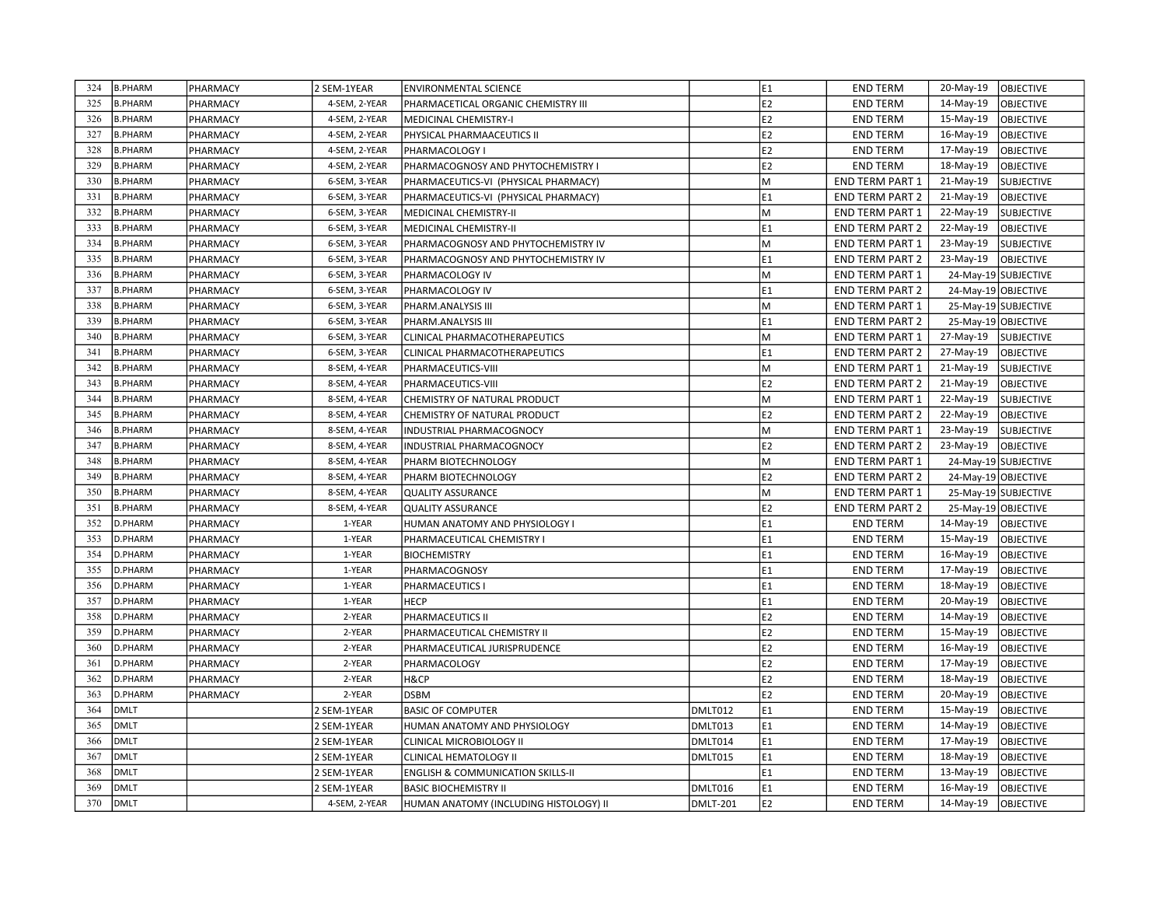| 324 | <b>B.PHARM</b> | PHARMACY | 2 SEM-1YEAR   | <b>ENVIRONMENTAL SCIENCE</b>                 |          | E1             | <b>END TERM</b>        | 20-May-19           | <b>OBJECTIVE</b>     |
|-----|----------------|----------|---------------|----------------------------------------------|----------|----------------|------------------------|---------------------|----------------------|
| 325 | <b>B.PHARM</b> | PHARMACY | 4-SEM. 2-YEAR | PHARMACETICAL ORGANIC CHEMISTRY III          |          | E2             | <b>END TERM</b>        | 14-May-19           | <b>OBJECTIVE</b>     |
| 326 | <b>B.PHARM</b> | PHARMACY | 4-SEM, 2-YEAR | MEDICINAL CHEMISTRY-I                        |          | E <sub>2</sub> | <b>END TERM</b>        | 15-May-19           | <b>OBJECTIVE</b>     |
| 327 | <b>B.PHARM</b> | PHARMACY | 4-SEM, 2-YEAR | PHYSICAL PHARMAACEUTICS II                   |          | E2             | <b>END TERM</b>        | 16-May-19           | <b>OBJECTIVE</b>     |
| 328 | <b>B.PHARM</b> | PHARMACY | 4-SEM, 2-YEAR | <b>PHARMACOLOGY I</b>                        |          | E2             | <b>END TERM</b>        | 17-May-19           | OBJECTIVE            |
| 329 | <b>B.PHARM</b> | PHARMACY | 4-SEM, 2-YEAR | PHARMACOGNOSY AND PHYTOCHEMISTRY I           |          | E <sub>2</sub> | <b>END TERM</b>        | 18-May-19           | <b>OBJECTIVE</b>     |
| 330 | <b>B.PHARM</b> | PHARMACY | 6-SEM, 3-YEAR | PHARMACEUTICS-VI (PHYSICAL PHARMACY)         |          | M              | <b>END TERM PART 1</b> | 21-May-19           | <b>SUBJECTIVE</b>    |
| 331 | <b>B.PHARM</b> | PHARMACY | 6-SEM, 3-YEAR | PHARMACEUTICS-VI (PHYSICAL PHARMACY)         |          | E1             | <b>END TERM PART 2</b> | 21-May-19           | <b>OBJECTIVE</b>     |
| 332 | <b>B.PHARM</b> | PHARMACY | 6-SEM, 3-YEAR | MEDICINAL CHEMISTRY-II                       |          | M              | END TERM PART 1        | 22-May-19           | <b>SUBJECTIVE</b>    |
| 333 | <b>B.PHARM</b> | PHARMACY | 6-SEM, 3-YEAR | MEDICINAL CHEMISTRY-II                       |          | E1             | END TERM PART 2        | 22-May-19           | <b>OBJECTIVE</b>     |
| 334 | <b>B.PHARM</b> | PHARMACY | 6-SEM, 3-YEAR | PHARMACOGNOSY AND PHYTOCHEMISTRY IV          |          | M              | <b>END TERM PART 1</b> | 23-May-19           | <b>SUBJECTIVE</b>    |
| 335 | <b>B.PHARM</b> | PHARMACY | 6-SEM, 3-YEAR | PHARMACOGNOSY AND PHYTOCHEMISTRY IV          |          | E1             | <b>END TERM PART 2</b> | 23-May-19           | <b>OBJECTIVE</b>     |
| 336 | <b>B.PHARM</b> | PHARMACY | 6-SEM, 3-YEAR | PHARMACOLOGY IV                              |          | M              | <b>END TERM PART 1</b> |                     | 24-May-19 SUBJECTIVE |
| 337 | <b>B.PHARM</b> | PHARMACY | 6-SEM, 3-YEAR | PHARMACOLOGY IV                              |          | E1             | <b>END TERM PART 2</b> | 24-May-19 OBJECTIVE |                      |
| 338 | <b>B.PHARM</b> | PHARMACY | 6-SEM, 3-YEAR | PHARM.ANALYSIS III                           |          | M              | <b>END TERM PART 1</b> |                     | 25-May-19 SUBJECTIVE |
| 339 | <b>B.PHARM</b> | PHARMACY | 6-SEM, 3-YEAR | PHARM.ANALYSIS III                           |          | E1             | <b>END TERM PART 2</b> | 25-May-19 OBJECTIVE |                      |
| 340 | <b>B.PHARM</b> | PHARMACY | 6-SEM, 3-YEAR | CLINICAL PHARMACOTHERAPEUTICS                |          | M              | <b>END TERM PART 1</b> | 27-May-19           | <b>SUBJECTIVE</b>    |
| 341 | <b>B.PHARM</b> | PHARMACY | 6-SEM, 3-YEAR | CLINICAL PHARMACOTHERAPEUTICS                |          | E1             | END TERM PART 2        | 27-May-19           | <b>OBJECTIVE</b>     |
| 342 | <b>B.PHARM</b> | PHARMACY | 8-SEM, 4-YEAR | PHARMACEUTICS-VIII                           |          | M              | END TERM PART 1        | 21-May-19           | <b>SUBJECTIVE</b>    |
| 343 | <b>B.PHARM</b> | PHARMACY | 8-SEM, 4-YEAR | PHARMACEUTICS-VIII                           |          | E2             | <b>END TERM PART 2</b> | 21-May-19           | <b>OBJECTIVE</b>     |
| 344 | <b>B.PHARM</b> | PHARMACY | 8-SEM, 4-YEAR | CHEMISTRY OF NATURAL PRODUCT                 |          | M              | <b>END TERM PART 1</b> | 22-May-19           | <b>SUBJECTIVE</b>    |
| 345 | <b>B.PHARM</b> | PHARMACY | 8-SEM, 4-YEAR | CHEMISTRY OF NATURAL PRODUCT                 |          | E <sub>2</sub> | <b>END TERM PART 2</b> | 22-May-19           | OBJECTIVE            |
| 346 | <b>B.PHARM</b> | PHARMACY | 8-SEM, 4-YEAR | INDUSTRIAL PHARMACOGNOCY                     |          | M              | <b>END TERM PART 1</b> | 23-May-19           | <b>SUBJECTIVE</b>    |
| 347 | <b>B.PHARM</b> | PHARMACY | 8-SEM, 4-YEAR | INDUSTRIAL PHARMACOGNOCY                     |          | E2             | END TERM PART 2        | 23-May-19           | <b>OBJECTIVE</b>     |
| 348 | <b>B.PHARM</b> | PHARMACY | 8-SEM, 4-YEAR | PHARM BIOTECHNOLOGY                          |          | M              | <b>END TERM PART 1</b> |                     | 24-May-19 SUBJECTIVE |
| 349 | <b>B.PHARM</b> | PHARMACY | 8-SEM, 4-YEAR | PHARM BIOTECHNOLOGY                          |          | E <sub>2</sub> | <b>END TERM PART 2</b> | 24-May-19 OBJECTIVE |                      |
| 350 | <b>B.PHARM</b> | PHARMACY | 8-SEM, 4-YEAR | <b>QUALITY ASSURANCE</b>                     |          | M              | <b>END TERM PART 1</b> |                     | 25-May-19 SUBJECTIVE |
| 351 | <b>B.PHARM</b> | PHARMACY | 8-SEM, 4-YEAR | <b>QUALITY ASSURANCE</b>                     |          | E2             | <b>END TERM PART 2</b> | 25-May-19 OBJECTIVE |                      |
| 352 | D.PHARM        | PHARMACY | 1-YEAR        | HUMAN ANATOMY AND PHYSIOLOGY I               |          | E1             | <b>END TERM</b>        | 14-May-19           | OBJECTIVE            |
| 353 | D.PHARM        | PHARMACY | 1-YEAR        | PHARMACEUTICAL CHEMISTRY I                   |          | E1             | <b>END TERM</b>        | 15-May-19           | OBJECTIVE            |
| 354 | D.PHARM        | PHARMACY | 1-YEAR        | <b>BIOCHEMISTRY</b>                          |          | E <sub>1</sub> | <b>END TERM</b>        | 16-May-19           | <b>OBJECTIVE</b>     |
| 355 | D.PHARM        | PHARMACY | 1-YEAR        | PHARMACOGNOSY                                |          | E1             | <b>END TERM</b>        | 17-May-19           | <b>OBJECTIVE</b>     |
| 356 | D.PHARM        | PHARMACY | 1-YEAR        | PHARMACEUTICS I                              |          | E1             | <b>END TERM</b>        | 18-May-19           | <b>OBJECTIVE</b>     |
| 357 | D.PHARM        | PHARMACY | 1-YEAR        | <b>HECP</b>                                  |          | E1             | <b>END TERM</b>        | 20-May-19           | <b>OBJECTIVE</b>     |
| 358 | D.PHARM        | PHARMACY | 2-YEAR        | PHARMACEUTICS II                             |          | E <sub>2</sub> | <b>END TERM</b>        | 14-May-19           | <b>OBJECTIVE</b>     |
| 359 | D.PHARM        | PHARMACY | 2-YEAR        | PHARMACEUTICAL CHEMISTRY II                  |          | E2             | <b>END TERM</b>        | 15-May-19           | OBJECTIVE            |
| 360 | D.PHARM        | PHARMACY | 2-YEAR        | PHARMACEUTICAL JURISPRUDENCE                 |          | E2             | <b>END TERM</b>        | 16-May-19           | OBJECTIVE            |
| 361 | D.PHARM        | PHARMACY | 2-YEAR        | PHARMACOLOGY                                 |          | E2             | <b>END TERM</b>        | 17-May-19           | <b>OBJECTIVE</b>     |
| 362 | D.PHARM        | PHARMACY | 2-YEAR        | H&CP                                         |          | E2             | <b>END TERM</b>        | 18-May-19           | <b>OBJECTIVE</b>     |
| 363 | D.PHARM        | PHARMACY | 2-YEAR        | <b>DSBM</b>                                  |          | E <sub>2</sub> | <b>END TERM</b>        | 20-May-19           | <b>OBJECTIVE</b>     |
| 364 | <b>DMLT</b>    |          | 2 SEM-1YEAR   | <b>BASIC OF COMPUTER</b>                     | DMLT012  | E1             | <b>END TERM</b>        | 15-May-19           | OBJECTIVE            |
| 365 | <b>DMLT</b>    |          | 2 SEM-1YEAR   | HUMAN ANATOMY AND PHYSIOLOGY                 | DMLT013  | E1             | <b>END TERM</b>        | 14-May-19           | OBJECTIVE            |
| 366 | <b>DMLT</b>    |          | 2 SEM-1YEAR   | CLINICAL MICROBIOLOGY II                     | DMLT014  | E1             | <b>END TERM</b>        | 17-May-19           | <b>OBJECTIVE</b>     |
| 367 | <b>DMLT</b>    |          | 2 SEM-1YEAR   | CLINICAL HEMATOLOGY II                       | DMLT015  | E1             | <b>END TERM</b>        | 18-May-19           | <b>OBJECTIVE</b>     |
| 368 | DMLT           |          | 2 SEM-1YEAR   | <b>ENGLISH &amp; COMMUNICATION SKILLS-II</b> |          | E1             | <b>END TERM</b>        | 13-May-19           | <b>OBJECTIVE</b>     |
| 369 | <b>DMLT</b>    |          | 2 SEM-1YEAR   | <b>BASIC BIOCHEMISTRY II</b>                 | DMLT016  | E1             | <b>END TERM</b>        | 16-May-19           | OBJECTIVE            |
| 370 | <b>DMLT</b>    |          | 4-SEM, 2-YEAR | HUMAN ANATOMY (INCLUDING HISTOLOGY) II       | DMLT-201 | E2             | <b>END TERM</b>        | 14-May-19           | lobjective           |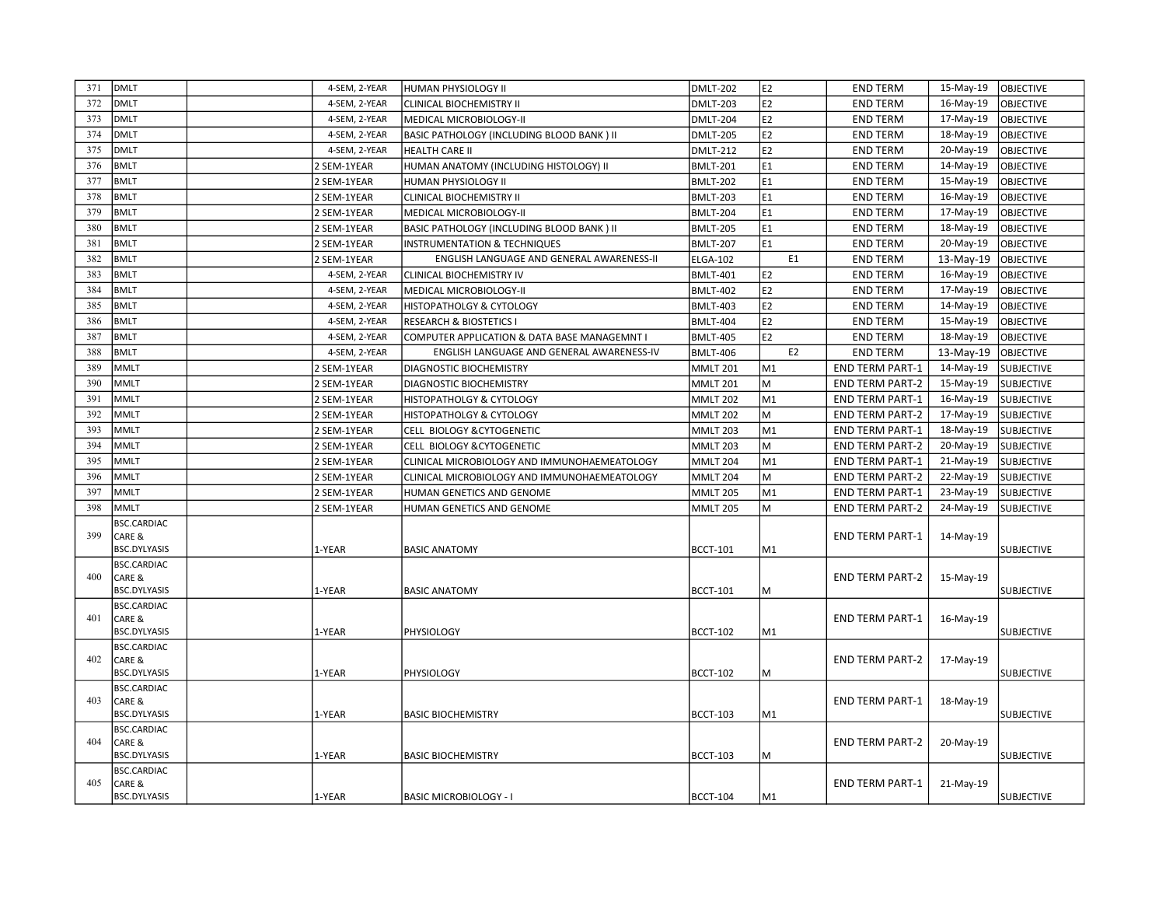| 371 | <b>DMLT</b>                   | 4-SEM, 2-YEAR | HUMAN PHYSIOLOGY II                          | <b>DMLT-202</b> | E <sub>2</sub> | <b>END TERM</b>        | 15-May-19 | <b>OBJECTIVE</b>  |
|-----|-------------------------------|---------------|----------------------------------------------|-----------------|----------------|------------------------|-----------|-------------------|
| 372 | <b>DMLT</b>                   | 4-SEM, 2-YEAR | <b>CLINICAL BIOCHEMISTRY II</b>              | DMLT-203        | E2             | <b>END TERM</b>        | 16-May-19 | <b>OBJECTIVE</b>  |
| 373 | <b>DMLT</b>                   | 4-SEM, 2-YEAR | MEDICAL MICROBIOLOGY-II                      | <b>DMLT-204</b> | E2             | <b>END TERM</b>        | 17-May-19 | <b>OBJECTIVE</b>  |
| 374 | <b>DMLT</b>                   | 4-SEM, 2-YEAR | BASIC PATHOLOGY (INCLUDING BLOOD BANK) II    | DMLT-205        | E <sub>2</sub> | <b>END TERM</b>        | 18-May-19 | OBJECTIVE         |
| 375 | <b>DMLT</b>                   | 4-SEM, 2-YEAR | <b>HEALTH CARE II</b>                        | <b>DMLT-212</b> | E <sub>2</sub> | <b>END TERM</b>        | 20-May-19 | <b>OBJECTIVE</b>  |
| 376 | <b>BMLT</b>                   | 2 SEM-1YEAR   | HUMAN ANATOMY (INCLUDING HISTOLOGY) II       | <b>BMLT-201</b> | E1             | <b>END TERM</b>        | 14-May-19 | <b>OBJECTIVE</b>  |
| 377 | <b>BMLT</b>                   | 2 SEM-1YEAR   | HUMAN PHYSIOLOGY II                          | <b>BMLT-202</b> | E1             | <b>END TERM</b>        | 15-May-19 | <b>OBJECTIVE</b>  |
| 378 | <b>BMLT</b>                   | 2 SEM-1YEAR   | CLINICAL BIOCHEMISTRY II                     | <b>BMLT-203</b> | E <sub>1</sub> | <b>END TERM</b>        | 16-May-19 | <b>OBJECTIVE</b>  |
| 379 | <b>BMLT</b>                   | 2 SEM-1YEAR   | MEDICAL MICROBIOLOGY-II                      | BMLT-204        | E1             | <b>END TERM</b>        | 17-May-19 | <b>OBJECTIVE</b>  |
| 380 | <b>BMLT</b>                   | 2 SEM-1YEAR   | BASIC PATHOLOGY (INCLUDING BLOOD BANK) II    | <b>BMLT-205</b> | E <sub>1</sub> | <b>END TERM</b>        | 18-May-19 | <b>OBJECTIVE</b>  |
| 381 | <b>BMLT</b>                   | 2 SEM-1YEAR   | <b>INSTRUMENTATION &amp; TECHNIQUES</b>      | <b>BMLT-207</b> | E1             | <b>END TERM</b>        | 20-May-19 | <b>OBJECTIVE</b>  |
| 382 | <b>BMLT</b>                   | 2 SEM-1YEAR   | ENGLISH LANGUAGE AND GENERAL AWARENESS-II    | ELGA-102        | E <sub>1</sub> | <b>END TERM</b>        | 13-May-19 | OBJECTIVE         |
| 383 | <b>BMLT</b>                   | 4-SEM, 2-YEAR | CLINICAL BIOCHEMISTRY IV                     | <b>BMLT-401</b> | E <sub>2</sub> | <b>END TERM</b>        | 16-May-19 | OBJECTIVE         |
| 384 | <b>BMLT</b>                   | 4-SEM, 2-YEAR | MEDICAL MICROBIOLOGY-II                      | <b>BMLT-402</b> | E2             | <b>END TERM</b>        | 17-May-19 | <b>OBJECTIVE</b>  |
| 385 | <b>BMLT</b>                   | 4-SEM, 2-YEAR | HISTOPATHOLGY & CYTOLOGY                     | <b>BMLT-403</b> | E2             | <b>END TERM</b>        | 14-May-19 | <b>OBJECTIVE</b>  |
| 386 | <b>BMLT</b>                   | 4-SEM, 2-YEAR | <b>RESEARCH &amp; BIOSTETICS I</b>           | <b>BMLT-404</b> | E <sub>2</sub> | <b>END TERM</b>        | 15-May-19 | <b>OBJECTIVE</b>  |
| 387 | <b>BMLT</b>                   | 4-SEM, 2-YEAR | COMPUTER APPLICATION & DATA BASE MANAGEMNT I | BMLT-405        | E2             | <b>END TERM</b>        | 18-May-19 | <b>OBJECTIVE</b>  |
| 388 | <b>BMLT</b>                   | 4-SEM, 2-YEAR | ENGLISH LANGUAGE AND GENERAL AWARENESS-IV    | BMLT-406        | E <sub>2</sub> | <b>END TERM</b>        | 13-May-19 | OBJECTIVE         |
| 389 | <b>MMLT</b>                   | 2 SEM-1YEAR   | <b>DIAGNOSTIC BIOCHEMISTRY</b>               | <b>MMLT 201</b> | M1             | <b>END TERM PART-1</b> | 14-May-19 | <b>SUBJECTIVE</b> |
| 390 | <b>MMLT</b>                   | 2 SEM-1YEAR   | DIAGNOSTIC BIOCHEMISTRY                      | <b>MMLT 201</b> | M              | <b>END TERM PART-2</b> | 15-May-19 | <b>SUBJECTIVE</b> |
| 391 | <b>MMLT</b>                   | 2 SEM-1YEAR   | HISTOPATHOLGY & CYTOLOGY                     | <b>MMLT 202</b> | M1             | <b>END TERM PART-1</b> | 16-May-19 | <b>SUBJECTIVE</b> |
| 392 | <b>MMLT</b>                   | 2 SEM-1YEAR   | HISTOPATHOLGY & CYTOLOGY                     | MMLT 202        | M              | <b>END TERM PART-2</b> | 17-May-19 | <b>SUBJECTIVE</b> |
| 393 | <b>MMLT</b>                   | 2 SEM-1YEAR   | CELL BIOLOGY & CYTOGENETIC                   | <b>MMLT 203</b> | M <sub>1</sub> | <b>END TERM PART-1</b> | 18-May-19 | <b>SUBJECTIVE</b> |
| 394 | <b>MMLT</b>                   | 2 SEM-1YEAR   | CELL BIOLOGY & CYTOGENETIC                   | <b>MMLT 203</b> | M              | <b>END TERM PART-2</b> | 20-May-19 | <b>SUBJECTIVE</b> |
| 395 | <b>MMLT</b>                   | 2 SEM-1YEAR   | CLINICAL MICROBIOLOGY AND IMMUNOHAEMEATOLOGY | <b>MMLT 204</b> | M1             | <b>END TERM PART-1</b> | 21-May-19 | <b>SUBJECTIVE</b> |
| 396 | <b>MMLT</b>                   | 2 SEM-1YEAR   | CLINICAL MICROBIOLOGY AND IMMUNOHAEMEATOLOGY | <b>MMLT 204</b> | M              | <b>END TERM PART-2</b> | 22-May-19 | <b>SUBJECTIVE</b> |
| 397 | <b>MMLT</b>                   | 2 SEM-1YEAR   | HUMAN GENETICS AND GENOME                    | MMLT 205        | M <sub>1</sub> | <b>END TERM PART-1</b> | 23-May-19 | <b>SUBJECTIVE</b> |
| 398 | <b>MMLT</b>                   | 2 SEM-1YEAR   | HUMAN GENETICS AND GENOME                    | <b>MMLT 205</b> | M              | <b>END TERM PART-2</b> | 24-May-19 | <b>SUBJECTIVE</b> |
|     | <b>BSC.CARDIAC</b>            |               |                                              |                 |                |                        |           |                   |
| 399 | CARE &                        |               |                                              |                 |                | <b>END TERM PART-1</b> | 14-May-19 |                   |
|     | <b>BSC.DYLYASIS</b>           | 1-YEAR        | <b>BASIC ANATOMY</b>                         | <b>BCCT-101</b> | M1             |                        |           | <b>SUBJECTIVE</b> |
|     | <b>BSC.CARDIAC</b>            |               |                                              |                 |                |                        |           |                   |
| 400 | CARE &<br><b>BSC.DYLYASIS</b> | 1-YEAR        | <b>BASIC ANATOMY</b>                         | <b>BCCT-101</b> | M              | <b>END TERM PART-2</b> | 15-May-19 | <b>SUBJECTIVE</b> |
|     | <b>BSC.CARDIAC</b>            |               |                                              |                 |                |                        |           |                   |
| 401 | CARE &                        |               |                                              |                 |                | <b>END TERM PART-1</b> | 16-May-19 |                   |
|     | BSC.DYLYASIS                  | 1-YEAR        | PHYSIOLOGY                                   | <b>BCCT-102</b> | M1             |                        |           | <b>SUBJECTIVE</b> |
|     | <b>BSC.CARDIAC</b>            |               |                                              |                 |                |                        |           |                   |
| 402 | CARE &                        |               |                                              |                 |                | <b>END TERM PART-2</b> | 17-May-19 |                   |
|     | <b>BSC.DYLYASIS</b>           | 1-YEAR        | PHYSIOLOGY                                   | <b>BCCT-102</b> | М              |                        |           | <b>SUBJECTIVE</b> |
|     | <b>BSC.CARDIAC</b>            |               |                                              |                 |                |                        |           |                   |
| 403 | CARE &<br><b>BSC.DYLYASIS</b> | 1-YEAR        | <b>BASIC BIOCHEMISTRY</b>                    | <b>BCCT-103</b> | M1             | <b>END TERM PART-1</b> | 18-May-19 | <b>SUBJECTIVE</b> |
|     | <b>BSC.CARDIAC</b>            |               |                                              |                 |                |                        |           |                   |
| 404 | CARE &                        |               |                                              |                 |                | <b>END TERM PART-2</b> | 20-May-19 |                   |
|     | BSC.DYLYASIS                  | 1-YEAR        | <b>BASIC BIOCHEMISTRY</b>                    | <b>BCCT-103</b> | М              |                        |           | <b>SUBJECTIVE</b> |
|     | <b>BSC.CARDIAC</b>            |               |                                              |                 |                |                        |           |                   |
| 405 | CARE &                        |               |                                              |                 |                | <b>END TERM PART-1</b> | 21-May-19 |                   |
|     | <b>BSC.DYLYASIS</b>           | 1-YEAR        | <b>BASIC MICROBIOLOGY - I</b>                | BCCT-104        | M1             |                        |           | <b>SUBJECTIVE</b> |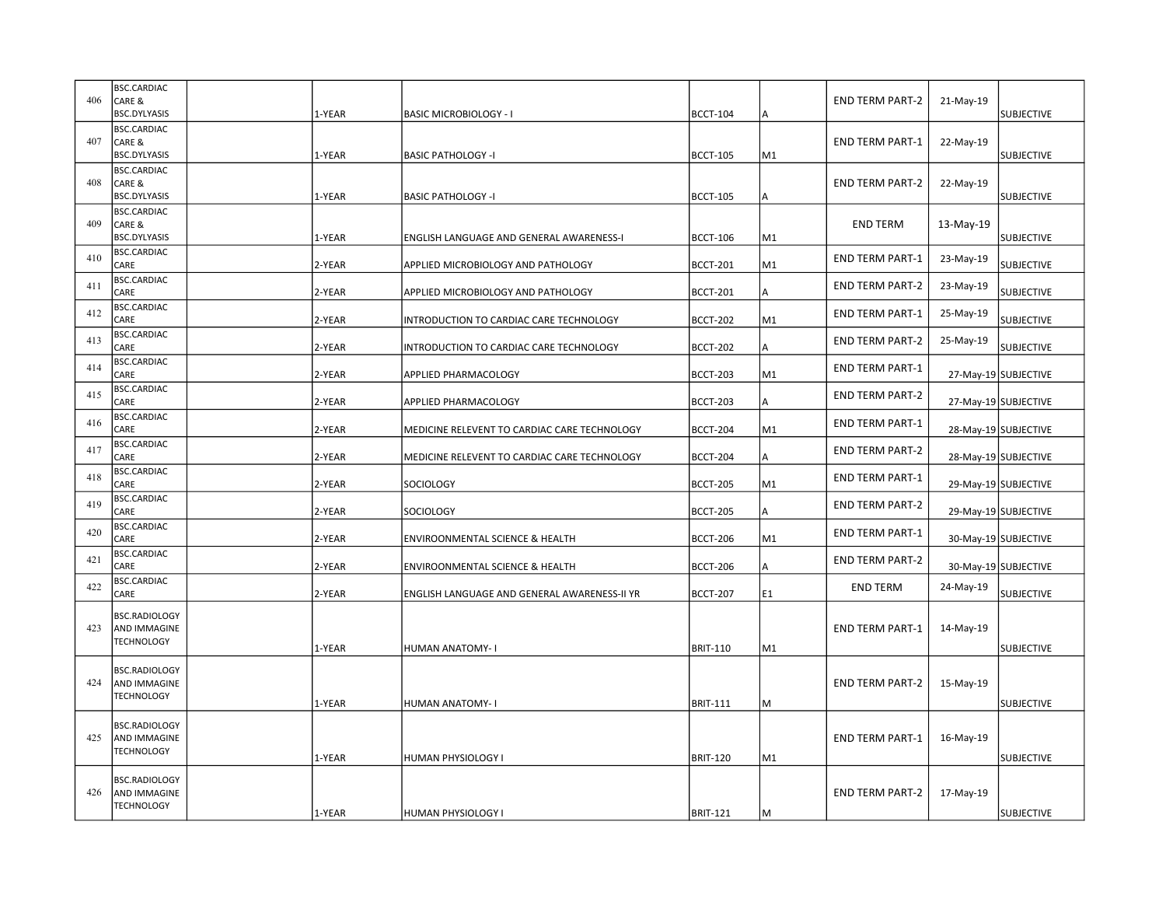| 406 | <b>BSC.CARDIAC</b><br>CARE &<br><b>BSC.DYLYASIS</b> | 1-YEAR | <b>BASIC MICROBIOLOGY - I</b>                | <b>BCCT-104</b> | А  | <b>END TERM PART-2</b> | 21-May-19 | <b>SUBJECTIVE</b>    |
|-----|-----------------------------------------------------|--------|----------------------------------------------|-----------------|----|------------------------|-----------|----------------------|
| 407 | <b>BSC.CARDIAC</b><br>CARE &<br><b>BSC.DYLYASIS</b> | 1-YEAR | <b>BASIC PATHOLOGY -I</b>                    | <b>BCCT-105</b> | M1 | <b>END TERM PART-1</b> | 22-May-19 | <b>SUBJECTIVE</b>    |
| 408 | <b>BSC.CARDIAC</b><br>CARE &<br>BSC.DYLYASIS        | 1-YEAR | <b>BASIC PATHOLOGY -I</b>                    | <b>BCCT-105</b> |    | <b>END TERM PART-2</b> | 22-May-19 | <b>SUBJECTIVE</b>    |
| 409 | <b>BSC.CARDIAC</b><br>CARE &<br>BSC.DYLYASIS        | 1-YEAR | ENGLISH LANGUAGE AND GENERAL AWARENESS-I     | <b>BCCT-106</b> | M1 | <b>END TERM</b>        | 13-May-19 | <b>SUBJECTIVE</b>    |
| 410 | <b>BSC.CARDIAC</b><br>CARE                          | 2-YEAR | APPLIED MICROBIOLOGY AND PATHOLOGY           | <b>BCCT-201</b> | M1 | <b>END TERM PART-1</b> | 23-May-19 | <b>SUBJECTIVE</b>    |
| 411 | <b>BSC.CARDIAC</b><br>CARE                          | 2-YEAR | APPLIED MICROBIOLOGY AND PATHOLOGY           | <b>BCCT-201</b> | А  | <b>END TERM PART-2</b> | 23-May-19 | <b>SUBJECTIVE</b>    |
| 412 | <b>BSC.CARDIAC</b><br>CARE                          | 2-YEAR | INTRODUCTION TO CARDIAC CARE TECHNOLOGY      | <b>BCCT-202</b> | M1 | <b>END TERM PART-1</b> | 25-May-19 | <b>SUBJECTIVE</b>    |
| 413 | <b>BSC.CARDIAC</b><br>CARE                          | 2-YEAR | INTRODUCTION TO CARDIAC CARE TECHNOLOGY      | <b>BCCT-202</b> | А  | <b>END TERM PART-2</b> | 25-May-19 | <b>SUBJECTIVE</b>    |
| 414 | <b>BSC.CARDIAC</b><br>CARE                          | 2-YEAR | APPLIED PHARMACOLOGY                         | <b>BCCT-203</b> | M1 | <b>END TERM PART-1</b> |           | 27-May-19 SUBJECTIVE |
| 415 | <b>BSC.CARDIAC</b><br>CARE                          | 2-YEAR | APPLIED PHARMACOLOGY                         | <b>BCCT-203</b> | A  | <b>END TERM PART-2</b> |           | 27-May-19 SUBJECTIVE |
| 416 | <b>BSC.CARDIAC</b><br>CARE                          | 2-YEAR | MEDICINE RELEVENT TO CARDIAC CARE TECHNOLOGY | <b>BCCT-204</b> | M1 | <b>END TERM PART-1</b> |           | 28-May-19 SUBJECTIVE |
| 417 | <b>BSC.CARDIAC</b><br>CARE                          | 2-YEAR | MEDICINE RELEVENT TO CARDIAC CARE TECHNOLOGY | <b>BCCT-204</b> | А  | <b>END TERM PART-2</b> |           | 28-May-19 SUBJECTIVE |
| 418 | <b>BSC.CARDIAC</b><br>CARE                          | 2-YEAR | SOCIOLOGY                                    | <b>BCCT-205</b> | M1 | <b>END TERM PART-1</b> |           | 29-May-19 SUBJECTIVE |
| 419 | <b>BSC.CARDIAC</b><br>CARE                          | 2-YEAR | <b>SOCIOLOGY</b>                             | <b>BCCT-205</b> |    | <b>END TERM PART-2</b> |           | 29-May-19 SUBJECTIVE |
| 420 | BSC.CARDIAC<br>CARE                                 | 2-YEAR | <b>ENVIROONMENTAL SCIENCE &amp; HEALTH</b>   | <b>BCCT-206</b> | M1 | <b>END TERM PART-1</b> |           | 30-May-19 SUBJECTIVE |
| 421 | <b>BSC.CARDIAC</b><br>CARE                          | 2-YEAR | <b>ENVIROONMENTAL SCIENCE &amp; HEALTH</b>   | <b>BCCT-206</b> | A  | <b>END TERM PART-2</b> |           | 30-May-19 SUBJECTIVE |
| 422 | <b>BSC.CARDIAC</b><br>CARE                          | 2-YEAR | ENGLISH LANGUAGE AND GENERAL AWARENESS-II YR | <b>BCCT-207</b> | E1 | <b>END TERM</b>        | 24-May-19 | <b>SUBJECTIVE</b>    |
| 423 | BSC.RADIOLOGY<br>AND IMMAGINE<br><b>TECHNOLOGY</b>  | 1-YEAR | <b>HUMAN ANATOMY-1</b>                       | <b>BRIT-110</b> | M1 | <b>END TERM PART-1</b> | 14-May-19 | <b>SUBJECTIVE</b>    |
| 424 | BSC.RADIOLOGY<br>AND IMMAGINE<br><b>TECHNOLOGY</b>  | 1-YEAR | <b>HUMAN ANATOMY-I</b>                       | <b>BRIT-111</b> | M  | <b>END TERM PART-2</b> | 15-May-19 | <b>SUBJECTIVE</b>    |
| 425 | BSC.RADIOLOGY<br>AND IMMAGINE<br><b>TECHNOLOGY</b>  | 1-YEAR | HUMAN PHYSIOLOGY I                           | <b>BRIT-120</b> | M1 | <b>END TERM PART-1</b> | 16-May-19 | <b>SUBJECTIVE</b>    |
| 426 | BSC.RADIOLOGY<br>AND IMMAGINE<br><b>TECHNOLOGY</b>  | 1-YEAR | HUMAN PHYSIOLOGY I                           | <b>BRIT-121</b> | lм | <b>END TERM PART-2</b> | 17-May-19 | <b>SUBJECTIVE</b>    |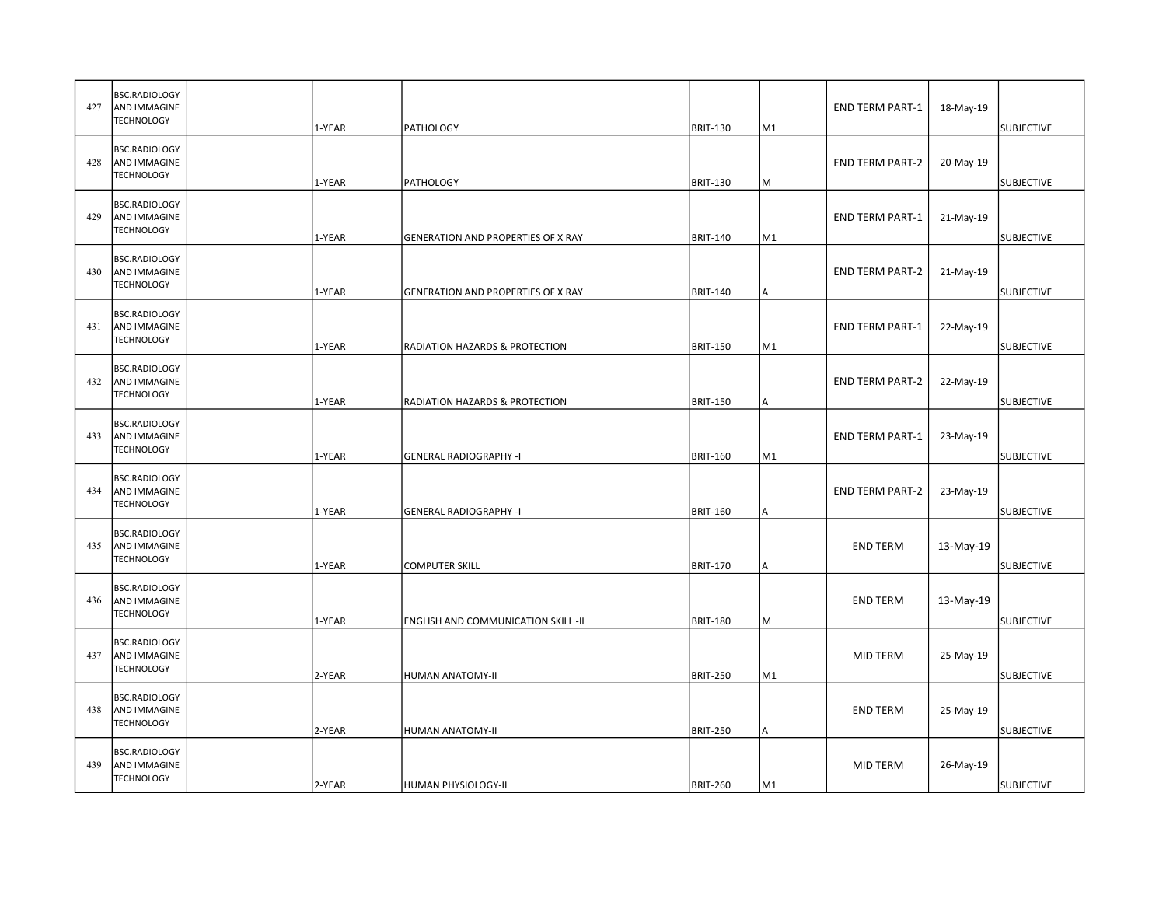| 427 | <b>BSC.RADIOLOGY</b><br>AND IMMAGINE<br><b>TECHNOLOGY</b>        | 1-YEAR |                                            |                                    | M1             | <b>END TERM PART-1</b> | 18-May-19 |                                        |
|-----|------------------------------------------------------------------|--------|--------------------------------------------|------------------------------------|----------------|------------------------|-----------|----------------------------------------|
| 428 | BSC.RADIOLOGY<br>AND IMMAGINE<br><b>TECHNOLOGY</b>               | 1-YEAR | <b>PATHOLOGY</b><br>PATHOLOGY              | <b>BRIT-130</b><br><b>BRIT-130</b> | M              | <b>END TERM PART-2</b> | 20-May-19 | <b>SUBJECTIVE</b><br><b>SUBJECTIVE</b> |
| 429 | BSC.RADIOLOGY<br>AND IMMAGINE<br><b>TECHNOLOGY</b>               | 1-YEAR | GENERATION AND PROPERTIES OF X RAY         | <b>BRIT-140</b>                    | M1             | <b>END TERM PART-1</b> | 21-May-19 | <b>SUBJECTIVE</b>                      |
| 430 | BSC.RADIOLOGY<br>AND IMMAGINE<br><b>TECHNOLOGY</b>               | 1-YEAR | GENERATION AND PROPERTIES OF X RAY         | <b>BRIT-140</b>                    | Α              | <b>END TERM PART-2</b> | 21-May-19 | <b>SUBJECTIVE</b>                      |
| 431 | <b>BSC.RADIOLOGY</b><br><b>AND IMMAGINE</b><br><b>TECHNOLOGY</b> | 1-YEAR | RADIATION HAZARDS & PROTECTION             | <b>BRIT-150</b>                    | M1             | <b>END TERM PART-1</b> | 22-May-19 | <b>SUBJECTIVE</b>                      |
| 432 | BSC.RADIOLOGY<br>AND IMMAGINE<br><b>TECHNOLOGY</b>               | 1-YEAR | RADIATION HAZARDS & PROTECTION             | <b>BRIT-150</b>                    | А              | <b>END TERM PART-2</b> | 22-May-19 | <b>SUBJECTIVE</b>                      |
| 433 | BSC.RADIOLOGY<br><b>AND IMMAGINE</b><br><b>TECHNOLOGY</b>        | 1-YEAR | <b>GENERAL RADIOGRAPHY -I</b>              | <b>BRIT-160</b>                    | M1             | <b>END TERM PART-1</b> | 23-May-19 | <b>SUBJECTIVE</b>                      |
| 434 | BSC.RADIOLOGY<br>AND IMMAGINE<br><b>TECHNOLOGY</b>               | 1-YEAR | <b>GENERAL RADIOGRAPHY -I</b>              | <b>BRIT-160</b>                    | А              | <b>END TERM PART-2</b> | 23-May-19 | <b>SUBJECTIVE</b>                      |
| 435 | <b>BSC.RADIOLOGY</b><br>AND IMMAGINE<br><b>TECHNOLOGY</b>        | 1-YEAR | <b>COMPUTER SKILL</b>                      | <b>BRIT-170</b>                    | А              | <b>END TERM</b>        | 13-May-19 | <b>SUBJECTIVE</b>                      |
| 436 | BSC.RADIOLOGY<br>AND IMMAGINE<br><b>TECHNOLOGY</b>               | 1-YEAR | <b>ENGLISH AND COMMUNICATION SKILL -II</b> | <b>BRIT-180</b>                    | M              | <b>END TERM</b>        | 13-May-19 | <b>SUBJECTIVE</b>                      |
| 437 | BSC.RADIOLOGY<br>AND IMMAGINE<br><b>TECHNOLOGY</b>               | 2-YEAR | HUMAN ANATOMY-II                           | <b>BRIT-250</b>                    | M1             | MID TERM               | 25-May-19 | <b>SUBJECTIVE</b>                      |
| 438 | BSC.RADIOLOGY<br>AND IMMAGINE<br><b>TECHNOLOGY</b>               | 2-YEAR | HUMAN ANATOMY-II                           | <b>BRIT-250</b>                    | A              | <b>END TERM</b>        | 25-May-19 | <b>SUBJECTIVE</b>                      |
| 439 | BSC.RADIOLOGY<br>AND IMMAGINE<br><b>TECHNOLOGY</b>               | 2-YEAR | <b>HUMAN PHYSIOLOGY-II</b>                 | <b>BRIT-260</b>                    | M <sub>1</sub> | <b>MID TERM</b>        | 26-May-19 | <b>SUBJECTIVE</b>                      |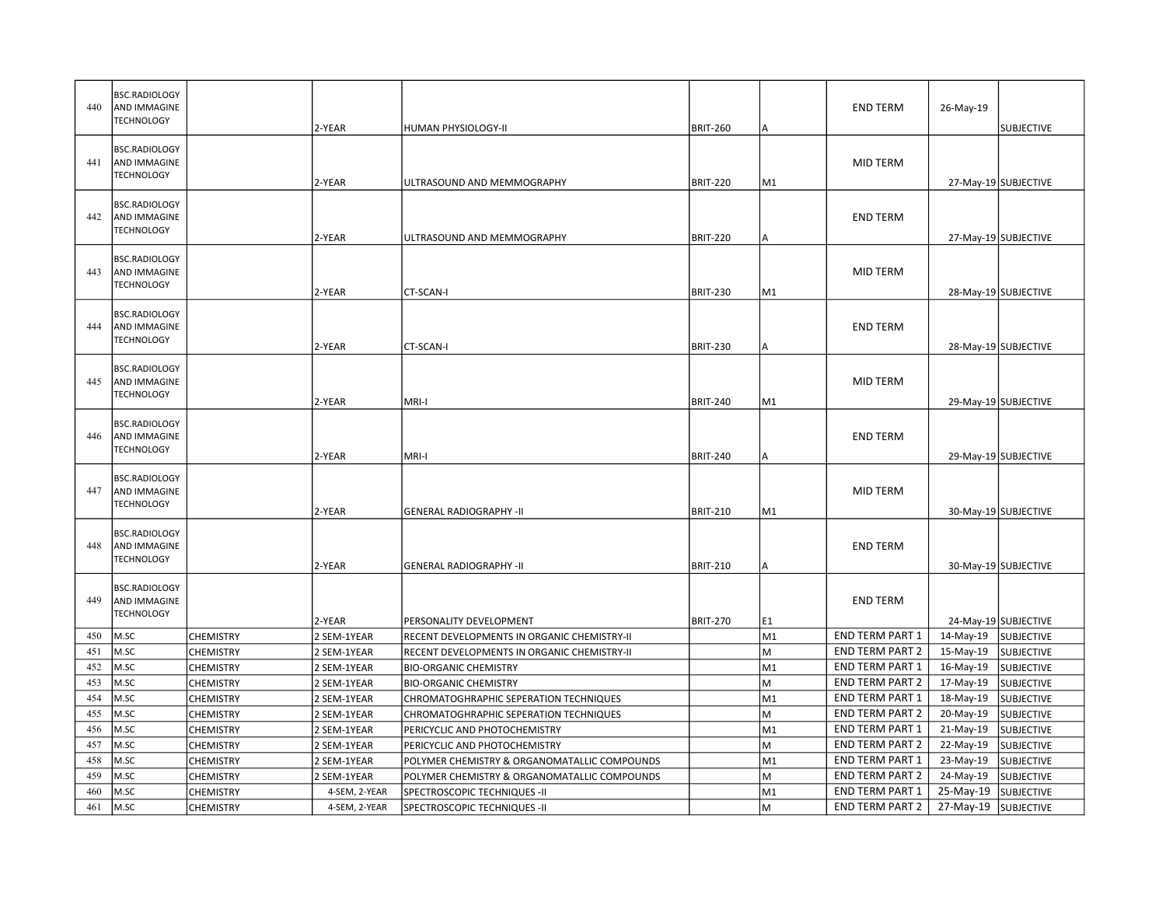| 440 | <b>BSC.RADIOLOGY</b><br><b>AND IMMAGINE</b><br><b>TECHNOLOGY</b> |                  | 2-YEAR        | HUMAN PHYSIOLOGY-II                          | <b>BRIT-260</b> | Α              | <b>END TERM</b>        | 26-May-19<br><b>SUBJECTIVE</b> |
|-----|------------------------------------------------------------------|------------------|---------------|----------------------------------------------|-----------------|----------------|------------------------|--------------------------------|
|     |                                                                  |                  |               |                                              |                 |                |                        |                                |
|     | BSC.RADIOLOGY                                                    |                  |               |                                              |                 |                |                        |                                |
| 441 | <b>AND IMMAGINE</b>                                              |                  |               |                                              |                 |                | <b>MID TERM</b>        |                                |
|     | <b>TECHNOLOGY</b>                                                |                  | 2-YEAR        | ULTRASOUND AND MEMMOGRAPHY                   | <b>BRIT-220</b> | M1             |                        | 27-May-19 SUBJECTIVE           |
|     | <b>BSC.RADIOLOGY</b>                                             |                  |               |                                              |                 |                |                        |                                |
| 442 | <b>AND IMMAGINE</b>                                              |                  |               |                                              |                 |                | <b>END TERM</b>        |                                |
|     | <b>TECHNOLOGY</b>                                                |                  | 2-YEAR        | ULTRASOUND AND MEMMOGRAPHY                   |                 |                |                        |                                |
|     |                                                                  |                  |               |                                              | <b>BRIT-220</b> | A              |                        | 27-May-19 SUBJECTIVE           |
|     | <b>BSC.RADIOLOGY</b>                                             |                  |               |                                              |                 |                |                        |                                |
| 443 | AND IMMAGINE                                                     |                  |               |                                              |                 |                | <b>MID TERM</b>        |                                |
|     | <b>TECHNOLOGY</b>                                                |                  | 2-YEAR        | CT-SCAN-I                                    | <b>BRIT-230</b> | M1             |                        | 28-May-19 SUBJECTIVE           |
|     | <b>BSC.RADIOLOGY</b>                                             |                  |               |                                              |                 |                |                        |                                |
| 444 | AND IMMAGINE                                                     |                  |               |                                              |                 |                | <b>END TERM</b>        |                                |
|     | <b>TECHNOLOGY</b>                                                |                  | 2-YEAR        | CT-SCAN-I                                    | <b>BRIT-230</b> | А              |                        | 28-May-19 SUBJECTIVE           |
|     |                                                                  |                  |               |                                              |                 |                |                        |                                |
|     | <b>BSC.RADIOLOGY</b>                                             |                  |               |                                              |                 |                |                        |                                |
| 445 | <b>AND IMMAGINE</b>                                              |                  |               |                                              |                 |                | <b>MID TERM</b>        |                                |
|     | <b>TECHNOLOGY</b>                                                |                  | 2-YEAR        | MRI-I                                        | <b>BRIT-240</b> | M1             |                        | 29-May-19 SUBJECTIVE           |
|     | <b>BSC.RADIOLOGY</b>                                             |                  |               |                                              |                 |                |                        |                                |
| 446 | <b>AND IMMAGINE</b>                                              |                  |               |                                              |                 |                | <b>END TERM</b>        |                                |
|     | <b>TECHNOLOGY</b>                                                |                  | 2-YEAR        | MRI-I                                        | <b>BRIT-240</b> | А              |                        | 29-May-19 SUBJECTIVE           |
|     |                                                                  |                  |               |                                              |                 |                |                        |                                |
|     | <b>BSC.RADIOLOGY</b>                                             |                  |               |                                              |                 |                |                        |                                |
| 447 | AND IMMAGINE<br><b>TECHNOLOGY</b>                                |                  |               |                                              |                 |                | <b>MID TERM</b>        |                                |
|     |                                                                  |                  | 2-YEAR        | <b>GENERAL RADIOGRAPHY -II</b>               | <b>BRIT-210</b> | M1             |                        | 30-May-19 SUBJECTIVE           |
|     | <b>BSC.RADIOLOGY</b>                                             |                  |               |                                              |                 |                |                        |                                |
| 448 | <b>AND IMMAGINE</b>                                              |                  |               |                                              |                 |                | <b>END TERM</b>        |                                |
|     | <b>TECHNOLOGY</b>                                                |                  | 2-YEAR        | <b>GENERAL RADIOGRAPHY -II</b>               | <b>BRIT-210</b> | А              |                        | 30-May-19 SUBJECTIVE           |
|     |                                                                  |                  |               |                                              |                 |                |                        |                                |
| 449 | <b>BSC.RADIOLOGY</b><br>AND IMMAGINE                             |                  |               |                                              |                 |                | <b>END TERM</b>        |                                |
|     | <b>TECHNOLOGY</b>                                                |                  |               |                                              |                 |                |                        |                                |
|     |                                                                  |                  | 2-YEAR        | PERSONALITY DEVELOPMENT                      | <b>BRIT-270</b> | E1             |                        | 24-May-19 SUBJECTIVE           |
| 450 | M.SC                                                             | <b>CHEMISTRY</b> | 2 SEM-1YEAR   | RECENT DEVELOPMENTS IN ORGANIC CHEMISTRY-II  |                 | M1             | <b>END TERM PART 1</b> | 14-May-19<br><b>SUBJECTIVE</b> |
| 451 | M.SC                                                             | <b>CHEMISTRY</b> | 2 SEM-1YEAR   | RECENT DEVELOPMENTS IN ORGANIC CHEMISTRY-II  |                 | M              | <b>END TERM PART 2</b> | 15-May-19<br><b>SUBJECTIVE</b> |
| 452 | M.SC                                                             | <b>CHEMISTRY</b> | 2 SEM-1YEAR   | <b>BIO-ORGANIC CHEMISTRY</b>                 |                 | M1             | END TERM PART 1        | 16-May-19<br><b>SUBJECTIVE</b> |
| 453 | M.SC                                                             | <b>CHEMISTRY</b> | 2 SEM-1YEAR   | <b>BIO-ORGANIC CHEMISTRY</b>                 |                 | M              | <b>END TERM PART 2</b> | 17-May-19<br><b>SUBJECTIVE</b> |
| 454 | M.SC                                                             | <b>CHEMISTRY</b> | 2 SEM-1YEAR   | CHROMATOGHRAPHIC SEPERATION TECHNIQUES       |                 | M1             | <b>END TERM PART 1</b> | 18-May-19<br><b>SUBJECTIVE</b> |
| 455 | M.SC                                                             | <b>CHEMISTRY</b> | 2 SEM-1YEAR   | CHROMATOGHRAPHIC SEPERATION TECHNIQUES       |                 | M              | <b>END TERM PART 2</b> | 20-May-19<br><b>SUBJECTIVE</b> |
| 456 | M.SC                                                             | <b>CHEMISTRY</b> | 2 SEM-1YEAR   | PERICYCLIC AND PHOTOCHEMISTRY                |                 | M <sub>1</sub> | <b>END TERM PART 1</b> | 21-May-19<br><b>SUBJECTIVE</b> |
| 457 | M.SC                                                             | <b>CHEMISTRY</b> | 2 SEM-1YEAR   | PERICYCLIC AND PHOTOCHEMISTRY                |                 | M              | <b>END TERM PART 2</b> | 22-May-19<br><b>SUBJECTIVE</b> |
| 458 | M.SC                                                             | <b>CHEMISTRY</b> | 2 SEM-1YEAR   | POLYMER CHEMISTRY & ORGANOMATALLIC COMPOUNDS |                 | M1             | <b>END TERM PART 1</b> | 23-May-19<br><b>SUBJECTIVE</b> |
| 459 | M.SC                                                             | <b>CHEMISTRY</b> | 2 SEM-1YEAR   | POLYMER CHEMISTRY & ORGANOMATALLIC COMPOUNDS |                 | M              | <b>END TERM PART 2</b> | 24-May-19<br><b>SUBJECTIVE</b> |
| 460 | M.SC                                                             | CHEMISTRY        | 4-SEM, 2-YEAR | SPECTROSCOPIC TECHNIQUES -II                 |                 | M1             | <b>END TERM PART 1</b> | 25-May-19<br><b>SUBJECTIVE</b> |
| 461 | M.SC                                                             | <b>CHEMISTRY</b> | 4-SEM, 2-YEAR | SPECTROSCOPIC TECHNIQUES -II                 |                 | M              | <b>END TERM PART 2</b> | 27-May-19<br><b>SUBJECTIVE</b> |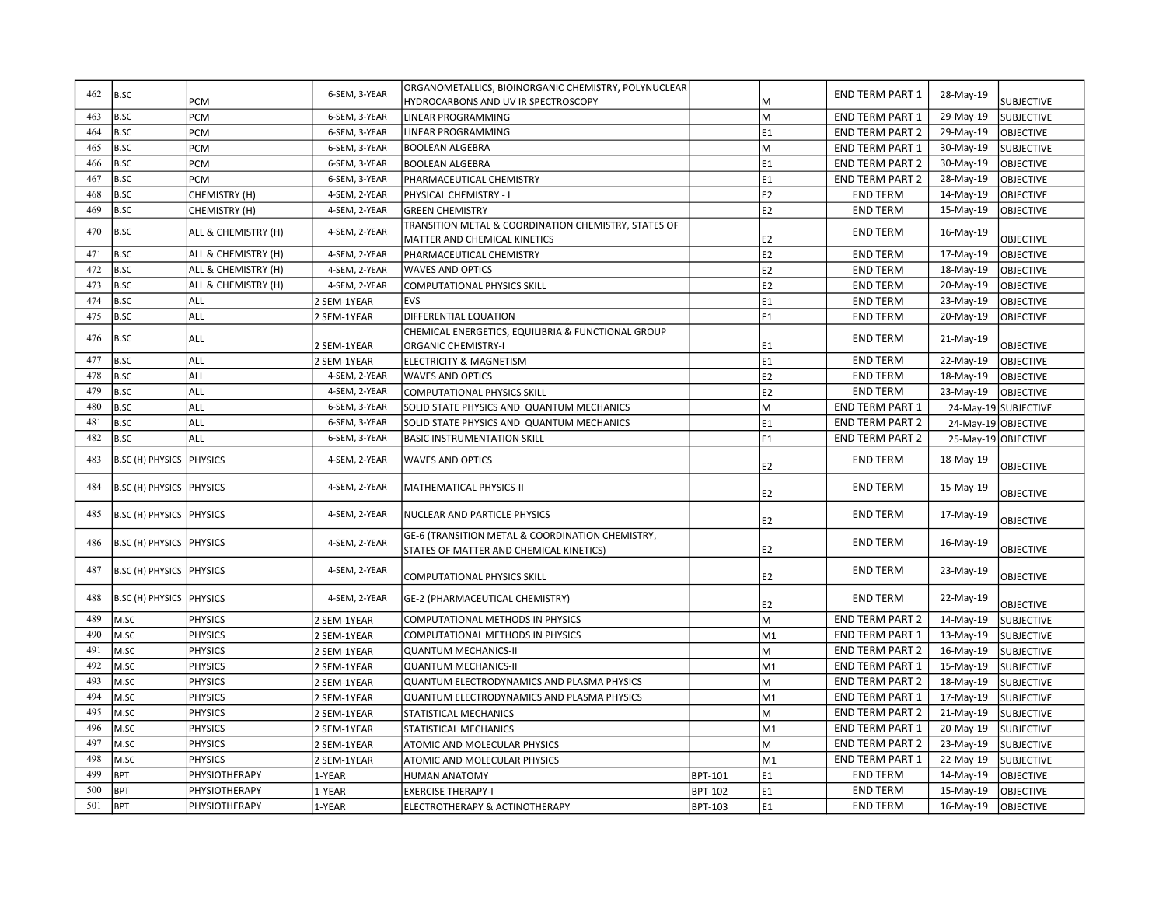| 462 | B.SC                            |                     | 6-SEM, 3-YEAR | ORGANOMETALLICS, BIOINORGANIC CHEMISTRY, POLYNUCLEAR |                |                | <b>END TERM PART 1</b> | 28-May-19           |                      |
|-----|---------------------------------|---------------------|---------------|------------------------------------------------------|----------------|----------------|------------------------|---------------------|----------------------|
|     |                                 | PCM                 |               | HYDROCARBONS AND UV IR SPECTROSCOPY                  |                | M              |                        |                     | <b>SUBJECTIVE</b>    |
| 463 | B.SC                            | PCM                 | 6-SEM, 3-YEAR | LINEAR PROGRAMMING                                   |                | M              | <b>END TERM PART 1</b> | 29-May-19           | <b>SUBJECTIVE</b>    |
| 464 | <b>B.SC</b>                     | PCM                 | 6-SEM, 3-YEAR | LINEAR PROGRAMMING                                   |                | E1             | <b>END TERM PART 2</b> | 29-May-19           | <b>OBJECTIVE</b>     |
| 465 | <b>B.SC</b>                     | PCM                 | 6-SEM, 3-YEAR | <b>BOOLEAN ALGEBRA</b>                               |                | M              | END TERM PART 1        | 30-May-19           | <b>SUBJECTIVE</b>    |
| 466 | B.SC                            | PCM                 | 6-SEM, 3-YEAR | <b>BOOLEAN ALGEBRA</b>                               |                | E1             | <b>END TERM PART 2</b> | 30-May-19           | <b>OBJECTIVE</b>     |
| 467 | <b>B.SC</b>                     | PCM                 | 6-SEM, 3-YEAR | PHARMACEUTICAL CHEMISTRY                             |                | E1             | END TERM PART 2        | 28-May-19           | <b>OBJECTIVE</b>     |
| 468 | <b>B.SC</b>                     | CHEMISTRY (H)       | 4-SEM, 2-YEAR | PHYSICAL CHEMISTRY - I                               |                | E2             | <b>END TERM</b>        | 14-May-19           | <b>OBJECTIVE</b>     |
| 469 | <b>B.SC</b>                     | CHEMISTRY (H)       | 4-SEM, 2-YEAR | <b>GREEN CHEMISTRY</b>                               |                | E <sub>2</sub> | <b>END TERM</b>        | 15-May-19           | <b>OBJECTIVE</b>     |
| 470 | <b>B.SC</b>                     | ALL & CHEMISTRY (H) | 4-SEM, 2-YEAR | TRANSITION METAL & COORDINATION CHEMISTRY, STATES OF |                |                | <b>END TERM</b>        | 16-May-19           |                      |
|     |                                 |                     |               | MATTER AND CHEMICAL KINETICS                         |                | E <sub>2</sub> |                        |                     | OBJECTIVE            |
| 471 | B.SC                            | ALL & CHEMISTRY (H) | 4-SEM, 2-YEAR | PHARMACEUTICAL CHEMISTRY                             |                | E <sub>2</sub> | <b>END TERM</b>        | 17-May-19           | <b>OBJECTIVE</b>     |
| 472 | <b>B.SC</b>                     | ALL & CHEMISTRY (H) | 4-SEM, 2-YEAR | <b>WAVES AND OPTICS</b>                              |                | E <sub>2</sub> | <b>END TERM</b>        | 18-May-19           | <b>OBJECTIVE</b>     |
| 473 | <b>B.SC</b>                     | ALL & CHEMISTRY (H) | 4-SEM, 2-YEAR | <b>COMPUTATIONAL PHYSICS SKILL</b>                   |                | E <sub>2</sub> | <b>END TERM</b>        | 20-May-19           | <b>OBJECTIVE</b>     |
| 474 | <b>B.SC</b>                     | ALL                 | 2 SEM-1YEAR   | EVS                                                  |                | E1             | <b>END TERM</b>        | 23-May-19           | <b>OBJECTIVE</b>     |
| 475 | <b>B.SC</b>                     | ALL                 | 2 SEM-1YEAR   | DIFFERENTIAL EQUATION                                |                | E1             | <b>END TERM</b>        | 20-May-19           | <b>OBJECTIVE</b>     |
| 476 | <b>B.SC</b>                     | ALL                 |               | CHEMICAL ENERGETICS, EQUILIBRIA & FUNCTIONAL GROUP   |                |                | <b>END TERM</b>        | 21-May-19           |                      |
|     |                                 |                     | 2 SEM-1YEAR   | <b>ORGANIC CHEMISTRY-I</b>                           |                | E1             |                        |                     | <b>OBJECTIVE</b>     |
| 477 | B.SC                            | ALL                 | 2 SEM-1YEAR   | ELECTRICITY & MAGNETISM                              |                | E1             | <b>END TERM</b>        | 22-May-19           | <b>OBJECTIVE</b>     |
| 478 | <b>B.SC</b>                     | ALL                 | 4-SEM, 2-YEAR | <b>WAVES AND OPTICS</b>                              |                | E2             | <b>END TERM</b>        | 18-May-19           | OBJECTIVE            |
| 479 | <b>B.SC</b>                     | ALL                 | 4-SEM, 2-YEAR | <b>COMPUTATIONAL PHYSICS SKILL</b>                   |                | E <sub>2</sub> | <b>END TERM</b>        | 23-May-19           | <b>OBJECTIVE</b>     |
| 480 | <b>B.SC</b>                     | ALL                 | 6-SEM, 3-YEAR | SOLID STATE PHYSICS AND QUANTUM MECHANICS            |                | M              | <b>END TERM PART 1</b> |                     | 24-May-19 SUBJECTIVE |
| 481 | <b>B.SC</b>                     | ALL                 | 6-SEM, 3-YEAR | SOLID STATE PHYSICS AND QUANTUM MECHANICS            |                | E1             | <b>END TERM PART 2</b> | 24-May-19 OBJECTIVE |                      |
| 482 | B.SC                            | ALL                 | 6-SEM, 3-YEAR | <b>BASIC INSTRUMENTATION SKILL</b>                   |                | E1             | <b>END TERM PART 2</b> | 25-May-19 OBJECTIVE |                      |
| 483 | B.SC (H) PHYSICS   PHYSICS      |                     | 4-SEM, 2-YEAR | <b>WAVES AND OPTICS</b>                              |                | E2             | <b>END TERM</b>        | 18-May-19           | <b>OBJECTIVE</b>     |
| 484 | B.SC (H) PHYSICS PHYSICS        |                     | 4-SEM, 2-YEAR | MATHEMATICAL PHYSICS-II                              |                | E2             | <b>END TERM</b>        | 15-May-19           | <b>OBJECTIVE</b>     |
| 485 | <b>B.SC (H) PHYSICS PHYSICS</b> |                     | 4-SEM, 2-YEAR | NUCLEAR AND PARTICLE PHYSICS                         |                | E2             | <b>END TERM</b>        | 17-May-19           | <b>OBJECTIVE</b>     |
| 486 | <b>B.SC (H) PHYSICS PHYSICS</b> |                     | 4-SEM, 2-YEAR | GE-6 (TRANSITION METAL & COORDINATION CHEMISTRY,     |                |                |                        |                     |                      |
| 487 |                                 |                     |               | STATES OF MATTER AND CHEMICAL KINETICS)              |                | E <sub>2</sub> | <b>END TERM</b>        | 16-May-19           | <b>OBJECTIVE</b>     |
|     | B.SC (H) PHYSICS PHYSICS        |                     | 4-SEM, 2-YEAR | COMPUTATIONAL PHYSICS SKILL                          |                | E <sub>2</sub> | <b>END TERM</b>        | 23-May-19           | <b>OBJECTIVE</b>     |
| 488 | <b>B.SC (H) PHYSICS PHYSICS</b> |                     | 4-SEM, 2-YEAR | GE-2 (PHARMACEUTICAL CHEMISTRY)                      |                | E2             | <b>END TERM</b>        | 22-May-19           | <b>OBJECTIVE</b>     |
| 489 | M.SC                            | <b>PHYSICS</b>      | 2 SEM-1YEAR   | COMPUTATIONAL METHODS IN PHYSICS                     |                | M              | <b>END TERM PART 2</b> | 14-May-19           | <b>SUBJECTIVE</b>    |
| 490 | M.SC                            | <b>PHYSICS</b>      | 2 SEM-1YEAR   | COMPUTATIONAL METHODS IN PHYSICS                     |                | M <sub>1</sub> | <b>END TERM PART 1</b> | 13-May-19           | <b>SUBJECTIVE</b>    |
| 491 | M.SC                            | <b>PHYSICS</b>      | 2 SEM-1YEAR   | <b>QUANTUM MECHANICS-II</b>                          |                | M              | <b>END TERM PART 2</b> | 16-May-19           | <b>SUBJECTIVE</b>    |
| 492 | M.SC                            | <b>PHYSICS</b>      | 2 SEM-1YEAR   | <b>QUANTUM MECHANICS-II</b>                          |                | M <sub>1</sub> | <b>END TERM PART 1</b> | 15-May-19           | <b>SUBJECTIVE</b>    |
| 493 | M.SC                            | <b>PHYSICS</b>      | 2 SEM-1YEAR   | <b>QUANTUM ELECTRODYNAMICS AND PLASMA PHYSICS</b>    |                | M              | <b>END TERM PART 2</b> | 18-May-19           | <b>SUBJECTIVE</b>    |
| 494 | M.SC                            | <b>PHYSICS</b>      | 2 SEM-1YEAR   | <b>QUANTUM ELECTRODYNAMICS AND PLASMA PHYSICS</b>    |                | M <sub>1</sub> | END TERM PART 1        | 17-May-19           | <b>SUBJECTIVE</b>    |
| 495 | M.SC                            | <b>PHYSICS</b>      | 2 SEM-1YEAR   | STATISTICAL MECHANICS                                |                | M              | <b>END TERM PART 2</b> | 21-May-19           | <b>SUBJECTIVE</b>    |
| 496 | M.SC                            | <b>PHYSICS</b>      | 2 SEM-1YEAR   | STATISTICAL MECHANICS                                |                | M <sub>1</sub> | END TERM PART 1        | 20-May-19           | <b>SUBJECTIVE</b>    |
| 497 | M.SC                            | <b>PHYSICS</b>      | 2 SEM-1YEAR   | ATOMIC AND MOLECULAR PHYSICS                         |                | M              | END TERM PART 2        | 23-May-19           | <b>SUBJECTIVE</b>    |
| 498 | M.SC                            | <b>PHYSICS</b>      | 2 SEM-1YEAR   | ATOMIC AND MOLECULAR PHYSICS                         |                | M <sub>1</sub> | <b>END TERM PART 1</b> | 22-May-19           | <b>SUBJECTIVE</b>    |
| 499 | <b>BPT</b>                      | PHYSIOTHERAPY       | 1-YEAR        | <b>HUMAN ANATOMY</b>                                 | <b>BPT-101</b> | E1             | <b>END TERM</b>        | 14-May-19           | <b>OBJECTIVE</b>     |
| 500 | <b>BPT</b>                      | PHYSIOTHERAPY       | 1-YEAR        | <b>EXERCISE THERAPY-I</b>                            | BPT-102        | E1             | <b>END TERM</b>        | 15-May-19           | <b>OBJECTIVE</b>     |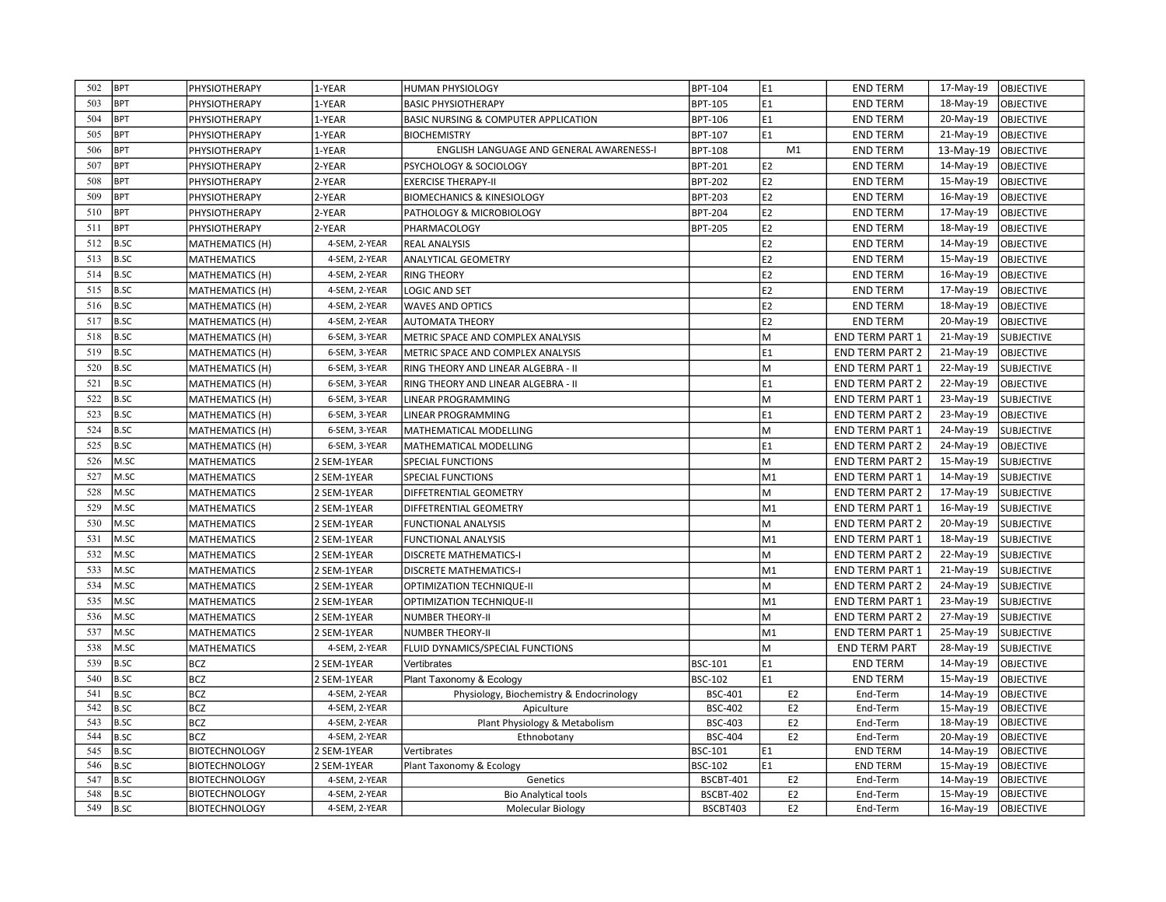| 502        | <b>BPT</b>                 | PHYSIOTHERAPY                                | 1-YEAR                       | <b>HUMAN PHYSIOLOGY</b>                  | BPT-104                     | E1                                                                                                         | <b>END TERM</b>        | 17-May-19 | <b>OBJECTIVE</b>       |
|------------|----------------------------|----------------------------------------------|------------------------------|------------------------------------------|-----------------------------|------------------------------------------------------------------------------------------------------------|------------------------|-----------|------------------------|
| 503        | <b>BPT</b>                 | PHYSIOTHERAPY                                | 1-YEAR                       | <b>BASIC PHYSIOTHERAPY</b>               | BPT-105                     | E1                                                                                                         | <b>END TERM</b>        | 18-May-19 | OBJECTIVE              |
| 504        | <b>BPT</b>                 | PHYSIOTHERAPY                                | 1-YEAR                       | BASIC NURSING & COMPUTER APPLICATION     | BPT-106                     | E1                                                                                                         | <b>END TERM</b>        | 20-May-19 | OBJECTIVE              |
| 505        | <b>BPT</b>                 | PHYSIOTHERAPY                                | 1-YEAR                       | <b>BIOCHEMISTRY</b>                      | BPT-107                     | E1                                                                                                         | <b>END TERM</b>        | 21-May-19 | <b>OBJECTIVE</b>       |
| 506        | <b>BPT</b>                 | PHYSIOTHERAPY                                | 1-YEAR                       | ENGLISH LANGUAGE AND GENERAL AWARENESS-I | BPT-108                     | M1                                                                                                         | <b>END TERM</b>        | 13-May-19 | <b>OBJECTIVE</b>       |
| 507        | <b>BPT</b>                 | PHYSIOTHERAPY                                | 2-YEAR                       | PSYCHOLOGY & SOCIOLOGY                   | BPT-201                     | E <sub>2</sub>                                                                                             | <b>END TERM</b>        | 14-May-19 | OBJECTIVE              |
| 508        | <b>BPT</b>                 | PHYSIOTHERAPY                                | 2-YEAR                       | <b>EXERCISE THERAPY-II</b>               | <b>BPT-202</b>              | E2                                                                                                         | <b>END TERM</b>        | 15-May-19 | <b>OBJECTIVE</b>       |
| 509        | <b>BPT</b>                 | PHYSIOTHERAPY                                | 2-YEAR                       | <b>BIOMECHANICS &amp; KINESIOLOGY</b>    | <b>BPT-203</b>              | E <sub>2</sub>                                                                                             | <b>END TERM</b>        | 16-May-19 | OBJECTIVE              |
| 510        | <b>BPT</b>                 | PHYSIOTHERAPY                                | 2-YEAR                       | PATHOLOGY & MICROBIOLOGY                 | <b>BPT-204</b>              | E <sub>2</sub>                                                                                             | <b>END TERM</b>        | 17-May-19 | OBJECTIVE              |
| 511        | <b>BPT</b>                 | PHYSIOTHERAPY                                | 2-YEAR                       | PHARMACOLOGY                             | BPT-205                     | lE <sub>2</sub>                                                                                            | <b>END TERM</b>        | 18-May-19 | OBJECTIVE              |
| 512        | <b>B.SC</b>                | MATHEMATICS (H)                              | 4-SEM, 2-YEAR                | <b>REAL ANALYSIS</b>                     |                             | E <sub>2</sub>                                                                                             | <b>END TERM</b>        | 14-May-19 | <b>OBJECTIVE</b>       |
| 513        | <b>B.SC</b>                | <b>MATHEMATICS</b>                           | 4-SEM, 2-YEAR                | ANALYTICAL GEOMETRY                      |                             | E <sub>2</sub>                                                                                             | <b>END TERM</b>        | 15-May-19 | OBJECTIVE              |
| 514        | <b>B.SC</b>                | MATHEMATICS (H)                              | 4-SEM, 2-YEAR                | <b>RING THEORY</b>                       |                             | E2                                                                                                         | <b>END TERM</b>        | 16-May-19 | OBJECTIVE              |
| 515        | <b>B.SC</b>                | MATHEMATICS (H)                              | 4-SEM, 2-YEAR                | <b>LOGIC AND SET</b>                     |                             | E <sub>2</sub>                                                                                             | <b>END TERM</b>        | 17-May-19 | OBJECTIVE              |
| 516        | <b>B.SC</b>                | <b>MATHEMATICS (H)</b>                       | 4-SEM, 2-YEAR                | <b>WAVES AND OPTICS</b>                  |                             | E <sub>2</sub>                                                                                             | <b>END TERM</b>        | 18-May-19 | OBJECTIVE              |
| 517        | <b>B.SC</b>                | MATHEMATICS (H)                              | 4-SEM, 2-YEAR                | <b>AUTOMATA THEORY</b>                   |                             | lE <sub>2</sub>                                                                                            | <b>END TERM</b>        | 20-May-19 | OBJECTIVE              |
| 518        | <b>B.SC</b>                | <b>MATHEMATICS (H)</b>                       | 6-SEM, 3-YEAR                | METRIC SPACE AND COMPLEX ANALYSIS        |                             | M                                                                                                          | <b>END TERM PART 1</b> | 21-May-19 | <b>SUBJECTIVE</b>      |
| 519        | <b>B.SC</b>                | <b>MATHEMATICS (H)</b>                       | 6-SEM, 3-YEAR                | METRIC SPACE AND COMPLEX ANALYSIS        |                             | lE1                                                                                                        | <b>END TERM PART 2</b> | 21-May-19 | OBJECTIVE              |
| 520        | <b>B.SC</b>                | MATHEMATICS (H)                              | 6-SEM, 3-YEAR                | RING THEORY AND LINEAR ALGEBRA - II      |                             | M                                                                                                          | <b>END TERM PART 1</b> | 22-May-19 | <b>SUBJECTIVE</b>      |
| 521        | <b>B.SC</b>                | MATHEMATICS (H)                              | 6-SEM, 3-YEAR                | RING THEORY AND LINEAR ALGEBRA - II      |                             | E1                                                                                                         | <b>END TERM PART 2</b> | 22-May-19 | OBJECTIVE              |
| 522        | <b>B.SC</b>                | MATHEMATICS (H)                              | 6-SEM, 3-YEAR                | LINEAR PROGRAMMING                       |                             | M                                                                                                          | <b>END TERM PART 1</b> | 23-May-19 | <b>SUBJECTIVE</b>      |
| 523        | <b>B.SC</b>                | MATHEMATICS (H)                              | 6-SEM, 3-YEAR                | LINEAR PROGRAMMING                       |                             | lE1                                                                                                        | <b>END TERM PART 2</b> | 23-May-19 | OBJECTIVE              |
| 524        | <b>B.SC</b>                | MATHEMATICS (H)                              | 6-SEM, 3-YEAR                | MATHEMATICAL MODELLING                   |                             | M                                                                                                          | <b>END TERM PART 1</b> | 24-May-19 | <b>SUBJECTIVE</b>      |
| 525        | <b>B.SC</b>                | MATHEMATICS (H)                              | 6-SEM, 3-YEAR                | MATHEMATICAL MODELLING                   |                             | E1                                                                                                         | <b>END TERM PART 2</b> | 24-May-19 | OBJECTIVE              |
| 526        | M.SC                       | <b>MATHEMATICS</b>                           | 2 SEM-1YEAR                  | SPECIAL FUNCTIONS                        |                             | M                                                                                                          | <b>END TERM PART 2</b> | 15-May-19 | <b>SUBJECTIVE</b>      |
| 527        | M.SC                       | <b>MATHEMATICS</b>                           | 2 SEM-1YEAR                  | SPECIAL FUNCTIONS                        |                             | M1                                                                                                         | <b>END TERM PART 1</b> | 14-May-19 | <b>SUBJECTIVE</b>      |
| 528        | M.SC                       | MATHEMATICS                                  | 2 SEM-1YEAR                  | DIFFETRENTIAL GEOMETRY                   |                             | $\mathsf{M}% _{T}=\mathsf{M}_{T}\!\left( a,b\right) ,\ \mathsf{M}_{T}=\mathsf{M}_{T}\!\left( a,b\right) ,$ | <b>END TERM PART 2</b> | 17-May-19 | <b>SUBJECTIVE</b>      |
| 529        | M.SC                       | <b>MATHEMATICS</b>                           | 2 SEM-1YEAR                  | DIFFETRENTIAL GEOMETRY                   |                             | M1                                                                                                         | <b>END TERM PART 1</b> | 16-May-19 | <b>SUBJECTIVE</b>      |
| 530        | M.SC                       | <b>MATHEMATICS</b>                           | 2 SEM-1YEAR                  | <b>FUNCTIONAL ANALYSIS</b>               |                             | M                                                                                                          | <b>END TERM PART 2</b> | 20-May-19 | <b>SUBJECTIVE</b>      |
| 531        | M.SC                       | <b>MATHEMATICS</b>                           | 2 SEM-1YEAR                  | <b>FUNCTIONAL ANALYSIS</b>               |                             | M1                                                                                                         | END TERM PART 1        | 18-May-19 | <b>SUBJECTIVE</b>      |
| 532        | M.SC                       | <b>MATHEMATICS</b>                           | 2 SEM-1YEAR                  | DISCRETE MATHEMATICS-I                   |                             | M                                                                                                          | <b>END TERM PART 2</b> | 22-May-19 | <b>SUBJECTIVE</b>      |
| 533        | M.SC                       | MATHEMATICS                                  | 2 SEM-1YEAR                  | DISCRETE MATHEMATICS-I                   |                             | M1                                                                                                         | <b>END TERM PART 1</b> | 21-May-19 | <b>SUBJECTIVE</b>      |
| 534        | M.SC                       | <b>MATHEMATICS</b>                           | 2 SEM-1YEAR                  | OPTIMIZATION TECHNIQUE-II                |                             | M                                                                                                          | <b>END TERM PART 2</b> | 24-May-19 | <b>SUBJECTIVE</b>      |
| 535        | M.SC                       | <b>MATHEMATICS</b>                           | 2 SEM-1YEAR                  | OPTIMIZATION TECHNIQUE-II                |                             | M1                                                                                                         | <b>END TERM PART 1</b> | 23-May-19 | <b>SUBJECTIVE</b>      |
| 536        | M.SC                       | <b>MATHEMATICS</b>                           | 2 SEM-1YEAR                  | <b>NUMBER THEORY-II</b>                  |                             | M                                                                                                          | <b>END TERM PART 2</b> | 27-May-19 | <b>SUBJECTIVE</b>      |
| 537        | M.SC                       | <b>MATHEMATICS</b>                           | 2 SEM-1YEAR                  | <b>NUMBER THEORY-II</b>                  |                             | M1                                                                                                         | <b>END TERM PART 1</b> | 25-May-19 | <b>SUBJECTIVE</b>      |
| 538        | M.SC                       | <b>MATHEMATICS</b>                           | 4-SEM, 2-YEAR                | FLUID DYNAMICS/SPECIAL FUNCTIONS         |                             | M                                                                                                          | <b>END TERM PART</b>   | 28-May-19 | <b>SUBJECTIVE</b>      |
| 539        | <b>B.SC</b>                | <b>BCZ</b>                                   | 2 SEM-1YEAR                  | Vertibrates                              | BSC-101                     | E1                                                                                                         | <b>END TERM</b>        | 14-May-19 | OBJECTIVE              |
| 540        | <b>B.SC</b>                | <b>BCZ</b>                                   | 2 SEM-1YEAR                  | Plant Taxonomy & Ecology                 | BSC-102                     | E <sub>1</sub>                                                                                             | <b>END TERM</b>        | 15-May-19 | OBJECTIVE              |
| 541        | <b>B.SC</b>                | <b>BCZ</b>                                   | 4-SEM, 2-YEAR                | Physiology, Biochemistry & Endocrinology | <b>BSC-401</b>              | E <sub>2</sub>                                                                                             | End-Term               | 14-May-19 | <b>OBJECTIVE</b>       |
| 542        | <b>B.SC</b>                | <b>BCZ</b>                                   | 4-SEM, 2-YEAR                | Apiculture                               | <b>BSC-402</b>              | E <sub>2</sub>                                                                                             | End-Term               | 15-May-19 | OBJECTIVE              |
| 543        | <b>B.SC</b>                | <b>BCZ</b>                                   | 4-SEM, 2-YEAR                | Plant Physiology & Metabolism            | <b>BSC-403</b>              | E <sub>2</sub>                                                                                             | End-Term               | 18-May-19 | OBJECTIVE              |
| 544        | <b>B.SC</b>                | <b>BCZ</b>                                   | 4-SEM, 2-YEAR                | Ethnobotany                              | <b>BSC-404</b>              | E <sub>2</sub>                                                                                             | End-Term               | 20-May-19 | OBJECTIVE              |
| 545        | <b>B.SC</b>                | <b>BIOTECHNOLOGY</b>                         | 2 SEM-1YEAR                  | Vertibrates                              | BSC-101                     | E1                                                                                                         | <b>END TERM</b>        | 14-May-19 | OBJECTIVE              |
| 546<br>547 | <b>B.SC</b><br><b>B.SC</b> | <b>BIOTECHNOLOGY</b><br><b>BIOTECHNOLOGY</b> | 2 SEM-1YEAR<br>4-SEM, 2-YEAR | Plant Taxonomy & Ecology                 | BSC-102<br><b>BSCBT-401</b> | lE1<br>E <sub>2</sub>                                                                                      | <b>END TERM</b>        | 15-May-19 | OBJECTIVE<br>OBJECTIVE |
|            |                            |                                              |                              | Genetics                                 |                             |                                                                                                            | End-Term               | 14-May-19 |                        |
| 548        | <b>B.SC</b>                | <b>BIOTECHNOLOGY</b>                         | 4-SEM, 2-YEAR                | <b>Bio Analytical tools</b>              | <b>BSCBT-402</b>            | E <sub>2</sub>                                                                                             | End-Term               | 15-May-19 | <b>OBJECTIVE</b>       |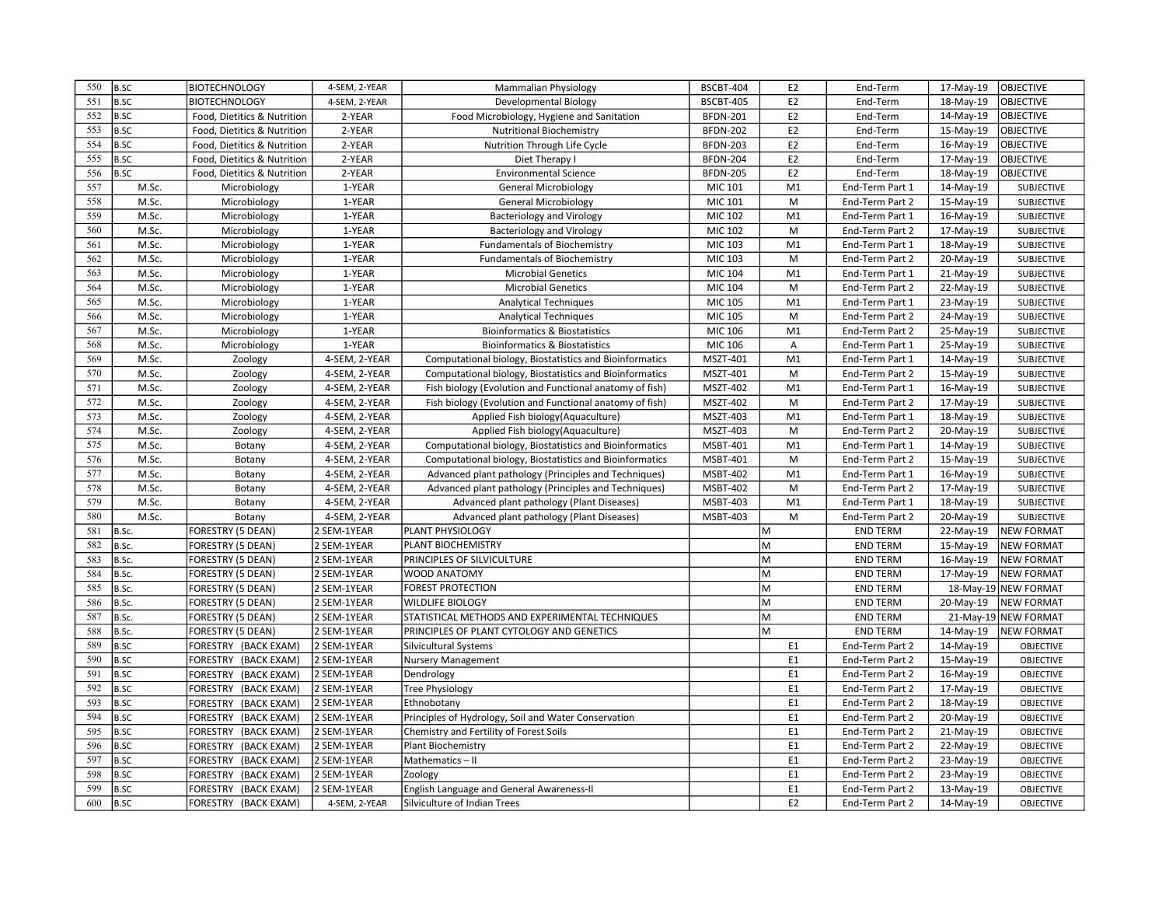| 550 | <b>B.SC</b>                | <b>BIOTECHNOLOGY</b>        | 4-SEM, 2-YEAR              | <b>Mammalian Physiology</b>                             | BSCBT-404        | E <sub>2</sub> | End-Term                           | 17-May-19 | OBJECTIVE            |
|-----|----------------------------|-----------------------------|----------------------------|---------------------------------------------------------|------------------|----------------|------------------------------------|-----------|----------------------|
| 551 | <b>B.SC</b>                | BIOTECHNOLOGY               | 4-SEM, 2-YEAR              | Developmental Biology                                   | <b>BSCBT-405</b> | E <sub>2</sub> | End-Term                           | 18-May-19 | <b>OBJECTIVE</b>     |
| 552 | <b>B.SC</b>                | Food, Dietitics & Nutrition | 2-YEAR                     | Food Microbiology, Hygiene and Sanitation               | <b>BFDN-201</b>  | E <sub>2</sub> | End-Term                           | 14-May-19 | <b>OBJECTIVE</b>     |
| 553 | <b>B.SC</b>                | Food, Dietitics & Nutrition | 2-YEAR                     | <b>Nutritional Biochemistry</b>                         | <b>BFDN-202</b>  | E <sub>2</sub> | End-Term                           | 15-May-19 | <b>OBJECTIVE</b>     |
| 554 | <b>B.SC</b>                | Food, Dietitics & Nutrition | 2-YEAR                     | Nutrition Through Life Cycle                            | <b>BFDN-203</b>  | E <sub>2</sub> | End-Term                           | 16-May-19 | OBJECTIVE            |
| 555 | B.SC                       | Food, Dietitics & Nutrition | 2-YEAR                     | Diet Therapy I                                          | <b>BFDN-204</b>  | E <sub>2</sub> | End-Term                           | 17-May-19 | OBJECTIVE            |
| 556 | B.SC                       | Food, Dietitics & Nutrition | 2-YEAR                     | <b>Environmental Science</b>                            | <b>BFDN-205</b>  | E <sub>2</sub> | End-Term                           | 18-May-19 | <b>OBJECTIVE</b>     |
| 557 | M.Sc.                      | Microbiology                | 1-YEAR                     | <b>General Microbiology</b>                             | MIC 101          | M1             | End-Term Part 1                    | 14-May-19 | SUBJECTIVE           |
| 558 | M.Sc.                      | Microbiology                | 1-YEAR                     | <b>General Microbiology</b>                             | MIC 101          | M              | End-Term Part 2                    | 15-May-19 | <b>SUBJECTIVE</b>    |
| 559 | M.Sc.                      | Microbiology                | 1-YEAR                     | <b>Bacteriology and Virology</b>                        | MIC 102          | M1             | End-Term Part 1                    | 16-May-19 | SUBJECTIVE           |
| 560 | M.Sc.                      | Microbiology                | 1-YEAR                     | <b>Bacteriology and Virology</b>                        | MIC 102          | M              | End-Term Part 2                    | 17-May-19 | <b>SUBJECTIVE</b>    |
| 561 | M.Sc.                      | Microbiology                | 1-YEAR                     | <b>Fundamentals of Biochemistry</b>                     | MIC 103          | M <sub>1</sub> | End-Term Part 1                    | 18-May-19 | <b>SUBJECTIVE</b>    |
| 562 | M.Sc.                      | Microbiology                | 1-YEAR                     | <b>Fundamentals of Biochemistry</b>                     | MIC 103          | M              | End-Term Part 2                    | 20-May-19 | <b>SUBJECTIVE</b>    |
| 563 | M.Sc.                      | Microbiology                | 1-YEAR                     | <b>Microbial Genetics</b>                               | MIC 104          | M <sub>1</sub> | End-Term Part 1                    | 21-May-19 | <b>SUBJECTIVE</b>    |
| 564 | M.Sc.                      | Microbiology                | 1-YEAR                     | <b>Microbial Genetics</b>                               | MIC 104          | M              | End-Term Part 2                    | 22-May-19 | <b>SUBJECTIVE</b>    |
| 565 | M.Sc.                      | Microbiology                | 1-YEAR                     | <b>Analytical Techniques</b>                            | MIC 105          | M <sub>1</sub> | End-Term Part 1                    | 23-May-19 | SUBJECTIVE           |
| 566 | M.Sc.                      | Microbiology                | 1-YEAR                     | <b>Analytical Techniques</b>                            | <b>MIC 105</b>   | M              | End-Term Part 2                    | 24-May-19 | <b>SUBJECTIVE</b>    |
| 567 | M.Sc.                      | Microbiology                | 1-YEAR                     | <b>Bioinformatics &amp; Biostatistics</b>               | MIC 106          | M <sub>1</sub> | End-Term Part 2                    | 25-May-19 | SUBJECTIVE           |
| 568 | M.Sc.                      | Microbiology                | 1-YEAR                     | <b>Bioinformatics &amp; Biostatistics</b>               | MIC 106          | Α              | End-Term Part 1                    | 25-May-19 | <b>SUBJECTIVE</b>    |
| 569 | M.Sc.                      | Zoology                     | 4-SEM, 2-YEAR              | Computational biology, Biostatistics and Bioinformatics | MSZT-401         | M <sub>1</sub> | End-Term Part 1                    | 14-May-19 | SUBJECTIVE           |
| 570 | M.Sc.                      | Zoology                     | 4-SEM, 2-YEAR              | Computational biology, Biostatistics and Bioinformatics | MSZT-401         | M              | End-Term Part 2                    | 15-May-19 | SUBJECTIVE           |
| 571 | M.Sc.                      | Zoology                     | 4-SEM, 2-YEAR              | Fish biology (Evolution and Functional anatomy of fish) | MSZT-402         | M <sub>1</sub> | End-Term Part 1                    | 16-May-19 | <b>SUBJECTIVE</b>    |
| 572 | M.Sc.                      | Zoology                     | 4-SEM, 2-YEAR              | Fish biology (Evolution and Functional anatomy of fish) | MSZT-402         | M              | End-Term Part 2                    | 17-May-19 | SUBJECTIVE           |
| 573 | M.Sc.                      | Zoology                     | 4-SEM, 2-YEAR              | Applied Fish biology(Aquaculture)                       | MSZT-403         | M <sub>1</sub> | End-Term Part 1                    | 18-May-19 | <b>SUBJECTIVE</b>    |
| 574 | M.Sc.                      | Zoology                     | 4-SEM, 2-YEAR              | Applied Fish biology(Aquaculture)                       | MSZT-403         | M              | End-Term Part 2                    | 20-May-19 | SUBJECTIVE           |
| 575 | M.Sc.                      | Botany                      | 4-SEM, 2-YEAR              | Computational biology, Biostatistics and Bioinformatics | <b>MSBT-401</b>  | M1             | End-Term Part 1                    | 14-May-19 | <b>SUBJECTIVE</b>    |
| 576 | M.Sc.                      | Botany                      | 4-SEM, 2-YEAR              | Computational biology, Biostatistics and Bioinformatics | MSBT-401         | M              | End-Term Part 2                    | 15-May-19 | SUBJECTIVE           |
| 577 | M.Sc.                      | Botany                      | 4-SEM, 2-YEAR              | Advanced plant pathology (Principles and Techniques)    | MSBT-402         | M <sub>1</sub> | End-Term Part 1                    | 16-May-19 | <b>SUBJECTIVE</b>    |
| 578 | M.Sc.                      | Botany                      | 4-SEM, 2-YEAR              | Advanced plant pathology (Principles and Techniques)    | MSBT-402         | M              | End-Term Part 2                    | 17-May-19 | <b>SUBJECTIVE</b>    |
| 579 | M.Sc.                      | Botany                      | 4-SEM, 2-YEAR              | Advanced plant pathology (Plant Diseases)               | MSBT-403         | M <sub>1</sub> | End-Term Part 1                    | 18-May-19 | SUBJECTIVE           |
| 580 | M.Sc.                      | Botany                      | 4-SEM, 2-YEAR              | Advanced plant pathology (Plant Diseases)               | MSBT-403         | M              | End-Term Part 2                    | 20-May-19 | SUBJECTIVE           |
| 581 | B.Sc.                      | FORESTRY (5 DEAN)           | 2 SEM-1YEAR                | PLANT PHYSIOLOGY                                        |                  | M              | <b>END TERM</b>                    | 22-May-19 | <b>NEW FORMAT</b>    |
| 582 | B.Sc.                      | FORESTRY (5 DEAN)           | 2 SEM-1YEAR                | PLANT BIOCHEMISTRY                                      |                  | M              | <b>END TERM</b>                    | 15-May-19 | <b>NEW FORMAT</b>    |
| 583 | B.Sc.                      | FORESTRY (5 DEAN)           | 2 SEM-1YEAR                | PRINCIPLES OF SILVICULTURE                              |                  | M              | <b>END TERM</b>                    | 16-May-19 | <b>NEW FORMAT</b>    |
| 584 | B.Sc.                      | FORESTRY (5 DEAN)           | 2 SEM-1YEAR                | <b>WOOD ANATOMY</b>                                     |                  | M              | <b>END TERM</b>                    | 17-May-19 | <b>NEW FORMAT</b>    |
| 585 | B.Sc.                      | FORESTRY (5 DEAN)           | 2 SEM-1YEAR                | <b>FOREST PROTECTION</b>                                |                  | M              | <b>END TERM</b>                    |           | 18-May-19 NEW FORMAT |
| 586 | B.Sc.                      | FORESTRY (5 DEAN)           | 2 SEM-1YEAR                | <b>WILDLIFE BIOLOGY</b>                                 |                  | M              | <b>END TERM</b>                    | 20-May-19 | NEW FORMAT           |
| 587 | B.Sc.                      | FORESTRY (5 DEAN)           | 2 SEM-1YEAR                | STATISTICAL METHODS AND EXPERIMENTAL TECHNIQUES         |                  | M              | <b>END TERM</b>                    |           | 21-May-19 NEW FORMAT |
| 588 | B.Sc.                      | FORESTRY (5 DEAN)           | 2 SEM-1YEAR                | PRINCIPLES OF PLANT CYTOLOGY AND GENETICS               |                  | M              | <b>END TERM</b>                    | 14-May-19 | <b>NEW FORMAT</b>    |
| 589 | <b>B.SC</b>                | FORESTRY (BACK EXAM)        | 2 SEM-1YEAR                | Silvicultural Systems                                   |                  | E <sub>1</sub> | End-Term Part 2                    | 14-May-19 | OBJECTIVE            |
| 590 | <b>B.SC</b>                | FORESTRY (BACK EXAM)        | 2 SEM-1YEAR                | <b>Nursery Management</b>                               |                  | E <sub>1</sub> | End-Term Part 2                    | 15-May-19 | OBJECTIVE            |
| 591 | <b>B.SC</b>                | FORESTRY (BACK EXAM)        | 2 SEM-1YEAR                | Dendrology                                              |                  | E1             | End-Term Part 2                    | 16-May-19 | OBJECTIVE            |
| 592 | <b>B.SC</b>                | FORESTRY (BACK EXAM)        | 2 SEM-1YEAR                | <b>Tree Physiology</b>                                  |                  | E <sub>1</sub> | End-Term Part 2                    | 17-May-19 | OBJECTIVE            |
| 593 | <b>B.SC</b>                | FORESTRY (BACK EXAM)        | 2 SEM-1YEAR                | Ethnobotany                                             |                  | E <sub>1</sub> | End-Term Part 2                    | 18-May-19 | OBJECTIVE            |
| 594 | <b>B.SC</b>                | FORESTRY (BACK EXAM)        | 2 SEM-1YEAR                | Principles of Hydrology, Soil and Water Conservation    |                  | E <sub>1</sub> | End-Term Part 2                    | 20-May-19 | OBJECTIVE            |
| 595 | <b>B.SC</b>                |                             | 2 SEM-1YEAR                |                                                         |                  | E <sub>1</sub> |                                    |           | OBJECTIVE            |
| 596 | <b>B.SC</b>                | FORESTRY (BACK EXAM)        |                            | Chemistry and Fertility of Forest Soils                 |                  | E <sub>1</sub> | End-Term Part 2                    | 21-May-19 |                      |
| 597 |                            | FORESTRY (BACK EXAM)        | 2 SEM-1YEAR                | Plant Biochemistry                                      |                  | E1             | End-Term Part 2                    | 22-May-19 | OBJECTIVE            |
| 598 | <b>B.SC</b><br><b>B.SC</b> | FORESTRY (BACK EXAM)        | 2 SEM-1YEAR<br>2 SEM-1YEAR | Mathematics-II                                          |                  | E <sub>1</sub> | End-Term Part 2<br>End-Term Part 2 | 23-May-19 | OBJECTIVE            |
| 599 |                            | FORESTRY (BACK EXAM)        |                            | Zoology                                                 |                  | E <sub>1</sub> |                                    | 23-May-19 | OBJECTIVE            |
| 600 | <b>B.SC</b>                | FORESTRY (BACK EXAM)        | 2 SEM-1YEAR                | English Language and General Awareness-II               |                  |                | End-Term Part 2                    | 13-May-19 | OBJECTIVE            |
|     | B.SC                       | FORESTRY (BACK EXAM)        | 4-SEM, 2-YEAR              | Silviculture of Indian Trees                            |                  | E <sub>2</sub> | End-Term Part 2                    | 14-May-19 | <b>OBJECTIVE</b>     |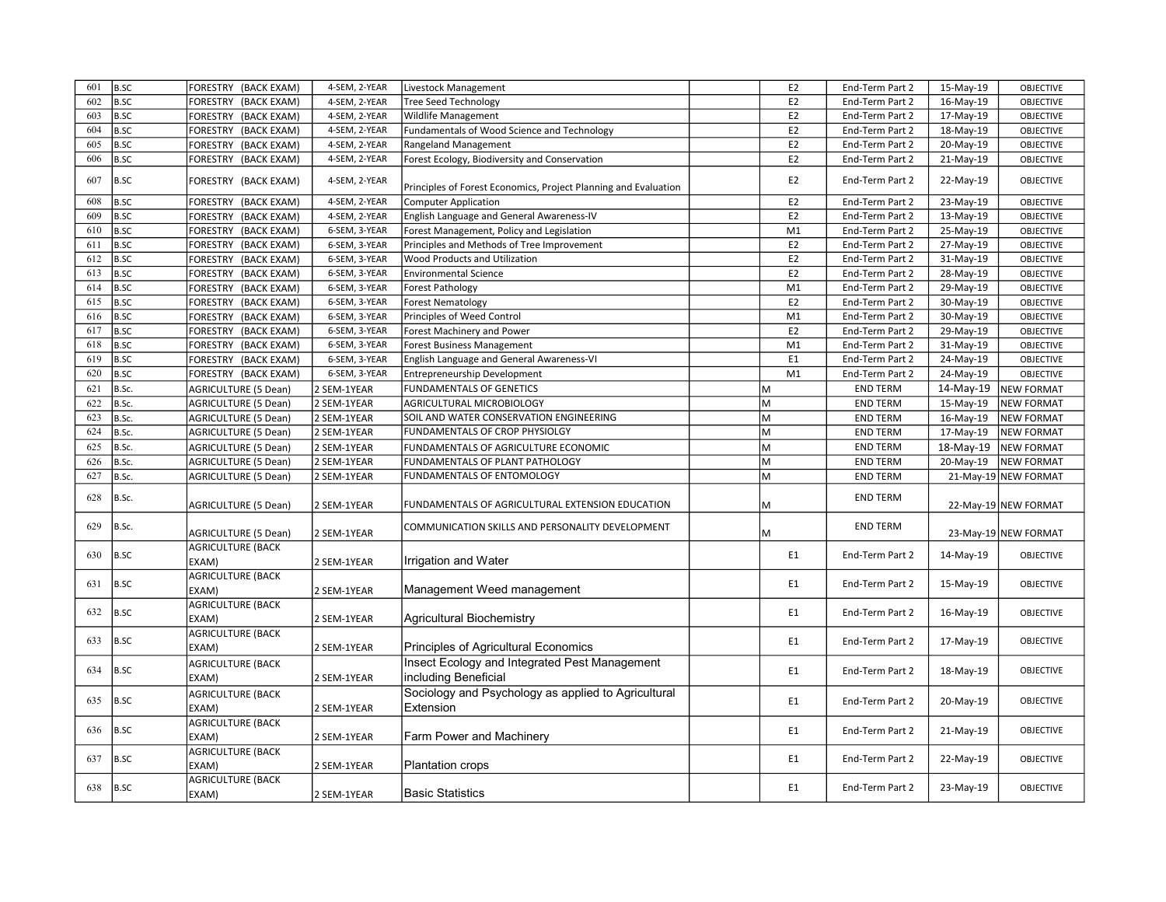| 601 | B.SC        | FORESTRY (BACK EXAM)              | 4-SEM, 2-YEAR | Livestock Management                                                  | E <sub>2</sub> | End-Term Part 2 | 15-May-19 | OBJECTIVE            |
|-----|-------------|-----------------------------------|---------------|-----------------------------------------------------------------------|----------------|-----------------|-----------|----------------------|
| 602 | <b>B.SC</b> | FORESTRY (BACK EXAM)              | 4-SEM, 2-YEAR | <b>Tree Seed Technology</b>                                           | E <sub>2</sub> | End-Term Part 2 | 16-May-19 | OBJECTIVE            |
| 603 | <b>B.SC</b> | FORESTRY (BACK EXAM)              | 4-SEM, 2-YEAR | Wildlife Management                                                   | E <sub>2</sub> | End-Term Part 2 | 17-May-19 | OBJECTIVE            |
| 604 | <b>B.SC</b> | FORESTRY (BACK EXAM)              | 4-SEM, 2-YEAR | Fundamentals of Wood Science and Technology                           | E <sub>2</sub> | End-Term Part 2 | 18-May-19 | OBJECTIVE            |
| 605 | <b>B.SC</b> | FORESTRY (BACK EXAM)              | 4-SEM, 2-YEAR | Rangeland Management                                                  | E <sub>2</sub> | End-Term Part 2 | 20-May-19 | OBJECTIVE            |
| 606 | <b>B.SC</b> | FORESTRY (BACK EXAM)              | 4-SEM, 2-YEAR | Forest Ecology, Biodiversity and Conservation                         | E <sub>2</sub> | End-Term Part 2 | 21-May-19 | OBJECTIVE            |
| 607 | <b>B.SC</b> | FORESTRY (BACK EXAM)              | 4-SEM, 2-YEAR | Principles of Forest Economics, Project Planning and Evaluation       | E <sub>2</sub> | End-Term Part 2 | 22-May-19 | <b>OBJECTIVE</b>     |
| 608 | <b>B.SC</b> | FORESTRY (BACK EXAM)              | 4-SEM, 2-YEAR | <b>Computer Application</b>                                           | E <sub>2</sub> | End-Term Part 2 | 23-May-19 | OBJECTIVE            |
| 609 | <b>B.SC</b> | FORESTRY (BACK EXAM)              | 4-SEM, 2-YEAR | English Language and General Awareness-IV                             | E <sub>2</sub> | End-Term Part 2 | 13-May-19 | <b>OBJECTIVE</b>     |
| 610 | <b>B.SC</b> | FORESTRY (BACK EXAM)              | 6-SEM, 3-YEAR | Forest Management, Policy and Legislation                             | M1             | End-Term Part 2 | 25-May-19 | <b>OBJECTIVE</b>     |
| 611 | <b>B.SC</b> | FORESTRY (BACK EXAM)              | 6-SEM, 3-YEAR | Principles and Methods of Tree Improvement                            | E <sub>2</sub> | End-Term Part 2 | 27-May-19 | <b>OBJECTIVE</b>     |
| 612 | <b>B.SC</b> | FORESTRY (BACK EXAM)              | 6-SEM, 3-YEAR | Wood Products and Utilization                                         | E <sub>2</sub> | End-Term Part 2 | 31-May-19 | <b>OBJECTIVE</b>     |
| 613 | <b>B.SC</b> | FORESTRY (BACK EXAM)              | 6-SEM, 3-YEAR | <b>Environmental Science</b>                                          | E <sub>2</sub> | End-Term Part 2 | 28-May-19 | OBJECTIVE            |
| 614 | <b>B.SC</b> | FORESTRY (BACK EXAM)              | 6-SEM, 3-YEAR | <b>Forest Pathology</b>                                               | M1             | End-Term Part 2 | 29-May-19 | OBJECTIVE            |
| 615 | <b>B.SC</b> | FORESTRY (BACK EXAM)              | 6-SEM, 3-YEAR | <b>Forest Nematology</b>                                              | E <sub>2</sub> | End-Term Part 2 | 30-May-19 | OBJECTIVE            |
| 616 | B.SC        | FORESTRY (BACK EXAM)              | 6-SEM, 3-YEAR | Principles of Weed Control                                            | M1             | End-Term Part 2 | 30-May-19 | OBJECTIVE            |
| 617 | B.SC        | FORESTRY (BACK EXAM)              | 6-SEM, 3-YEAR | Forest Machinery and Power                                            | E <sub>2</sub> | End-Term Part 2 | 29-May-19 | OBJECTIVE            |
| 618 | <b>B.SC</b> | FORESTRY (BACK EXAM)              | 6-SEM, 3-YEAR | <b>Forest Business Management</b>                                     | M1             | End-Term Part 2 | 31-May-19 | OBJECTIVE            |
| 619 | <b>B.SC</b> | FORESTRY (BACK EXAM)              | 6-SEM, 3-YEAR | English Language and General Awareness-VI                             | E1             | End-Term Part 2 | 24-May-19 | <b>OBJECTIVE</b>     |
| 620 | <b>B.SC</b> | FORESTRY (BACK EXAM)              | 6-SEM, 3-YEAR | Entrepreneurship Development                                          | M1             | End-Term Part 2 | 24-May-19 | OBJECTIVE            |
| 621 | B.Sc.       | <b>AGRICULTURE (5 Dean)</b>       | 2 SEM-1YEAR   | FUNDAMENTALS OF GENETICS                                              | M              | <b>END TERM</b> | 14-May-19 | <b>NEW FORMAT</b>    |
| 622 | B.Sc.       | <b>AGRICULTURE (5 Dean)</b>       | 2 SEM-1YEAR   | AGRICULTURAL MICROBIOLOGY                                             | M              | <b>END TERM</b> | 15-May-19 | <b>NEW FORMAT</b>    |
| 623 | B.Sc.       | <b>AGRICULTURE (5 Dean)</b>       | 2 SEM-1YEAR   | SOIL AND WATER CONSERVATION ENGINEERING                               | M              | <b>END TERM</b> | 16-May-19 | <b>NEW FORMAT</b>    |
| 624 | B.Sc.       | <b>AGRICULTURE (5 Dean)</b>       | 2 SEM-1YEAR   | FUNDAMENTALS OF CROP PHYSIOLGY                                        | M              | <b>END TERM</b> | 17-May-19 | <b>NEW FORMAT</b>    |
| 625 | B.Sc.       | AGRICULTURE (5 Dean)              | 2 SEM-1YEAR   | FUNDAMENTALS OF AGRICULTURE ECONOMIC                                  | M              | <b>END TERM</b> | 18-May-19 | <b>NEW FORMAT</b>    |
| 626 | B.Sc.       | <b>AGRICULTURE (5 Dean)</b>       | 2 SEM-1YEAR   | FUNDAMENTALS OF PLANT PATHOLOGY                                       | M              | <b>END TERM</b> | 20-May-19 | <b>NEW FORMAT</b>    |
| 627 | B.Sc.       | <b>AGRICULTURE (5 Dean)</b>       | 2 SEM-1YEAR   | FUNDAMENTALS OF ENTOMOLOGY                                            | M              | <b>END TERM</b> |           | 21-May-19 NEW FORMAT |
|     |             |                                   |               |                                                                       |                |                 |           |                      |
| 628 | B.Sc.       | <b>AGRICULTURE (5 Dean)</b>       | 2 SEM-1YEAR   | FUNDAMENTALS OF AGRICULTURAL EXTENSION EDUCATION                      | M              | <b>END TERM</b> |           | 22-May-19 NEW FORMAT |
| 629 | B.Sc.       | AGRICULTURE (5 Dean)              | 2 SEM-1YEAR   | COMMUNICATION SKILLS AND PERSONALITY DEVELOPMENT                      | Μ              | <b>END TERM</b> |           | 23-May-19 NEW FORMAT |
| 630 | <b>B.SC</b> | <b>AGRICULTURE (BACK</b><br>EXAM) | 2 SEM-1YEAR   | Irrigation and Water                                                  | E <sub>1</sub> | End-Term Part 2 | 14-May-19 | <b>OBJECTIVE</b>     |
| 631 | <b>B.SC</b> | <b>AGRICULTURE (BACK</b><br>EXAM) | 2 SEM-1YEAR   | Management Weed management                                            | E1             | End-Term Part 2 | 15-May-19 | <b>OBJECTIVE</b>     |
| 632 | <b>B.SC</b> | <b>AGRICULTURE (BACK</b><br>EXAM) | 2 SEM-1YEAR   | Agricultural Biochemistry                                             | E1             | End-Term Part 2 | 16-May-19 | <b>OBJECTIVE</b>     |
| 633 | <b>B.SC</b> | <b>AGRICULTURE (BACK</b><br>EXAM) | 2 SEM-1YEAR   | Principles of Agricultural Economics                                  | E1             | End-Term Part 2 | 17-May-19 | <b>OBJECTIVE</b>     |
| 634 | <b>B.SC</b> | <b>AGRICULTURE (BACK</b><br>EXAM) | 2 SEM-1YEAR   | Insect Ecology and Integrated Pest Management<br>including Beneficial | E1             | End-Term Part 2 | 18-May-19 | <b>OBJECTIVE</b>     |
| 635 | <b>B.SC</b> | <b>AGRICULTURE (BACK</b><br>EXAM) | 2 SEM-1YEAR   | Sociology and Psychology as applied to Agricultural<br>Extension      | E1             | End-Term Part 2 | 20-May-19 | <b>OBJECTIVE</b>     |
| 636 | <b>B.SC</b> | <b>AGRICULTURE (BACK</b><br>EXAM) | 2 SEM-1YEAR   | Farm Power and Machinery                                              | E1             | End-Term Part 2 | 21-May-19 | <b>OBJECTIVE</b>     |
| 637 | B.SC        | <b>AGRICULTURE (BACK</b><br>EXAM) | 2 SEM-1YEAR   | <b>Plantation crops</b>                                               | E1             | End-Term Part 2 | 22-May-19 | <b>OBJECTIVE</b>     |
| 638 | B.SC        | <b>AGRICULTURE (BACK</b><br>EXAM) | 2 SEM-1YEAR   | <b>Basic Statistics</b>                                               | E1             | End-Term Part 2 | 23-May-19 | <b>OBJECTIVE</b>     |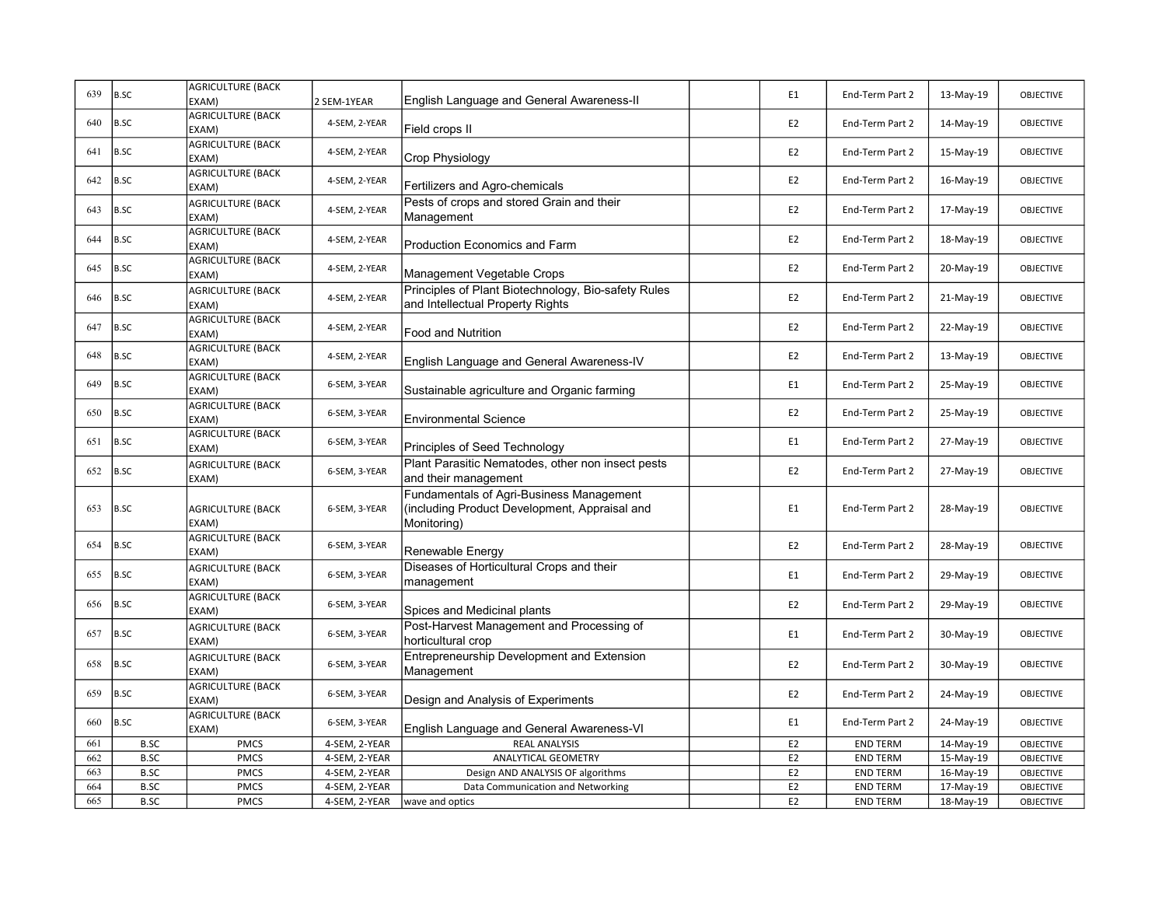| 639 | B.SC        | <b>AGRICULTURE (BACK</b><br>EXAM) | 2 SEM-1YEAR   | English Language and General Awareness-II                                                                | E1             | End-Term Part 2 | 13-May-19 | <b>OBJECTIVE</b> |
|-----|-------------|-----------------------------------|---------------|----------------------------------------------------------------------------------------------------------|----------------|-----------------|-----------|------------------|
| 640 | B.SC        | <b>AGRICULTURE (BACK</b><br>EXAM) | 4-SEM, 2-YEAR | Field crops II                                                                                           | E <sub>2</sub> | End-Term Part 2 | 14-May-19 | <b>OBJECTIVE</b> |
| 641 | B.SC        | <b>AGRICULTURE (BACK</b><br>EXAM) | 4-SEM, 2-YEAR | Crop Physiology                                                                                          | E <sub>2</sub> | End-Term Part 2 | 15-May-19 | <b>OBJECTIVE</b> |
| 642 | B.SC        | <b>AGRICULTURE (BACK</b><br>EXAM) | 4-SEM, 2-YEAR | Fertilizers and Agro-chemicals                                                                           | E <sub>2</sub> | End-Term Part 2 | 16-May-19 | <b>OBJECTIVE</b> |
| 643 | B.SC        | <b>AGRICULTURE (BACK</b><br>EXAM) | 4-SEM, 2-YEAR | Pests of crops and stored Grain and their<br>Management                                                  | E <sub>2</sub> | End-Term Part 2 | 17-May-19 | <b>OBJECTIVE</b> |
| 644 | B.SC        | <b>AGRICULTURE (BACK</b><br>EXAM) | 4-SEM, 2-YEAR | Production Economics and Farm                                                                            | E <sub>2</sub> | End-Term Part 2 | 18-May-19 | <b>OBJECTIVE</b> |
| 645 | B.SC        | <b>AGRICULTURE (BACK</b><br>EXAM) | 4-SEM, 2-YEAR | Management Vegetable Crops                                                                               | E <sub>2</sub> | End-Term Part 2 | 20-May-19 | <b>OBJECTIVE</b> |
| 646 | B.SC        | <b>AGRICULTURE (BACK</b><br>EXAM) | 4-SEM, 2-YEAR | Principles of Plant Biotechnology, Bio-safety Rules<br>and Intellectual Property Rights                  | E <sub>2</sub> | End-Term Part 2 | 21-May-19 | <b>OBJECTIVE</b> |
| 647 | B.SC        | <b>AGRICULTURE (BACK</b><br>EXAM) | 4-SEM, 2-YEAR | <b>Food and Nutrition</b>                                                                                | E <sub>2</sub> | End-Term Part 2 | 22-May-19 | <b>OBJECTIVE</b> |
| 648 | B.SC        | <b>AGRICULTURE (BACK</b><br>EXAM) | 4-SEM, 2-YEAR | English Language and General Awareness-IV                                                                | E <sub>2</sub> | End-Term Part 2 | 13-May-19 | <b>OBJECTIVE</b> |
| 649 | B.SC        | <b>AGRICULTURE (BACK</b><br>EXAM) | 6-SEM, 3-YEAR | Sustainable agriculture and Organic farming                                                              | E1             | End-Term Part 2 | 25-May-19 | <b>OBJECTIVE</b> |
| 650 | B.SC        | <b>AGRICULTURE (BACK</b><br>EXAM) | 6-SEM, 3-YEAR | <b>Environmental Science</b>                                                                             | E <sub>2</sub> | End-Term Part 2 | 25-May-19 | <b>OBJECTIVE</b> |
| 651 | B.SC        | <b>AGRICULTURE (BACK</b><br>EXAM) | 6-SEM, 3-YEAR | Principles of Seed Technology                                                                            | E1             | End-Term Part 2 | 27-May-19 | <b>OBJECTIVE</b> |
| 652 | B.SC        | <b>AGRICULTURE (BACK</b><br>EXAM) | 6-SEM, 3-YEAR | Plant Parasitic Nematodes, other non insect pests<br>and their management                                | E <sub>2</sub> | End-Term Part 2 | 27-May-19 | <b>OBJECTIVE</b> |
| 653 | B.SC        | <b>AGRICULTURE (BACK</b><br>EXAM) | 6-SEM, 3-YEAR | Fundamentals of Agri-Business Management<br>(including Product Development, Appraisal and<br>Monitoring) | E1             | End-Term Part 2 | 28-May-19 | <b>OBJECTIVE</b> |
| 654 | B.SC        | <b>AGRICULTURE (BACK</b><br>EXAM) | 6-SEM, 3-YEAR | Renewable Energy                                                                                         | E2             | End-Term Part 2 | 28-May-19 | <b>OBJECTIVE</b> |
| 655 | B.SC        | <b>AGRICULTURE (BACK</b><br>EXAM) | 6-SEM, 3-YEAR | Diseases of Horticultural Crops and their<br>management                                                  | E1             | End-Term Part 2 | 29-May-19 | <b>OBJECTIVE</b> |
| 656 | B.SC        | <b>AGRICULTURE (BACK</b><br>EXAM) | 6-SEM, 3-YEAR | Spices and Medicinal plants                                                                              | E <sub>2</sub> | End-Term Part 2 | 29-May-19 | <b>OBJECTIVE</b> |
| 657 | B.SC        | <b>AGRICULTURE (BACK</b><br>EXAM) | 6-SEM, 3-YEAR | Post-Harvest Management and Processing of<br>horticultural crop                                          | E1             | End-Term Part 2 | 30-May-19 | <b>OBJECTIVE</b> |
| 658 | B.SC        | <b>AGRICULTURE (BACK</b><br>EXAM) | 6-SEM, 3-YEAR | Entrepreneurship Development and Extension<br>Management                                                 | E <sub>2</sub> | End-Term Part 2 | 30-May-19 | <b>OBJECTIVE</b> |
| 659 | B.SC        | <b>AGRICULTURE (BACK</b><br>EXAM) | 6-SEM, 3-YEAR | Design and Analysis of Experiments                                                                       | E2             | End-Term Part 2 | 24-May-19 | <b>OBJECTIVE</b> |
| 660 | B.SC        | <b>AGRICULTURE (BACK</b><br>EXAM) | 6-SEM, 3-YEAR | English Language and General Awareness-VI                                                                | E1             | End-Term Part 2 | 24-May-19 | <b>OBJECTIVE</b> |
| 661 | <b>B.SC</b> | <b>PMCS</b>                       | 4-SEM, 2-YEAR | <b>REAL ANALYSIS</b>                                                                                     | E <sub>2</sub> | <b>END TERM</b> | 14-May-19 | <b>OBJECTIVE</b> |
| 662 | <b>B.SC</b> | <b>PMCS</b>                       | 4-SEM, 2-YEAR | ANALYTICAL GEOMETRY                                                                                      | E <sub>2</sub> | <b>END TERM</b> | 15-May-19 | OBJECTIVE        |
| 663 | <b>B.SC</b> | <b>PMCS</b>                       | 4-SEM, 2-YEAR | Design AND ANALYSIS OF algorithms                                                                        | E <sub>2</sub> | <b>END TERM</b> | 16-May-19 | OBJECTIVE        |
| 664 | <b>B.SC</b> | <b>PMCS</b>                       | 4-SEM, 2-YEAR | Data Communication and Networking                                                                        | E <sub>2</sub> | <b>END TERM</b> | 17-May-19 | OBJECTIVE        |
| 665 | <b>B.SC</b> | <b>PMCS</b>                       | 4-SEM, 2-YEAR | wave and optics                                                                                          | E2             | <b>END TERM</b> | 18-May-19 | OBJECTIVE        |